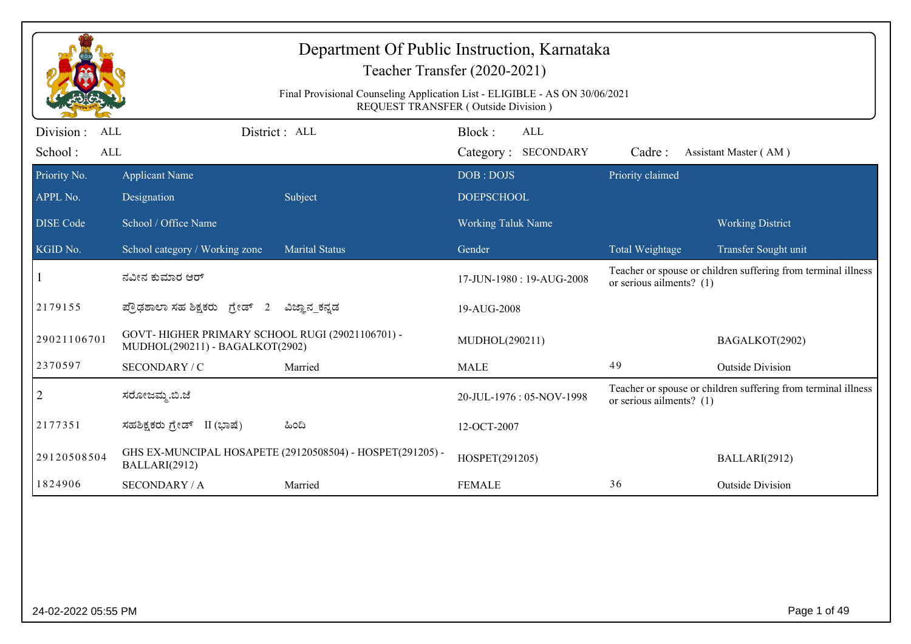|                                     | Department Of Public Instruction, Karnataka<br>Teacher Transfer (2020-2021)<br>Final Provisional Counseling Application List - ELIGIBLE - AS ON 30/06/2021<br><b>REQUEST TRANSFER (Outside Division)</b> |                                                           |                                             |                            |                                                               |  |  |  |
|-------------------------------------|----------------------------------------------------------------------------------------------------------------------------------------------------------------------------------------------------------|-----------------------------------------------------------|---------------------------------------------|----------------------------|---------------------------------------------------------------|--|--|--|
| Division :<br>ALL<br>School:<br>ALL |                                                                                                                                                                                                          | District: ALL                                             | Block:<br><b>ALL</b><br>Category: SECONDARY | Cadre:                     | Assistant Master (AM)                                         |  |  |  |
| Priority No.<br>APPL No.            | <b>Applicant Name</b><br>Designation                                                                                                                                                                     | Subject                                                   | DOB: DOJS<br><b>DOEPSCHOOL</b>              | Priority claimed           |                                                               |  |  |  |
| <b>DISE</b> Code                    | School / Office Name                                                                                                                                                                                     |                                                           | <b>Working Taluk Name</b>                   |                            | <b>Working District</b>                                       |  |  |  |
| KGID No.                            | School category / Working zone                                                                                                                                                                           | <b>Marital Status</b>                                     | Gender                                      | Total Weightage            | Transfer Sought unit                                          |  |  |  |
|                                     | ನವೀನ ಕುಮಾರ ಆರ್                                                                                                                                                                                           |                                                           | 17-JUN-1980: 19-AUG-2008                    | or serious ailments? $(1)$ | Teacher or spouse or children suffering from terminal illness |  |  |  |
| 2179155                             | ಪ್ರೌಢಶಾಲಾ ಸಹ ಶಿಕ್ಷಕರು ಗ್ರೇಡ್ 2                                                                                                                                                                           | ವಿಜ್ಞಾನ_ಕನ್ನಡ                                             | 19-AUG-2008                                 |                            |                                                               |  |  |  |
| 29021106701                         | GOVT-HIGHER PRIMARY SCHOOL RUGI (29021106701) -<br>MUDHOL(290211) - BAGALKOT(2902)                                                                                                                       |                                                           | MUDHOL(290211)                              |                            | BAGALKOT(2902)                                                |  |  |  |
| 2370597                             | SECONDARY / C                                                                                                                                                                                            | Married                                                   | <b>MALE</b>                                 | 49                         | <b>Outside Division</b>                                       |  |  |  |
| 2                                   | ಸರೋಜಮ್ಮ.ಬಿ.ಜೆ                                                                                                                                                                                            |                                                           | 20-JUL-1976: 05-NOV-1998                    | or serious ailments? $(1)$ | Teacher or spouse or children suffering from terminal illness |  |  |  |
| 2177351                             | ಸಹಶಿಕ್ಷಕರು ಗ್ರೇಡ್<br>II (ಭಾಷೆ)                                                                                                                                                                           | ಹಿಂದಿ                                                     | 12-OCT-2007                                 |                            |                                                               |  |  |  |
| 29120508504                         | BALLARI(2912)                                                                                                                                                                                            | GHS EX-MUNCIPAL HOSAPETE (29120508504) - HOSPET(291205) - | HOSPET(291205)                              |                            | BALLARI(2912)                                                 |  |  |  |
| 1824906                             | <b>SECONDARY / A</b>                                                                                                                                                                                     | Married                                                   | <b>FEMALE</b>                               | 36                         | <b>Outside Division</b>                                       |  |  |  |
|                                     |                                                                                                                                                                                                          |                                                           |                                             |                            |                                                               |  |  |  |
| 24-02-2022 05:55 PM                 |                                                                                                                                                                                                          |                                                           |                                             |                            | Page 1 of 49                                                  |  |  |  |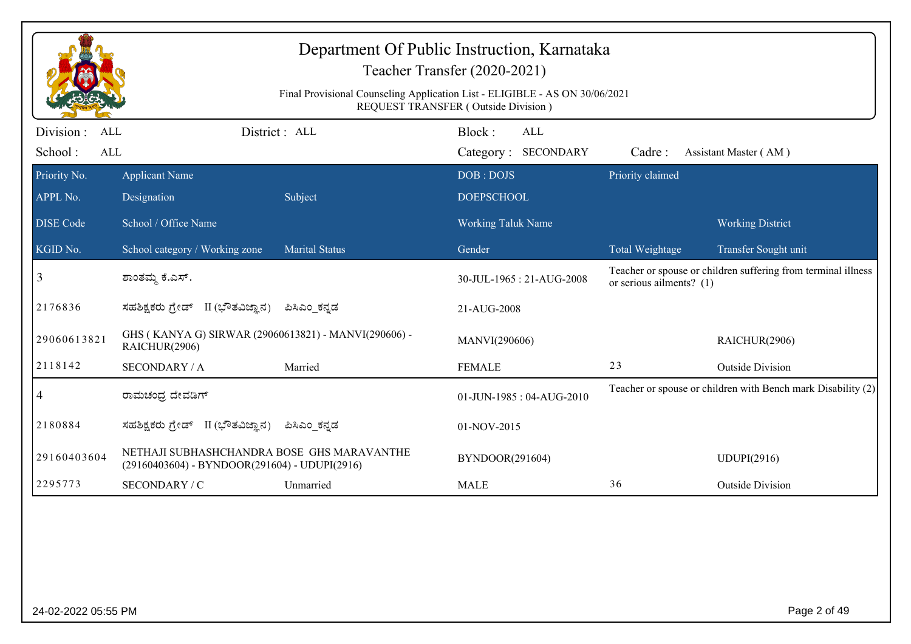|                                                   | Department Of Public Instruction, Karnataka<br>Teacher Transfer (2020-2021)                                        |                       |                                      |                            |                                                               |  |  |  |
|---------------------------------------------------|--------------------------------------------------------------------------------------------------------------------|-----------------------|--------------------------------------|----------------------------|---------------------------------------------------------------|--|--|--|
|                                                   | Final Provisional Counseling Application List - ELIGIBLE - AS ON 30/06/2021<br>REQUEST TRANSFER (Outside Division) |                       |                                      |                            |                                                               |  |  |  |
| Division :<br><b>ALL</b><br>School:<br><b>ALL</b> |                                                                                                                    | District : ALL        | Block:<br>ALL<br>Category: SECONDARY | Cadre:                     | Assistant Master (AM)                                         |  |  |  |
| Priority No.                                      | <b>Applicant Name</b>                                                                                              |                       | DOB: DOJS                            | Priority claimed           |                                                               |  |  |  |
| APPL No.                                          | Designation                                                                                                        | Subject               | <b>DOEPSCHOOL</b>                    |                            |                                                               |  |  |  |
| <b>DISE Code</b>                                  | School / Office Name                                                                                               |                       | <b>Working Taluk Name</b>            |                            | <b>Working District</b>                                       |  |  |  |
| KGID No.                                          | School category / Working zone                                                                                     | <b>Marital Status</b> | Gender                               | Total Weightage            | Transfer Sought unit                                          |  |  |  |
| 3                                                 | ಶಾಂತಮ್ಮ ಕೆ.ಎಸ್.                                                                                                    |                       | 30-JUL-1965: 21-AUG-2008             | or serious ailments? $(1)$ | Teacher or spouse or children suffering from terminal illness |  |  |  |
| 2176836                                           | ಸಹಶಿಕ್ಷಕರು ಗ್ರೇಡ್ II (ಭೌತವಿಜ್ಞಾನ)                                                                                  | ಪಿಸಿಎಂ ಕನ್ನಡ          | 21-AUG-2008                          |                            |                                                               |  |  |  |
| 29060613821                                       | GHS (KANYA G) SIRWAR (29060613821) - MANVI(290606) -<br>RAICHUR(2906)                                              |                       | MANVI(290606)                        |                            | RAICHUR(2906)                                                 |  |  |  |
| 2118142                                           | <b>SECONDARY / A</b>                                                                                               | Married               | <b>FEMALE</b>                        | 23                         | <b>Outside Division</b>                                       |  |  |  |
| 4                                                 | ರಾಮಚಂದ್ರ ದೇವಡಿಗ್                                                                                                   |                       | 01-JUN-1985: 04-AUG-2010             |                            | Teacher or spouse or children with Bench mark Disability (2)  |  |  |  |
| 2180884                                           | ಸಹಶಿಕ್ಷಕರು ಗ್ರೇಡ್ II (ಭೌತವಿಜ್ಞಾನ)                                                                                  | ಪಿಸಿಎಂ_ಕನ್ನಡ          | 01-NOV-2015                          |                            |                                                               |  |  |  |
| 29160403604                                       | NETHAJI SUBHASHCHANDRA BOSE GHS MARAVANTHE<br>(29160403604) - BYNDOOR(291604) - UDUPI(2916)                        |                       | BYNDOOR(291604)                      |                            | <b>UDUPI(2916)</b>                                            |  |  |  |
| 2295773                                           | SECONDARY / C                                                                                                      | Unmarried             | <b>MALE</b>                          | 36                         | <b>Outside Division</b>                                       |  |  |  |
|                                                   |                                                                                                                    |                       |                                      |                            |                                                               |  |  |  |
|                                                   |                                                                                                                    |                       |                                      |                            |                                                               |  |  |  |
|                                                   |                                                                                                                    |                       |                                      |                            |                                                               |  |  |  |
|                                                   |                                                                                                                    |                       |                                      |                            |                                                               |  |  |  |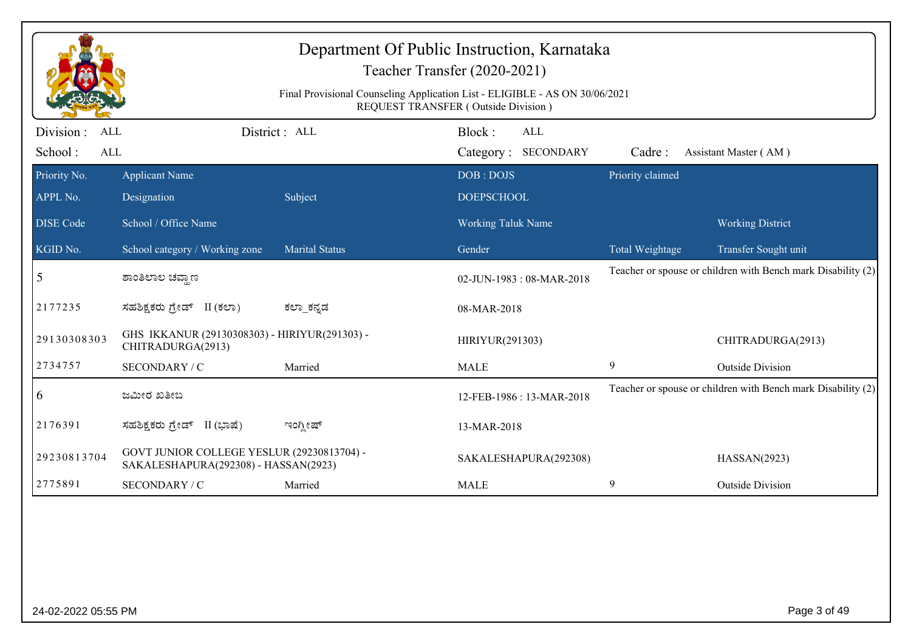|                                                  | Department Of Public Instruction, Karnataka<br>Teacher Transfer (2020-2021)<br>Final Provisional Counseling Application List - ELIGIBLE - AS ON 30/06/2021<br>REQUEST TRANSFER (Outside Division) |                       |                                      |                  |                                                              |  |  |  |
|--------------------------------------------------|---------------------------------------------------------------------------------------------------------------------------------------------------------------------------------------------------|-----------------------|--------------------------------------|------------------|--------------------------------------------------------------|--|--|--|
| Division:<br><b>ALL</b><br>School:<br><b>ALL</b> |                                                                                                                                                                                                   | District: ALL         | Block:<br>ALL<br>Category: SECONDARY | Cadre:           | Assistant Master (AM)                                        |  |  |  |
| Priority No.<br>APPL No.                         | <b>Applicant Name</b><br>Designation                                                                                                                                                              | Subject               | DOB: DOJS<br><b>DOEPSCHOOL</b>       | Priority claimed |                                                              |  |  |  |
| <b>DISE Code</b>                                 | School / Office Name                                                                                                                                                                              |                       | Working Taluk Name                   |                  | <b>Working District</b>                                      |  |  |  |
| KGID No.                                         | School category / Working zone                                                                                                                                                                    | <b>Marital Status</b> | Gender                               | Total Weightage  | Transfer Sought unit                                         |  |  |  |
| 5                                                | ಶಾಂತಿಲಾಲ ಚವ್ತಾಣ                                                                                                                                                                                   |                       | 02-JUN-1983: 08-MAR-2018             |                  | Teacher or spouse or children with Bench mark Disability (2) |  |  |  |
| 2177235                                          | ಸಹಶಿಕ್ಷಕರು ಗ್ರೇಡ್ II (ಕಲಾ)                                                                                                                                                                        | ಕಲ್_ಾಕನ್ನಡ            | 08-MAR-2018                          |                  |                                                              |  |  |  |
| 29130308303                                      | GHS IKKANUR (29130308303) - HIRIYUR(291303) -<br>CHITRADURGA(2913)                                                                                                                                |                       | HIRIYUR(291303)                      |                  | CHITRADURGA(2913)                                            |  |  |  |
| 2734757                                          | SECONDARY / C                                                                                                                                                                                     | Married               | <b>MALE</b>                          | 9                | <b>Outside Division</b>                                      |  |  |  |
| $\overline{6}$                                   | ಜಮೀರ ಖತೀಬ                                                                                                                                                                                         |                       | 12-FEB-1986: 13-MAR-2018             |                  | Teacher or spouse or children with Bench mark Disability (2) |  |  |  |
| 2176391                                          | ಸಹಶಿಕ್ಷಕರು ಗ್ರೇಡ್ II (ಭಾಷೆ)                                                                                                                                                                       | ಇಂಗ್ಲೀಷ್              | 13-MAR-2018                          |                  |                                                              |  |  |  |
| 29230813704                                      | GOVT JUNIOR COLLEGE YESLUR (29230813704) -<br>SAKALESHAPURA(292308) - HASSAN(2923)                                                                                                                |                       | SAKALESHAPURA(292308)                |                  | HASSAN(2923)                                                 |  |  |  |
| 2775891                                          | SECONDARY / C                                                                                                                                                                                     | Married               | <b>MALE</b>                          | 9                | <b>Outside Division</b>                                      |  |  |  |
|                                                  |                                                                                                                                                                                                   |                       |                                      |                  |                                                              |  |  |  |
| 24-02-2022 05:55 PM                              |                                                                                                                                                                                                   |                       |                                      |                  | Page 3 of 49                                                 |  |  |  |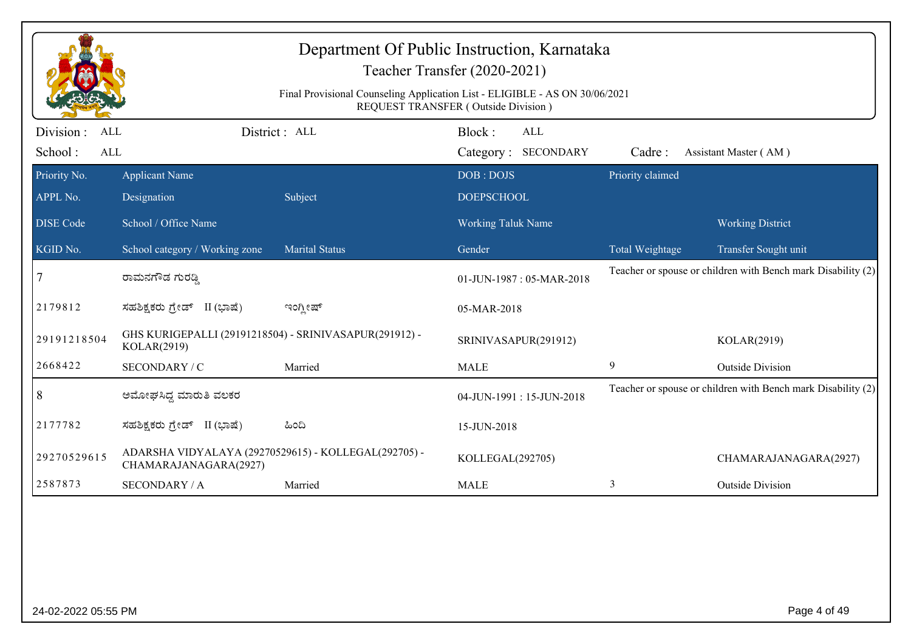|                                     | Department Of Public Instruction, Karnataka<br>Teacher Transfer (2020-2021)<br>Final Provisional Counseling Application List - ELIGIBLE - AS ON 30/06/2021<br>REQUEST TRANSFER (Outside Division) |                       |                                      |                  |                                                              |  |  |  |
|-------------------------------------|---------------------------------------------------------------------------------------------------------------------------------------------------------------------------------------------------|-----------------------|--------------------------------------|------------------|--------------------------------------------------------------|--|--|--|
| Division :<br>ALL<br>School:<br>ALL |                                                                                                                                                                                                   | District : ALL        | Block:<br>ALL<br>Category: SECONDARY | Cadre:           | Assistant Master (AM)                                        |  |  |  |
| Priority No.<br>APPL No.            | <b>Applicant Name</b><br>Designation                                                                                                                                                              | Subject               | DOB: DOJS<br><b>DOEPSCHOOL</b>       | Priority claimed |                                                              |  |  |  |
| <b>DISE Code</b>                    | School / Office Name                                                                                                                                                                              |                       | <b>Working Taluk Name</b>            |                  | <b>Working District</b>                                      |  |  |  |
| KGID No.                            | School category / Working zone                                                                                                                                                                    | <b>Marital Status</b> | Gender                               | Total Weightage  | Transfer Sought unit                                         |  |  |  |
| 7                                   | ರಾಮನಗೌಡ ಗುರಡ್ಡಿ                                                                                                                                                                                   |                       | 01-JUN-1987: 05-MAR-2018             |                  | Teacher or spouse or children with Bench mark Disability (2) |  |  |  |
| 2179812                             | ಸಹಶಿಕ್ಷಕರು ಗ್ರೇಡ್ II (ಭಾಷೆ)                                                                                                                                                                       | ಇಂಗ್ಲೀಷ್              | 05-MAR-2018                          |                  |                                                              |  |  |  |
| 29191218504                         | GHS KURIGEPALLI (29191218504) - SRINIVASAPUR(291912) -<br>KOLAR(2919)                                                                                                                             |                       | SRINIVASAPUR(291912)                 |                  | KOLAR(2919)                                                  |  |  |  |
| 2668422                             | SECONDARY / C                                                                                                                                                                                     | Married               | <b>MALE</b>                          | 9                | <b>Outside Division</b>                                      |  |  |  |
| 8                                   | ಅಮೋಘಸಿದ್ದ ಮಾರುತಿ ವಲಕರ                                                                                                                                                                             |                       | 04-JUN-1991:15-JUN-2018              |                  | Teacher or spouse or children with Bench mark Disability (2) |  |  |  |
| 2177782                             | ಸಹಶಿಕ್ಷಕರು ಗ್ರೇಡ್ II (ಭಾಷೆ)                                                                                                                                                                       | ಹಿಂದಿ                 | 15-JUN-2018                          |                  |                                                              |  |  |  |
| 29270529615                         | ADARSHA VIDYALAYA (29270529615) - KOLLEGAL(292705) -<br>CHAMARAJANAGARA(2927)                                                                                                                     |                       | KOLLEGAL(292705)                     |                  | CHAMARAJANAGARA(2927)                                        |  |  |  |
| 2587873                             | <b>SECONDARY / A</b>                                                                                                                                                                              | Married               | <b>MALE</b>                          | 3                | <b>Outside Division</b>                                      |  |  |  |
|                                     |                                                                                                                                                                                                   |                       |                                      |                  |                                                              |  |  |  |
| 24-02-2022 05:55 PM                 |                                                                                                                                                                                                   |                       |                                      |                  | Page 4 of 49                                                 |  |  |  |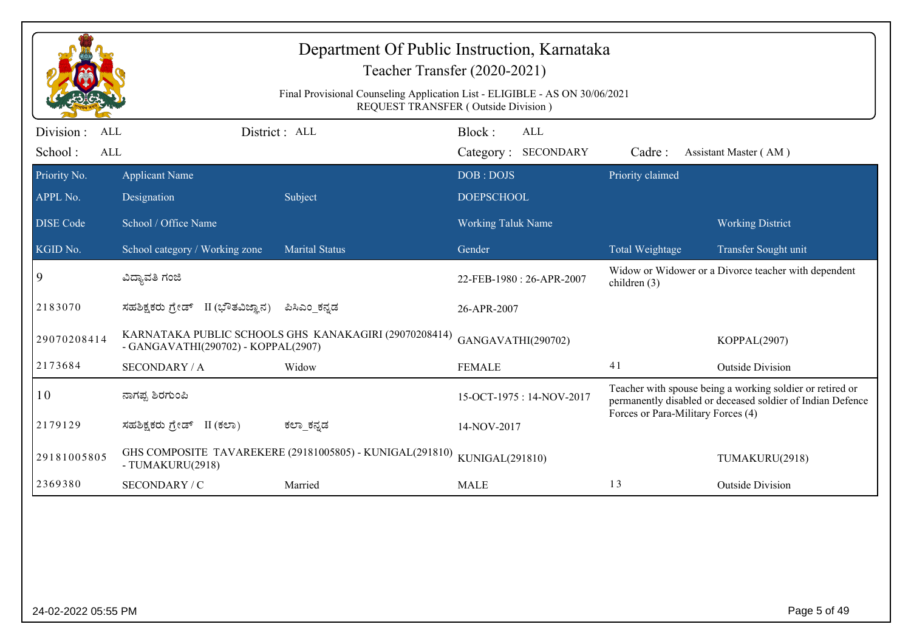| Department Of Public Instruction, Karnataka<br>Teacher Transfer (2020-2021) |                                                                                                                    |                                                          |                                |                                   |                                    |                                                                                                                         |  |  |
|-----------------------------------------------------------------------------|--------------------------------------------------------------------------------------------------------------------|----------------------------------------------------------|--------------------------------|-----------------------------------|------------------------------------|-------------------------------------------------------------------------------------------------------------------------|--|--|
|                                                                             | Final Provisional Counseling Application List - ELIGIBLE - AS ON 30/06/2021<br>REQUEST TRANSFER (Outside Division) |                                                          |                                |                                   |                                    |                                                                                                                         |  |  |
| Division :<br>ALL<br>School:<br>ALL                                         |                                                                                                                    | District : ALL                                           | Block:                         | <b>ALL</b><br>Category: SECONDARY | Cadre:                             | Assistant Master (AM)                                                                                                   |  |  |
| Priority No.<br>APPL No.                                                    | <b>Applicant Name</b><br>Designation                                                                               | Subject                                                  | DOB: DOJS<br><b>DOEPSCHOOL</b> |                                   | Priority claimed                   |                                                                                                                         |  |  |
| <b>DISE</b> Code                                                            | School / Office Name                                                                                               |                                                          | <b>Working Taluk Name</b>      |                                   |                                    | <b>Working District</b>                                                                                                 |  |  |
| KGID No.                                                                    | School category / Working zone                                                                                     | <b>Marital Status</b>                                    | Gender                         |                                   | Total Weightage                    | Transfer Sought unit                                                                                                    |  |  |
| 9                                                                           | ವಿದ್ಯಾವತಿ ಗಂಜಿ                                                                                                     |                                                          |                                | 22-FEB-1980: 26-APR-2007          | children $(3)$                     | Widow or Widower or a Divorce teacher with dependent                                                                    |  |  |
| 2183070                                                                     | ಸಹಶಿಕ್ಷಕರು ಗ್ರೇಡ್ II (ಭೌತವಿಜ್ಞಾನ)                                                                                  | ಪಿಸಿಎಂ_ಕನ್ನಡ                                             | 26-APR-2007                    |                                   |                                    |                                                                                                                         |  |  |
| 29070208414                                                                 | - GANGAVATHI(290702) - KOPPAL(2907)                                                                                | KARNATAKA PUBLIC SCHOOLS GHS KANAKAGIRI (29070208414)    | GANGAVATHI(290702)             |                                   |                                    | KOPPAL(2907)                                                                                                            |  |  |
| 2173684                                                                     | <b>SECONDARY / A</b>                                                                                               | Widow                                                    | <b>FEMALE</b>                  |                                   | 41                                 | <b>Outside Division</b>                                                                                                 |  |  |
| 10                                                                          | ನಾಗಪ್ಪ ಶಿರಗುಂಪಿ                                                                                                    |                                                          |                                | 15-OCT-1975: 14-NOV-2017          | Forces or Para-Military Forces (4) | Teacher with spouse being a working soldier or retired or<br>permanently disabled or deceased soldier of Indian Defence |  |  |
| 2179129                                                                     | ಸಹಶಿಕ್ಷಕರು ಗ್ರೇಡ್ II (ಕಲಾ)                                                                                         | ಕಲ್_ಕನ್ನಡ                                                | 14-NOV-2017                    |                                   |                                    |                                                                                                                         |  |  |
| 29181005805                                                                 | - TUMAKURU(2918)                                                                                                   | GHS COMPOSITE TAVAREKERE (29181005805) - KUNIGAL(291810) | KUNIGAL(291810)                |                                   |                                    | TUMAKURU(2918)                                                                                                          |  |  |
| 2369380                                                                     | SECONDARY / C                                                                                                      | Married                                                  | <b>MALE</b>                    |                                   | 13                                 | <b>Outside Division</b>                                                                                                 |  |  |
|                                                                             |                                                                                                                    |                                                          |                                |                                   |                                    |                                                                                                                         |  |  |
| 24-02-2022 05:55 PM                                                         |                                                                                                                    |                                                          |                                |                                   |                                    | Page 5 of 49                                                                                                            |  |  |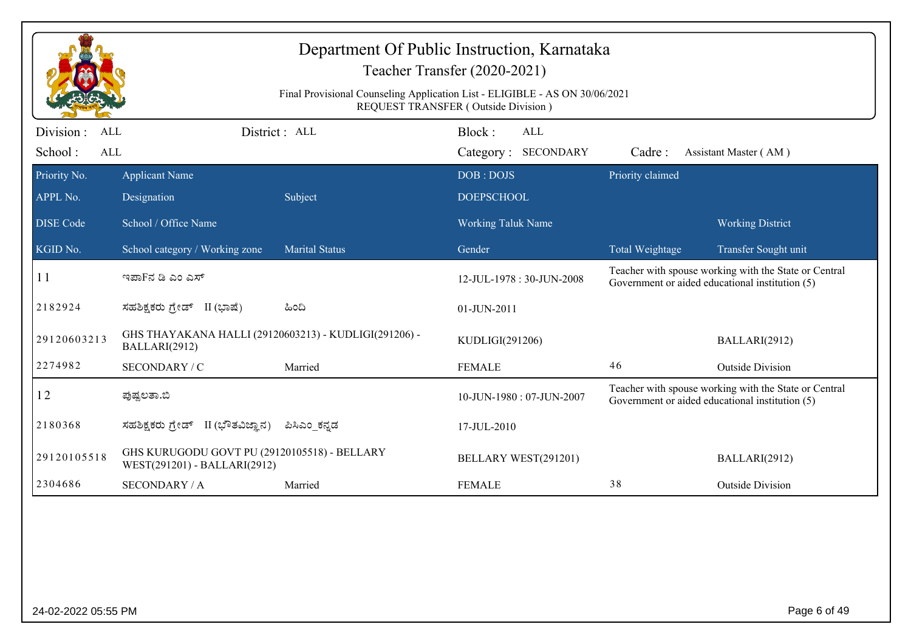| Department Of Public Instruction, Karnataka<br>Teacher Transfer (2020-2021)<br>Final Provisional Counseling Application List - ELIGIBLE - AS ON 30/06/2021<br>REQUEST TRANSFER (Outside Division) |                                                                              |                       |                           |                  |                                                                                                          |  |  |
|---------------------------------------------------------------------------------------------------------------------------------------------------------------------------------------------------|------------------------------------------------------------------------------|-----------------------|---------------------------|------------------|----------------------------------------------------------------------------------------------------------|--|--|
| Division :<br>District : ALL<br>Block:<br><b>ALL</b><br>ALL                                                                                                                                       |                                                                              |                       |                           |                  |                                                                                                          |  |  |
| School:<br>ALL                                                                                                                                                                                    |                                                                              |                       | Category: SECONDARY       | Cadre:           | Assistant Master (AM)                                                                                    |  |  |
| Priority No.                                                                                                                                                                                      | <b>Applicant Name</b>                                                        |                       | DOB: DOJS                 | Priority claimed |                                                                                                          |  |  |
| APPL No.                                                                                                                                                                                          | Designation                                                                  | Subject               | <b>DOEPSCHOOL</b>         |                  |                                                                                                          |  |  |
| <b>DISE</b> Code                                                                                                                                                                                  | School / Office Name                                                         |                       | <b>Working Taluk Name</b> |                  | <b>Working District</b>                                                                                  |  |  |
| KGID No.                                                                                                                                                                                          | School category / Working zone                                               | <b>Marital Status</b> | Gender                    | Total Weightage  | Transfer Sought unit                                                                                     |  |  |
| 11                                                                                                                                                                                                | ಇಪಾFನ ಡಿ ಎಂ ಎಸ್                                                              |                       | 12-JUL-1978: 30-JUN-2008  |                  | Teacher with spouse working with the State or Central<br>Government or aided educational institution (5) |  |  |
| 2182924                                                                                                                                                                                           | ಸಹಶಿಕ್ಷಕರು ಗ್ರೇಡ್ II (ಭಾಷೆ)                                                  | ಹಿಂದಿ                 | 01-JUN-2011               |                  |                                                                                                          |  |  |
| 29120603213                                                                                                                                                                                       | GHS THAYAKANA HALLI (29120603213) - KUDLIGI(291206) -<br>BALLARI(2912)       |                       | KUDLIGI(291206)           |                  | BALLARI(2912)                                                                                            |  |  |
| 2274982                                                                                                                                                                                           | SECONDARY / C                                                                | Married               | <b>FEMALE</b>             | 46               | <b>Outside Division</b>                                                                                  |  |  |
| 12                                                                                                                                                                                                | ಪುಷ್ಟಲತಾ.ಬಿ                                                                  |                       | 10-JUN-1980: 07-JUN-2007  |                  | Teacher with spouse working with the State or Central<br>Government or aided educational institution (5) |  |  |
| 2180368                                                                                                                                                                                           | ಸಹಶಿಕ್ಷಕರು ಗ್ರೇಡ್<br>II (ಭೌತವಿಜ್ಞಾನ)                                         | ಪಿಸಿಎಂ ಕನ್ನಡ          | 17-JUL-2010               |                  |                                                                                                          |  |  |
| 29120105518                                                                                                                                                                                       | GHS KURUGODU GOVT PU (29120105518) - BELLARY<br>WEST(291201) - BALLARI(2912) |                       | BELLARY WEST(291201)      |                  | BALLARI(2912)                                                                                            |  |  |
| 2304686                                                                                                                                                                                           | <b>SECONDARY / A</b>                                                         | Married               | <b>FEMALE</b>             | 38               | <b>Outside Division</b>                                                                                  |  |  |
|                                                                                                                                                                                                   |                                                                              |                       |                           |                  |                                                                                                          |  |  |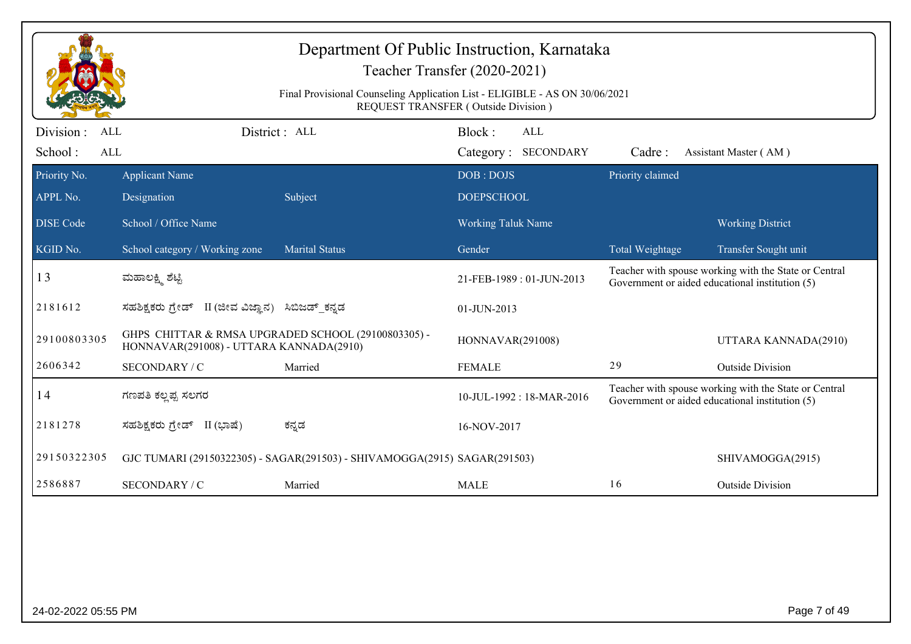| Department Of Public Instruction, Karnataka<br>Teacher Transfer (2020-2021)<br>Final Provisional Counseling Application List - ELIGIBLE - AS ON 30/06/2021<br>REQUEST TRANSFER (Outside Division) |                                                                                                |                                                                           |                                      |                        |                                                                                                          |  |  |
|---------------------------------------------------------------------------------------------------------------------------------------------------------------------------------------------------|------------------------------------------------------------------------------------------------|---------------------------------------------------------------------------|--------------------------------------|------------------------|----------------------------------------------------------------------------------------------------------|--|--|
| Division :<br><b>ALL</b><br>School:<br>ALL                                                                                                                                                        |                                                                                                | District: ALL                                                             | Block:<br>ALL<br>Category: SECONDARY | Cadre:                 | Assistant Master (AM)                                                                                    |  |  |
| Priority No.<br>APPL No.                                                                                                                                                                          | <b>Applicant Name</b><br>Designation                                                           | Subject                                                                   | DOB: DOJS<br><b>DOEPSCHOOL</b>       | Priority claimed       |                                                                                                          |  |  |
| <b>DISE Code</b>                                                                                                                                                                                  | School / Office Name                                                                           |                                                                           | <b>Working Taluk Name</b>            |                        | <b>Working District</b>                                                                                  |  |  |
| KGID No.                                                                                                                                                                                          | School category / Working zone                                                                 | <b>Marital Status</b>                                                     | Gender                               | <b>Total Weightage</b> | Transfer Sought unit                                                                                     |  |  |
| 13                                                                                                                                                                                                | ಮಹಾಲಕ್ಷ್ಮಿ ಶೆಟ್ಟಿ                                                                              |                                                                           | 21-FEB-1989: 01-JUN-2013             |                        | Teacher with spouse working with the State or Central<br>Government or aided educational institution (5) |  |  |
| 2181612                                                                                                                                                                                           | ಸಹಶಿಕ್ಷಕರು ಗ್ರೇಡ್ II (ಜೀವ ವಿಜ್ಞಾನ) ಸಿಬಿಜಡ್ ಕನ್ನಡ                                               |                                                                           | 01-JUN-2013                          |                        |                                                                                                          |  |  |
| 29100803305                                                                                                                                                                                       | GHPS CHITTAR & RMSA UPGRADED SCHOOL (29100803305) -<br>HONNAVAR(291008) - UTTARA KANNADA(2910) |                                                                           | <b>HONNAVAR(291008)</b>              |                        | UTTARA KANNADA(2910)                                                                                     |  |  |
| 2606342                                                                                                                                                                                           | SECONDARY / C                                                                                  | Married                                                                   | <b>FEMALE</b>                        | 29                     | <b>Outside Division</b>                                                                                  |  |  |
| 14                                                                                                                                                                                                | ಗಣಪತಿ ಕಲ್ಲಪ್ಪ ಸಲಗರ                                                                             |                                                                           | 10-JUL-1992 : 18-MAR-2016            |                        | Teacher with spouse working with the State or Central<br>Government or aided educational institution (5) |  |  |
| 2181278                                                                                                                                                                                           | ಸಹಶಿಕ್ಷಕರು ಗ್ರೇಡ್ II (ಭಾಷೆ)                                                                    | ಕನ್ನಡ                                                                     | 16-NOV-2017                          |                        |                                                                                                          |  |  |
| 29150322305                                                                                                                                                                                       |                                                                                                | GJC TUMARI (29150322305) - SAGAR(291503) - SHIVAMOGGA(2915) SAGAR(291503) |                                      |                        | SHIVAMOGGA(2915)                                                                                         |  |  |
| 2586887                                                                                                                                                                                           | SECONDARY / C                                                                                  | Married                                                                   | <b>MALE</b>                          | 16                     | <b>Outside Division</b>                                                                                  |  |  |
|                                                                                                                                                                                                   |                                                                                                |                                                                           |                                      |                        |                                                                                                          |  |  |
| 24-02-2022 05:55 PM                                                                                                                                                                               |                                                                                                |                                                                           |                                      |                        | Page 7 of 49                                                                                             |  |  |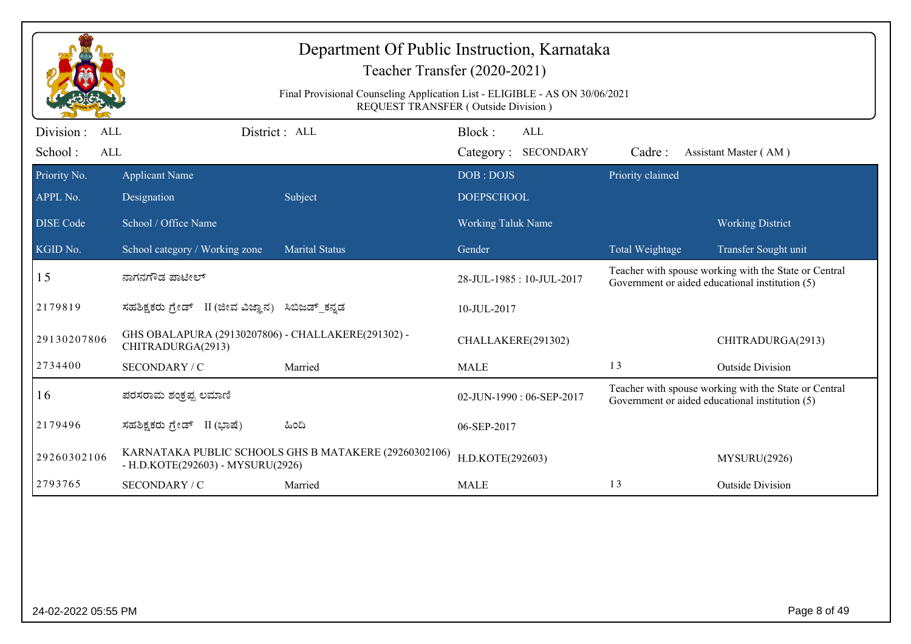|                                     | Department Of Public Instruction, Karnataka<br>Teacher Transfer (2020-2021)<br>Final Provisional Counseling Application List - ELIGIBLE - AS ON 30/06/2021<br><b>REQUEST TRANSFER (Outside Division)</b> |                       |                                                                                                                                      |  |                  |                                                                                                          |  |  |
|-------------------------------------|----------------------------------------------------------------------------------------------------------------------------------------------------------------------------------------------------------|-----------------------|--------------------------------------------------------------------------------------------------------------------------------------|--|------------------|----------------------------------------------------------------------------------------------------------|--|--|
| Division :<br><b>ALL</b>            | District: ALL                                                                                                                                                                                            |                       | Block:<br><b>ALL</b>                                                                                                                 |  |                  |                                                                                                          |  |  |
| School:<br>ALL                      |                                                                                                                                                                                                          |                       | Category: SECONDARY                                                                                                                  |  | Cadre:           | Assistant Master (AM)                                                                                    |  |  |
| Priority No.<br>APPL No.            | <b>Applicant Name</b><br>Designation                                                                                                                                                                     | Subject               | DOB: DOJS<br><b>DOEPSCHOOL</b>                                                                                                       |  | Priority claimed |                                                                                                          |  |  |
| <b>DISE Code</b>                    | School / Office Name                                                                                                                                                                                     |                       | <b>Working Taluk Name</b>                                                                                                            |  |                  | <b>Working District</b>                                                                                  |  |  |
| KGID No.                            | School category / Working zone                                                                                                                                                                           | <b>Marital Status</b> | Gender                                                                                                                               |  | Total Weightage  | Transfer Sought unit                                                                                     |  |  |
| 15                                  | ನಾಗನಗೌಡ ಪಾಟೀಲ್                                                                                                                                                                                           |                       | 28-JUL-1985: 10-JUL-2017                                                                                                             |  |                  | Teacher with spouse working with the State or Central<br>Government or aided educational institution (5) |  |  |
| 2179819                             | ಸಹಶಿಕ್ಷಕರು ಗ್ರೇಡ್ II (ಜೀವ ವಿಜ್ಞಾನ) ಸಿಬಿಜಡ್_ಕನ್ನಡ                                                                                                                                                         |                       | 10-JUL-2017                                                                                                                          |  |                  |                                                                                                          |  |  |
| 29130207806                         | GHS OBALAPURA (29130207806) - CHALLAKERE(291302) -<br>CHITRADURGA(2913)                                                                                                                                  |                       | CHALLAKERE(291302)                                                                                                                   |  |                  | CHITRADURGA(2913)                                                                                        |  |  |
| 2734400                             | SECONDARY / C                                                                                                                                                                                            | Married               | <b>MALE</b>                                                                                                                          |  | 13               | <b>Outside Division</b>                                                                                  |  |  |
| 16                                  | ಪರಸರಾಮ ಶಂಕ್ರಪ್ಪ ಲಮಾಣಿ                                                                                                                                                                                    |                       | Teacher with spouse working with the State or Central<br>02-JUN-1990: 06-SEP-2017<br>Government or aided educational institution (5) |  |                  |                                                                                                          |  |  |
| 2179496                             | ಸಹಶಿಕ್ಷಕರು ಗ್ರೇಡ್ II (ಭಾಷೆ)                                                                                                                                                                              | ಹಿಂದಿ                 | 06-SEP-2017                                                                                                                          |  |                  |                                                                                                          |  |  |
| 29260302106                         | KARNATAKA PUBLIC SCHOOLS GHS B MATAKERE (29260302106)<br>- H.D.KOTE(292603) - MYSURU(2926)                                                                                                               |                       | H.D.KOTE(292603)                                                                                                                     |  |                  | MYSURU(2926)                                                                                             |  |  |
| 2793765                             | SECONDARY / C                                                                                                                                                                                            | Married               | <b>MALE</b>                                                                                                                          |  | 13               | <b>Outside Division</b>                                                                                  |  |  |
|                                     |                                                                                                                                                                                                          |                       |                                                                                                                                      |  |                  |                                                                                                          |  |  |
| Page 8 of 49<br>24-02-2022 05:55 PM |                                                                                                                                                                                                          |                       |                                                                                                                                      |  |                  |                                                                                                          |  |  |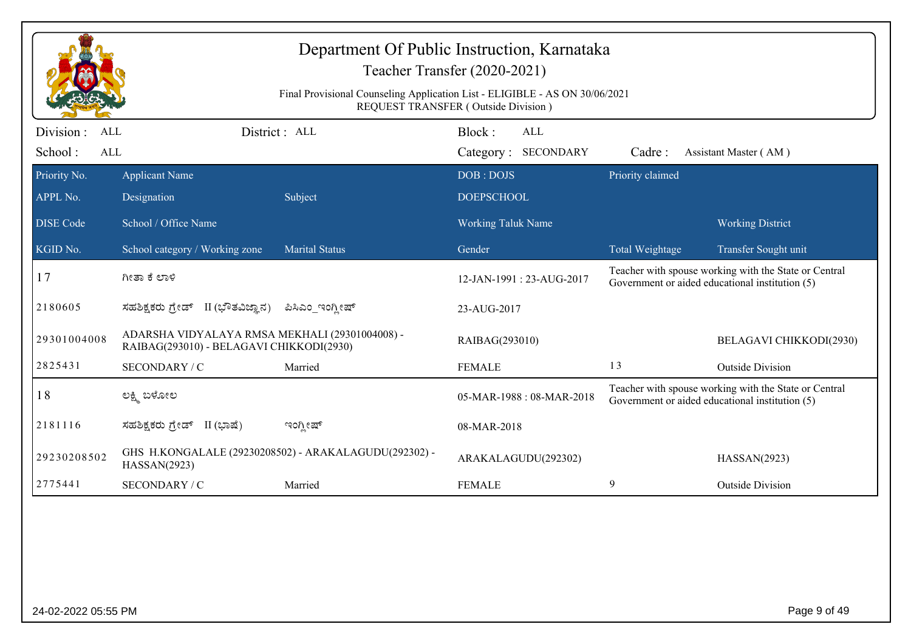|                                     | Department Of Public Instruction, Karnataka<br>Teacher Transfer (2020-2021)<br>Final Provisional Counseling Application List - ELIGIBLE - AS ON 30/06/2021<br><b>REQUEST TRANSFER (Outside Division)</b> |                                                       |                                                                                                                                      |                  |                                                                                                          |  |  |  |
|-------------------------------------|----------------------------------------------------------------------------------------------------------------------------------------------------------------------------------------------------------|-------------------------------------------------------|--------------------------------------------------------------------------------------------------------------------------------------|------------------|----------------------------------------------------------------------------------------------------------|--|--|--|
| Division :<br>ALL<br>School:<br>ALL |                                                                                                                                                                                                          | District : ALL                                        | Block:<br>ALL<br>Category: SECONDARY                                                                                                 | Cadre:           | Assistant Master (AM)                                                                                    |  |  |  |
| Priority No.                        | <b>Applicant Name</b>                                                                                                                                                                                    |                                                       | DOB: DOJS                                                                                                                            | Priority claimed |                                                                                                          |  |  |  |
| APPL No.                            | Designation                                                                                                                                                                                              | Subject                                               | <b>DOEPSCHOOL</b>                                                                                                                    |                  |                                                                                                          |  |  |  |
| <b>DISE Code</b>                    | School / Office Name                                                                                                                                                                                     |                                                       | <b>Working Taluk Name</b>                                                                                                            |                  | <b>Working District</b>                                                                                  |  |  |  |
| KGID No.                            | School category / Working zone                                                                                                                                                                           | <b>Marital Status</b>                                 | Gender                                                                                                                               | Total Weightage  | Transfer Sought unit                                                                                     |  |  |  |
| 17                                  | ಗೀತಾ ಕೆ ಲಾಳಿ                                                                                                                                                                                             |                                                       | 12-JAN-1991: 23-AUG-2017                                                                                                             |                  | Teacher with spouse working with the State or Central<br>Government or aided educational institution (5) |  |  |  |
| 2180605                             | II (ಭೌತವಿಜ್ಞಾನ)<br>ಸಹಶಿಕ್ಷಕರು ಗ್ರೇಡ್                                                                                                                                                                     | ಪಿಸಿಎಂ_ಇಂಗ್ಲೀಷ್                                       | 23-AUG-2017                                                                                                                          |                  |                                                                                                          |  |  |  |
| 29301004008                         | ADARSHA VIDYALAYA RMSA MEKHALI (29301004008) -<br>RAIBAG(293010) - BELAGAVI CHIKKODI(2930)                                                                                                               |                                                       | RAIBAG(293010)                                                                                                                       |                  | BELAGAVI CHIKKODI(2930)                                                                                  |  |  |  |
| 2825431                             | SECONDARY / C                                                                                                                                                                                            | Married                                               | <b>FEMALE</b>                                                                                                                        | 13               | <b>Outside Division</b>                                                                                  |  |  |  |
| 18                                  | ಲಕ್ಷ್ಮಿ ಬಳೋಲ                                                                                                                                                                                             |                                                       | Teacher with spouse working with the State or Central<br>05-MAR-1988: 08-MAR-2018<br>Government or aided educational institution (5) |                  |                                                                                                          |  |  |  |
| 2181116                             | ಸಹಶಿಕ್ಷಕರು ಗ್ರೇಡ್ II (ಭಾಷೆ)                                                                                                                                                                              | ಇಂಗ್ಲೀಷ್                                              | 08-MAR-2018                                                                                                                          |                  |                                                                                                          |  |  |  |
| 29230208502                         | HASSAN(2923)                                                                                                                                                                                             | GHS H.KONGALALE (29230208502) - ARAKALAGUDU(292302) - | ARAKALAGUDU(292302)                                                                                                                  |                  | HASSAN(2923)                                                                                             |  |  |  |
| 2775441                             | SECONDARY / C                                                                                                                                                                                            | Married                                               | <b>FEMALE</b>                                                                                                                        | 9                | <b>Outside Division</b>                                                                                  |  |  |  |
|                                     |                                                                                                                                                                                                          |                                                       |                                                                                                                                      |                  |                                                                                                          |  |  |  |
| 24-02-2022 05:55 PM                 |                                                                                                                                                                                                          |                                                       |                                                                                                                                      |                  | Page 9 of 49                                                                                             |  |  |  |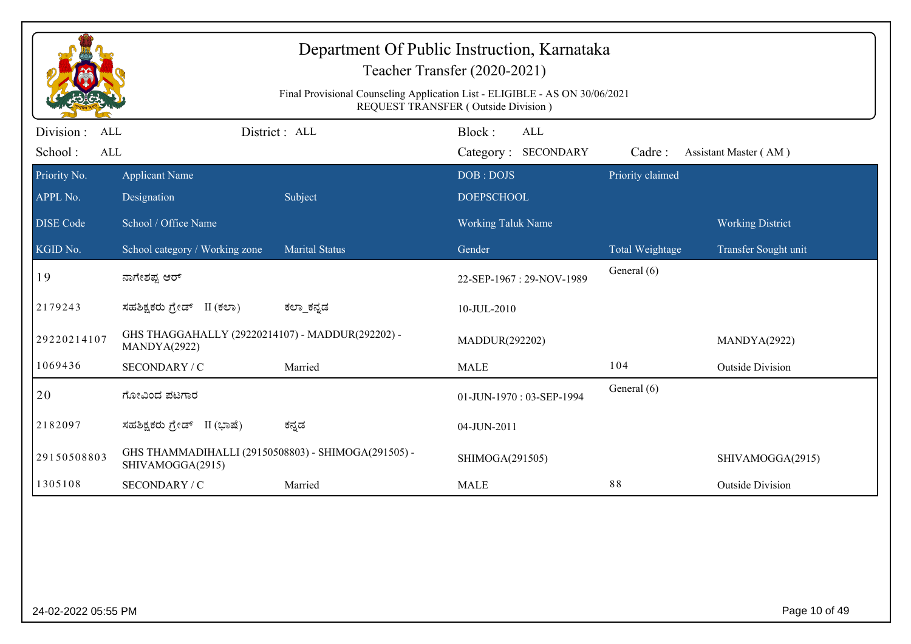| Department Of Public Instruction, Karnataka<br>Teacher Transfer (2020-2021)<br>Final Provisional Counseling Application List - ELIGIBLE - AS ON 30/06/2021<br>REQUEST TRANSFER (Outside Division) |                                                                         |                       |                                  |                            |                         |  |  |
|---------------------------------------------------------------------------------------------------------------------------------------------------------------------------------------------------|-------------------------------------------------------------------------|-----------------------|----------------------------------|----------------------------|-------------------------|--|--|
| Division :<br>ALL                                                                                                                                                                                 |                                                                         | District: ALL         | Block:<br><b>ALL</b>             |                            |                         |  |  |
| School:<br><b>ALL</b>                                                                                                                                                                             |                                                                         |                       | Category: SECONDARY<br>DOB: DOJS | Cadre:<br>Priority claimed | Assistant Master (AM)   |  |  |
| Priority No.<br>APPL No.                                                                                                                                                                          | <b>Applicant Name</b><br>Designation                                    | Subject               | <b>DOEPSCHOOL</b>                |                            |                         |  |  |
| <b>DISE</b> Code                                                                                                                                                                                  | School / Office Name                                                    |                       | <b>Working Taluk Name</b>        |                            | <b>Working District</b> |  |  |
| KGID No.                                                                                                                                                                                          | School category / Working zone                                          | <b>Marital Status</b> | Gender                           | Total Weightage            | Transfer Sought unit    |  |  |
| 19                                                                                                                                                                                                | ನಾಗೇಶಪ್ಪ ಆರ್                                                            |                       | 22-SEP-1967: 29-NOV-1989         | General (6)                |                         |  |  |
| 2179243                                                                                                                                                                                           | ಸಹಶಿಕ್ಷಕರು ಗ್ರೇಡ್ II (ಕಲಾ)                                              | ಕಲ್_ಕನ್ನಡ             | 10-JUL-2010                      |                            |                         |  |  |
| 29220214107                                                                                                                                                                                       | GHS THAGGAHALLY (29220214107) - MADDUR(292202) -<br>MANDYA(2922)        |                       | MADDUR(292202)                   |                            | MANDYA(2922)            |  |  |
| 1069436                                                                                                                                                                                           | SECONDARY / C                                                           | Married               | <b>MALE</b>                      | 104                        | <b>Outside Division</b> |  |  |
| 20                                                                                                                                                                                                | ಗೋವಿಂದ ಪಟಗಾರ                                                            |                       | 01-JUN-1970: 03-SEP-1994         | General (6)                |                         |  |  |
| 2182097                                                                                                                                                                                           | ಸಹಶಿಕ್ಷಕರು ಗ್ರೇಡ್ II (ಭಾಷೆ)                                             | ಕನ್ನಡ                 | 04-JUN-2011                      |                            |                         |  |  |
| 29150508803                                                                                                                                                                                       | GHS THAMMADIHALLI (29150508803) - SHIMOGA(291505) -<br>SHIVAMOGGA(2915) |                       | SHIMOGA(291505)                  |                            | SHIVAMOGGA(2915)        |  |  |
| 1305108                                                                                                                                                                                           | SECONDARY / C                                                           | Married               | <b>MALE</b>                      | 88                         | <b>Outside Division</b> |  |  |
|                                                                                                                                                                                                   |                                                                         |                       |                                  |                            |                         |  |  |
| 24-02-2022 05:55 PM                                                                                                                                                                               |                                                                         |                       |                                  |                            | Page 10 of 49           |  |  |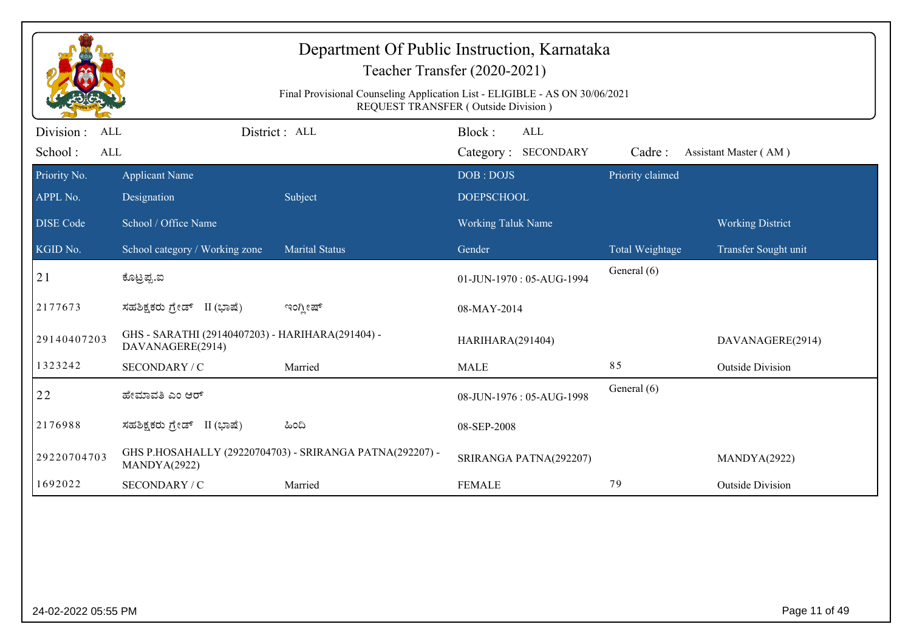|                                     | Department Of Public Instruction, Karnataka<br>Teacher Transfer (2020-2021)<br>Final Provisional Counseling Application List - ELIGIBLE - AS ON 30/06/2021<br><b>REQUEST TRANSFER (Outside Division)</b> |                                                          |                                             |                  |                         |  |  |  |
|-------------------------------------|----------------------------------------------------------------------------------------------------------------------------------------------------------------------------------------------------------|----------------------------------------------------------|---------------------------------------------|------------------|-------------------------|--|--|--|
| Division :<br>ALL<br>School:<br>ALL |                                                                                                                                                                                                          | District: ALL                                            | Block:<br><b>ALL</b><br>Category: SECONDARY | Cadre:           | Assistant Master (AM)   |  |  |  |
| Priority No.<br>APPL No.            | <b>Applicant Name</b><br>Designation                                                                                                                                                                     | Subject                                                  | DOB: DOJS<br><b>DOEPSCHOOL</b>              | Priority claimed |                         |  |  |  |
| <b>DISE Code</b>                    | School / Office Name                                                                                                                                                                                     |                                                          | <b>Working Taluk Name</b>                   |                  | <b>Working District</b> |  |  |  |
| KGID No.                            | School category / Working zone                                                                                                                                                                           | <b>Marital Status</b>                                    | Gender                                      | Total Weightage  | Transfer Sought unit    |  |  |  |
| 21                                  | ಕೊಟ್ರಪ್ಪ.ಐ                                                                                                                                                                                               |                                                          | 01-JUN-1970: 05-AUG-1994                    | General (6)      |                         |  |  |  |
| 2177673                             | ಸಹಶಿಕ್ಷಕರು ಗ್ರೇಡ್ II (ಭಾಷೆ)                                                                                                                                                                              | ಇಂಗ್ಲೀಷ್                                                 | 08-MAY-2014                                 |                  |                         |  |  |  |
| 29140407203                         | GHS - SARATHI (29140407203) - HARIHARA(291404) -<br>DAVANAGERE(2914)                                                                                                                                     |                                                          | HARIHARA(291404)                            |                  | DAVANAGERE(2914)        |  |  |  |
| 1323242                             | SECONDARY / C                                                                                                                                                                                            | Married                                                  | <b>MALE</b>                                 | 85               | <b>Outside Division</b> |  |  |  |
| 22                                  | ಹೇಮಾವತಿ ಎಂ ಆರ್                                                                                                                                                                                           |                                                          | 08-JUN-1976: 05-AUG-1998                    | General (6)      |                         |  |  |  |
| 2176988                             | ಸಹಶಿಕ್ಷಕರು ಗ್ರೇಡ್ II (ಭಾಷೆ)                                                                                                                                                                              | ಹಿಂದಿ                                                    | 08-SEP-2008                                 |                  |                         |  |  |  |
| 29220704703                         | MANDYA(2922)                                                                                                                                                                                             | GHS P.HOSAHALLY (29220704703) - SRIRANGA PATNA(292207) - | SRIRANGA PATNA(292207)                      |                  | MANDYA(2922)            |  |  |  |
| 1692022                             | SECONDARY / C                                                                                                                                                                                            | Married                                                  | <b>FEMALE</b>                               | 79               | <b>Outside Division</b> |  |  |  |
|                                     |                                                                                                                                                                                                          |                                                          |                                             |                  |                         |  |  |  |
| 24-02-2022 05:55 PM                 |                                                                                                                                                                                                          |                                                          |                                             |                  | Page 11 of 49           |  |  |  |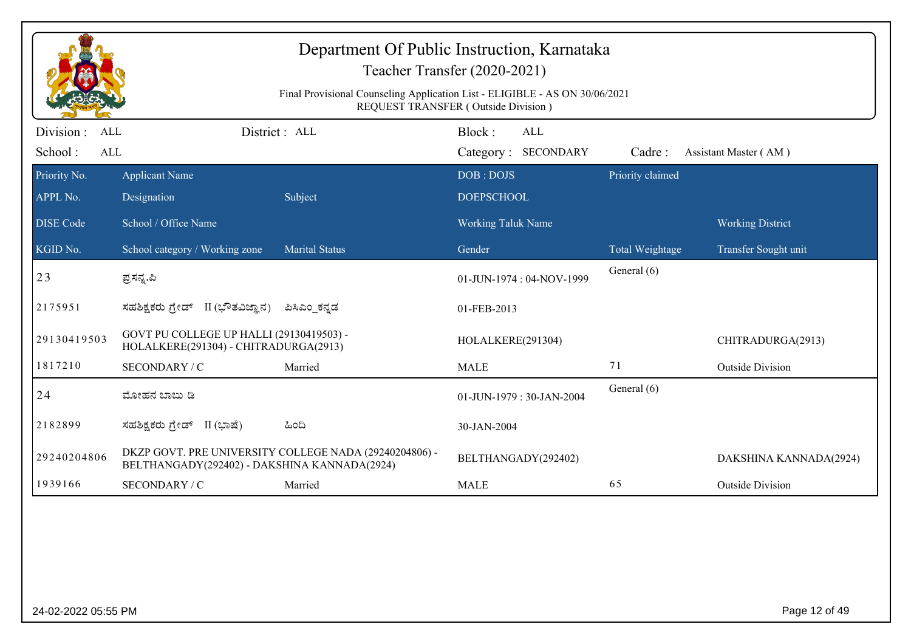|                                                  | Department Of Public Instruction, Karnataka<br>Teacher Transfer (2020-2021)<br>Final Provisional Counseling Application List - ELIGIBLE - AS ON 30/06/2021<br>REQUEST TRANSFER (Outside Division) |                                                        |                                      |                  |                         |  |  |  |
|--------------------------------------------------|---------------------------------------------------------------------------------------------------------------------------------------------------------------------------------------------------|--------------------------------------------------------|--------------------------------------|------------------|-------------------------|--|--|--|
| Division:<br><b>ALL</b><br>School:<br><b>ALL</b> |                                                                                                                                                                                                   | District : ALL                                         | Block:<br>ALL<br>Category: SECONDARY | Cadre:           | Assistant Master (AM)   |  |  |  |
| Priority No.<br>APPL No.                         | <b>Applicant Name</b><br>Designation                                                                                                                                                              | Subject                                                | DOB: DOJS<br><b>DOEPSCHOOL</b>       | Priority claimed |                         |  |  |  |
| <b>DISE Code</b>                                 | School / Office Name                                                                                                                                                                              |                                                        | <b>Working Taluk Name</b>            |                  | <b>Working District</b> |  |  |  |
| KGID No.                                         | School category / Working zone                                                                                                                                                                    | <b>Marital Status</b>                                  | Gender                               | Total Weightage  | Transfer Sought unit    |  |  |  |
| 23                                               | ಪ್ರಸನ್ನ.ಪಿ                                                                                                                                                                                        |                                                        | 01-JUN-1974: 04-NOV-1999             | General (6)      |                         |  |  |  |
| 2175951                                          | ಸಹಶಿಕ್ಷಕರು ಗ್ರೇಡ್ II (ಭೌತವಿಜ್ಞಾನ)                                                                                                                                                                 | ಪಿಸಿಎಂ ಕನ್ನಡ                                           | 01-FEB-2013                          |                  |                         |  |  |  |
| 29130419503                                      | GOVT PU COLLEGE UP HALLI (29130419503) -<br>HOLALKERE(291304) - CHITRADURGA(2913)                                                                                                                 |                                                        | HOLALKERE(291304)                    |                  | CHITRADURGA(2913)       |  |  |  |
| 1817210                                          | SECONDARY / C                                                                                                                                                                                     | Married                                                | <b>MALE</b>                          | 71               | <b>Outside Division</b> |  |  |  |
| 24                                               | ಮೋಹನ ಬಾಬು ಡಿ                                                                                                                                                                                      |                                                        | 01-JUN-1979: 30-JAN-2004             | General (6)      |                         |  |  |  |
| 2182899                                          | ಸಹಶಿಕ್ಷಕರು ಗ್ರೇಡ್ II (ಭಾಷೆ)                                                                                                                                                                       | ಹಿಂದಿ                                                  | 30-JAN-2004                          |                  |                         |  |  |  |
| 29240204806                                      | BELTHANGADY(292402) - DAKSHINA KANNADA(2924)                                                                                                                                                      | DKZP GOVT. PRE UNIVERSITY COLLEGE NADA (29240204806) - | BELTHANGADY(292402)                  |                  | DAKSHINA KANNADA(2924)  |  |  |  |
| 1939166                                          | SECONDARY / C                                                                                                                                                                                     | Married                                                | <b>MALE</b>                          | 65               | <b>Outside Division</b> |  |  |  |
|                                                  |                                                                                                                                                                                                   |                                                        |                                      |                  |                         |  |  |  |
| 24-02-2022 05:55 PM                              |                                                                                                                                                                                                   |                                                        |                                      |                  | Page 12 of 49           |  |  |  |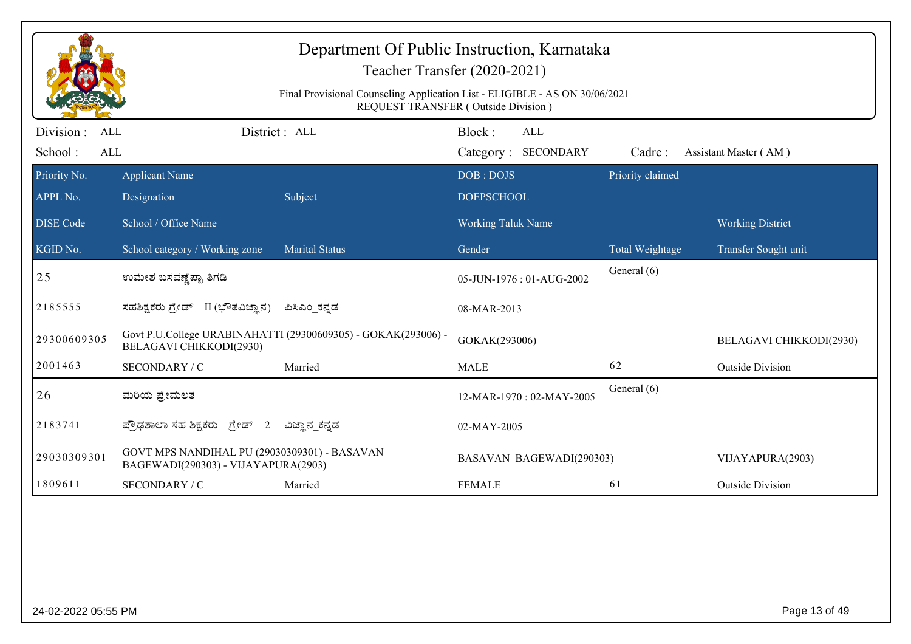|                                                   |                                                                                     | Department Of Public Instruction, Karnataka<br>Teacher Transfer (2020-2021)<br>Final Provisional Counseling Application List - ELIGIBLE - AS ON 30/06/2021<br>REQUEST TRANSFER (Outside Division) |                                |                                   |                  |                         |
|---------------------------------------------------|-------------------------------------------------------------------------------------|---------------------------------------------------------------------------------------------------------------------------------------------------------------------------------------------------|--------------------------------|-----------------------------------|------------------|-------------------------|
| Division :<br><b>ALL</b><br>School:<br><b>ALL</b> |                                                                                     | District : ALL                                                                                                                                                                                    | Block:                         | <b>ALL</b><br>Category: SECONDARY | Cadre:           | Assistant Master (AM)   |
| Priority No.<br>APPL No.                          | <b>Applicant Name</b><br>Designation                                                | Subject                                                                                                                                                                                           | DOB: DOJS<br><b>DOEPSCHOOL</b> |                                   | Priority claimed |                         |
| <b>DISE Code</b>                                  | School / Office Name                                                                |                                                                                                                                                                                                   | <b>Working Taluk Name</b>      |                                   |                  | <b>Working District</b> |
| KGID No.                                          | School category / Working zone                                                      | Marital Status                                                                                                                                                                                    | Gender                         |                                   | Total Weightage  | Transfer Sought unit    |
| 25                                                | ಉಮೇಶ ಬಸವಣ್ಣೆಪ್ಪಾ ತಿಗಡಿ                                                              |                                                                                                                                                                                                   |                                | 05-JUN-1976: 01-AUG-2002          | General (6)      |                         |
| 2185555                                           | ಸಹಶಿಕ್ಷಕರು ಗ್ರೇಡ್ II (ಭೌತವಿಜ್ಞಾನ)                                                   | ಪಿಸಿಎಂ_ಕನ್ನಡ                                                                                                                                                                                      | 08-MAR-2013                    |                                   |                  |                         |
| 29300609305                                       | BELAGAVI CHIKKODI(2930)                                                             | Govt P.U.College URABINAHATTI (29300609305) - GOKAK(293006) -                                                                                                                                     | GOKAK(293006)                  |                                   |                  | BELAGAVI CHIKKODI(2930) |
| 2001463                                           | SECONDARY / C                                                                       | Married                                                                                                                                                                                           | <b>MALE</b>                    |                                   | 62               | <b>Outside Division</b> |
| 26                                                | ಮರಿಯ ಪ್ರೇಮಲತ                                                                        |                                                                                                                                                                                                   |                                | 12-MAR-1970: 02-MAY-2005          | General (6)      |                         |
| 2183741                                           | ಪ್ರೌಢಶಾಲಾ ಸಹ ಶಿಕ್ಷಕರು ಗ್ರೇಡ್ 2                                                      | ವಿಜ್ಞಾನ_ಕನ್ನಡ                                                                                                                                                                                     | 02-MAY-2005                    |                                   |                  |                         |
| 29030309301                                       | GOVT MPS NANDIHAL PU (29030309301) - BASAVAN<br>BAGEWADI(290303) - VIJAYAPURA(2903) |                                                                                                                                                                                                   |                                | BASAVAN BAGEWADI(290303)          |                  | VIJAYAPURA(2903)        |
| 1809611                                           | SECONDARY / C                                                                       | Married                                                                                                                                                                                           | <b>FEMALE</b>                  |                                   | 61               | <b>Outside Division</b> |
|                                                   |                                                                                     |                                                                                                                                                                                                   |                                |                                   |                  |                         |
| 24-02-2022 05:55 PM                               |                                                                                     |                                                                                                                                                                                                   |                                |                                   |                  | Page 13 of 49           |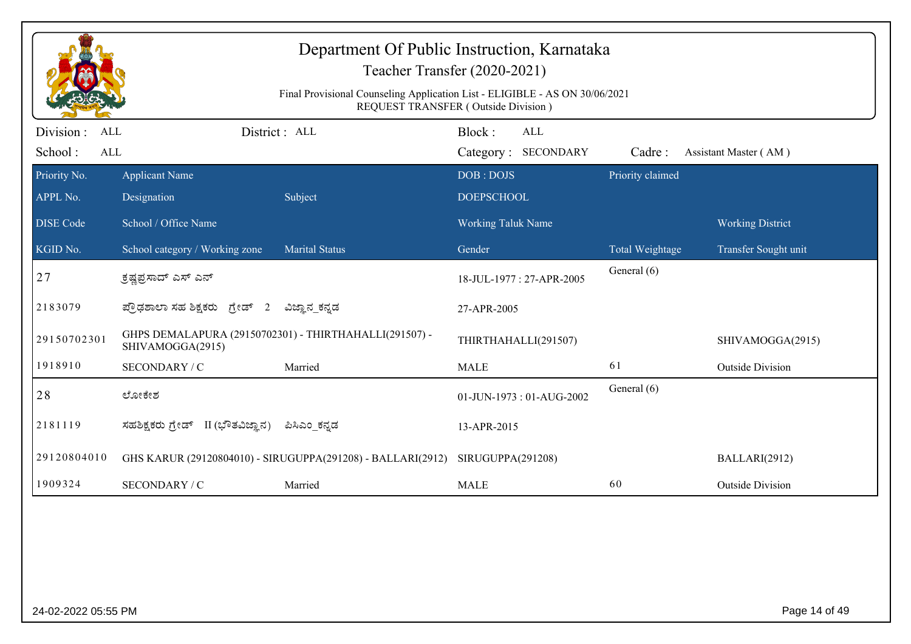|                                                   |                                                                            | Department Of Public Instruction, Karnataka<br>Teacher Transfer (2020-2021)<br>Final Provisional Counseling Application List - ELIGIBLE - AS ON 30/06/2021<br><b>REQUEST TRANSFER (Outside Division)</b> |                                |                                   |                  |                         |
|---------------------------------------------------|----------------------------------------------------------------------------|----------------------------------------------------------------------------------------------------------------------------------------------------------------------------------------------------------|--------------------------------|-----------------------------------|------------------|-------------------------|
| Division :<br><b>ALL</b><br>School:<br><b>ALL</b> |                                                                            | District: ALL                                                                                                                                                                                            | Block:                         | <b>ALL</b><br>Category: SECONDARY | Cadre:           | Assistant Master (AM)   |
| Priority No.<br>APPL No.                          | <b>Applicant Name</b><br>Designation                                       | Subject                                                                                                                                                                                                  | DOB: DOJS<br><b>DOEPSCHOOL</b> |                                   | Priority claimed |                         |
| <b>DISE Code</b>                                  | School / Office Name                                                       |                                                                                                                                                                                                          | <b>Working Taluk Name</b>      |                                   |                  | <b>Working District</b> |
| KGID No.                                          | School category / Working zone                                             | <b>Marital Status</b>                                                                                                                                                                                    | Gender                         |                                   | Total Weightage  | Transfer Sought unit    |
| 27                                                | ್ರತ್ವಪ್ರಸಾದ್ ಎಸ್ ಎನ್                                                       |                                                                                                                                                                                                          |                                | 18-JUL-1977: 27-APR-2005          | General (6)      |                         |
| 2183079                                           | ಪ್ರೌಢಶಾಲಾ ಸಹ ಶಿಕ್ಷಕರು ಗ್ರೇಡ್ 2                                             | ವಿಜ್ಞಾನ_ಕನ್ನಡ                                                                                                                                                                                            | 27-APR-2005                    |                                   |                  |                         |
| 29150702301                                       | GHPS DEMALAPURA (29150702301) - THIRTHAHALLI(291507) -<br>SHIVAMOGGA(2915) |                                                                                                                                                                                                          |                                | THIRTHAHALLI(291507)              |                  | SHIVAMOGGA(2915)        |
| 1918910                                           | SECONDARY / C                                                              | Married                                                                                                                                                                                                  | <b>MALE</b>                    |                                   | 61               | <b>Outside Division</b> |
| 28                                                | ಲೋಕೇಶ                                                                      |                                                                                                                                                                                                          |                                | 01-JUN-1973: 01-AUG-2002          | General (6)      |                         |
| 2181119                                           | ಸಹಶಿಕ್ಷಕರು ಗ್ರೇಡ್ II (ಭೌತವಿಜ್ಞಾನ)                                          | ಪಿಸಿಎಂ ಕನ್ನಡ                                                                                                                                                                                             | 13-APR-2015                    |                                   |                  |                         |
| 29120804010                                       |                                                                            | GHS KARUR (29120804010) - SIRUGUPPA(291208) - BALLARI(2912)                                                                                                                                              | SIRUGUPPA(291208)              |                                   |                  | BALLARI(2912)           |
| 1909324                                           | SECONDARY / C                                                              | Married                                                                                                                                                                                                  | <b>MALE</b>                    |                                   | 60               | <b>Outside Division</b> |
|                                                   |                                                                            |                                                                                                                                                                                                          |                                |                                   |                  |                         |
| 24-02-2022 05:55 PM                               |                                                                            |                                                                                                                                                                                                          |                                |                                   |                  | Page 14 of 49           |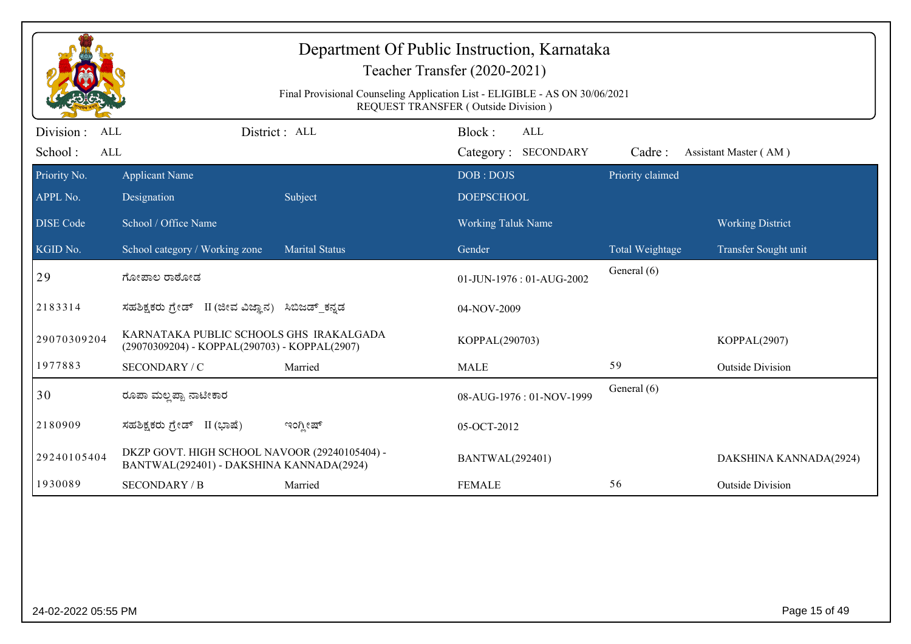|                                                   |                                                                                           | Department Of Public Instruction, Karnataka<br>Final Provisional Counseling Application List - ELIGIBLE - AS ON 30/06/2021 | Teacher Transfer (2020-2021)<br>REQUEST TRANSFER (Outside Division) |                  |                         |
|---------------------------------------------------|-------------------------------------------------------------------------------------------|----------------------------------------------------------------------------------------------------------------------------|---------------------------------------------------------------------|------------------|-------------------------|
| Division :<br><b>ALL</b><br>School:<br><b>ALL</b> |                                                                                           | District: ALL                                                                                                              | Block:<br>ALL<br>Category: SECONDARY                                | Cadre:           | Assistant Master (AM)   |
| Priority No.<br>APPL No.                          | <b>Applicant Name</b><br>Designation                                                      | Subject                                                                                                                    | DOB: DOJS<br><b>DOEPSCHOOL</b>                                      | Priority claimed |                         |
| <b>DISE Code</b>                                  | School / Office Name                                                                      |                                                                                                                            | Working Taluk Name                                                  |                  | <b>Working District</b> |
| KGID No.                                          | School category / Working zone                                                            | <b>Marital Status</b>                                                                                                      | Gender                                                              | Total Weightage  | Transfer Sought unit    |
| 29                                                | ಗೋಪಾಲ ರಾಠೋಡ                                                                               |                                                                                                                            | 01-JUN-1976: 01-AUG-2002                                            | General (6)      |                         |
| 2183314                                           | ಸಹಶಿಕ್ಷಕರು ಗ್ರೇಡ್ II (ಜೀವ ವಿಜ್ಞಾನ) ಸಿಬಿಜಡ್ ಕನ್ನಡ                                          |                                                                                                                            | 04-NOV-2009                                                         |                  |                         |
| 29070309204                                       | KARNATAKA PUBLIC SCHOOLS GHS IRAKALGADA<br>(29070309204) - KOPPAL(290703) - KOPPAL(2907)  |                                                                                                                            | KOPPAL(290703)                                                      |                  | KOPPAL(2907)            |
| 1977883                                           | SECONDARY / C                                                                             | Married                                                                                                                    | <b>MALE</b>                                                         | 59               | <b>Outside Division</b> |
| 30                                                | ರೂಪಾ ಮಲ್ಲಪ್ಪಾ ನಾಟೀಕಾರ                                                                     |                                                                                                                            | 08-AUG-1976: 01-NOV-1999                                            | General (6)      |                         |
| 2180909                                           | ಸಹಶಿಕ್ಷಕರು ಗ್ರೇಡ್ II (ಭಾಷೆ)                                                               | ಇಂಗ್ಲೀಷ್                                                                                                                   | 05-OCT-2012                                                         |                  |                         |
| 29240105404                                       | DKZP GOVT. HIGH SCHOOL NAVOOR (29240105404) -<br>BANTWAL(292401) - DAKSHINA KANNADA(2924) |                                                                                                                            | <b>BANTWAL(292401)</b>                                              |                  | DAKSHINA KANNADA(2924)  |
| 1930089                                           | <b>SECONDARY / B</b>                                                                      | Married                                                                                                                    | <b>FEMALE</b>                                                       | 56               | <b>Outside Division</b> |
|                                                   |                                                                                           |                                                                                                                            |                                                                     |                  |                         |
| 24-02-2022 05:55 PM                               |                                                                                           |                                                                                                                            |                                                                     |                  | Page 15 of 49           |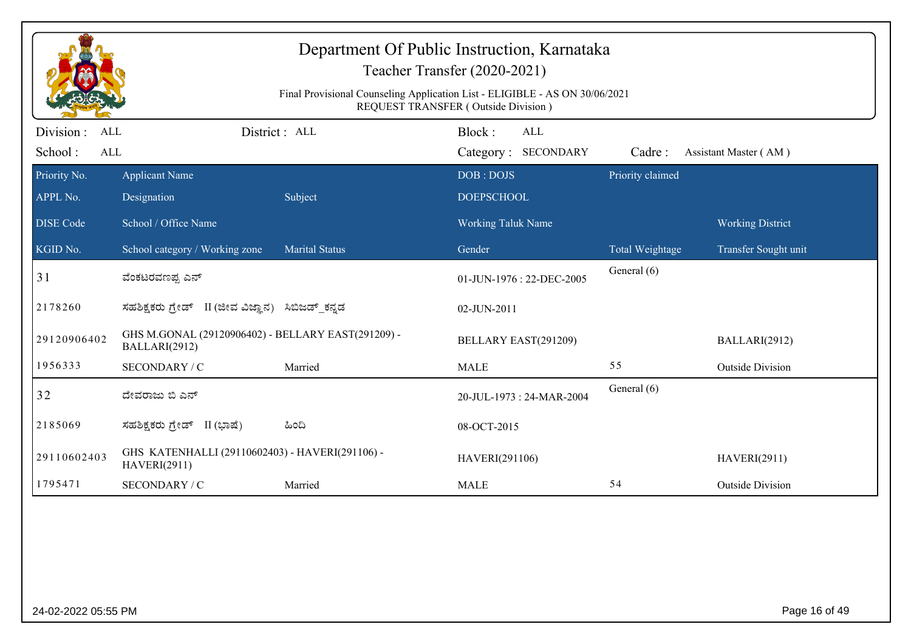|                                     |                                                                        | Department Of Public Instruction, Karnataka<br>Final Provisional Counseling Application List - ELIGIBLE - AS ON 30/06/2021 | Teacher Transfer (2020-2021)<br>REQUEST TRANSFER (Outside Division) |                  |                         |
|-------------------------------------|------------------------------------------------------------------------|----------------------------------------------------------------------------------------------------------------------------|---------------------------------------------------------------------|------------------|-------------------------|
| Division :<br>ALL<br>School:<br>ALL |                                                                        | District: ALL                                                                                                              | Block:<br><b>ALL</b><br>Category: SECONDARY                         | Cadre:           | Assistant Master (AM)   |
| Priority No.                        | <b>Applicant Name</b>                                                  |                                                                                                                            | DOB: DOJS                                                           | Priority claimed |                         |
| APPL No.                            | Designation                                                            | Subject                                                                                                                    | <b>DOEPSCHOOL</b>                                                   |                  |                         |
| <b>DISE Code</b>                    | School / Office Name                                                   |                                                                                                                            | <b>Working Taluk Name</b>                                           |                  | <b>Working District</b> |
| KGID No.                            | School category / Working zone                                         | <b>Marital Status</b>                                                                                                      | Gender                                                              | Total Weightage  | Transfer Sought unit    |
| 31                                  | ವೆಂಕಟರವಣಪ್ಪ ಎನ್                                                        |                                                                                                                            | 01-JUN-1976: 22-DEC-2005                                            | General (6)      |                         |
| 2178260                             | ಸಹಶಿಕ್ಷಕರು ಗ್ರೇಡ್ II (ಜೀವ ವಿಜ್ಞಾನ) ಸಿಬಿಜಡ್ ಕನ್ನಡ                       |                                                                                                                            | 02-JUN-2011                                                         |                  |                         |
| 29120906402                         | GHS M.GONAL (29120906402) - BELLARY EAST(291209) -<br>BALLARI(2912)    |                                                                                                                            | BELLARY EAST(291209)                                                |                  | BALLARI(2912)           |
| 1956333                             | SECONDARY / C                                                          | Married                                                                                                                    | <b>MALE</b>                                                         | 55               | <b>Outside Division</b> |
| 32                                  | ದೇವರಾಜು ಬಿ ಎನ್                                                         |                                                                                                                            | 20-JUL-1973: 24-MAR-2004                                            | General (6)      |                         |
| 2185069                             | ಸಹಶಿಕ್ಷಕರು ಗ್ರೇಡ್ II (ಭಾಷೆ)                                            | ಹಿಂದಿ                                                                                                                      | 08-OCT-2015                                                         |                  |                         |
| 29110602403                         | GHS KATENHALLI (29110602403) - HAVERI(291106) -<br><b>HAVERI(2911)</b> |                                                                                                                            | HAVERI(291106)                                                      |                  | <b>HAVERI(2911)</b>     |
| 1795471                             | SECONDARY / C                                                          | Married                                                                                                                    | <b>MALE</b>                                                         | 54               | <b>Outside Division</b> |
|                                     |                                                                        |                                                                                                                            |                                                                     |                  |                         |
| 24-02-2022 05:55 PM                 |                                                                        |                                                                                                                            |                                                                     |                  | Page 16 of 49           |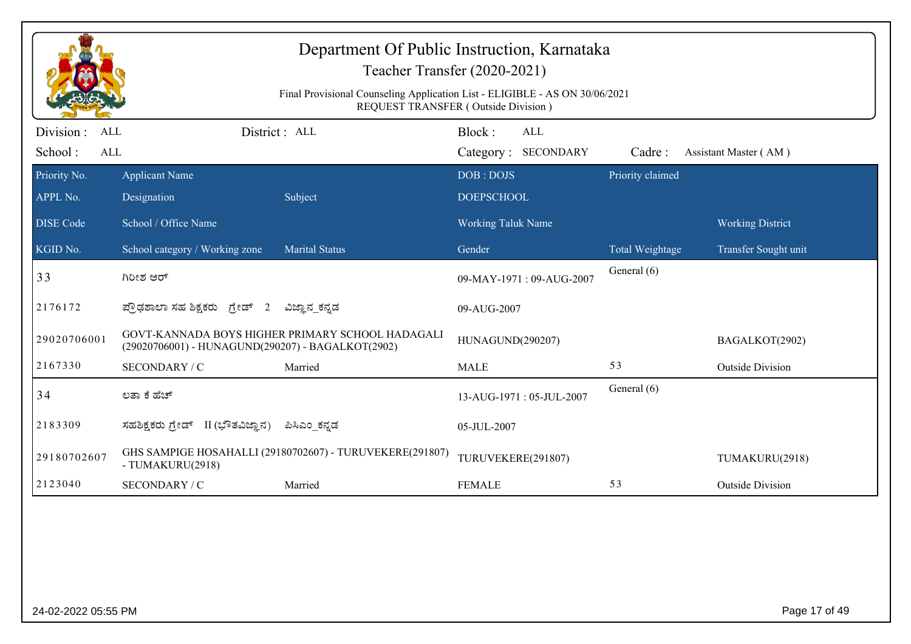|                                           |                                                   | Department Of Public Instruction, Karnataka                                 | Teacher Transfer (2020-2021)         |                  |                         |
|-------------------------------------------|---------------------------------------------------|-----------------------------------------------------------------------------|--------------------------------------|------------------|-------------------------|
|                                           |                                                   | Final Provisional Counseling Application List - ELIGIBLE - AS ON 30/06/2021 | REQUEST TRANSFER (Outside Division)  |                  |                         |
| Division:<br>ALL<br>School:<br><b>ALL</b> |                                                   | District : ALL                                                              | Block:<br>ALL<br>Category: SECONDARY | Cadre:           | Assistant Master (AM)   |
| Priority No.<br>APPL No.                  | <b>Applicant Name</b><br>Designation              | Subject                                                                     | DOB: DOJS<br><b>DOEPSCHOOL</b>       | Priority claimed |                         |
| <b>DISE</b> Code                          | School / Office Name                              |                                                                             | Working Taluk Name                   |                  | <b>Working District</b> |
| KGID No.                                  | School category / Working zone                    | <b>Marital Status</b>                                                       | Gender                               | Total Weightage  | Transfer Sought unit    |
| 33                                        | ಗಿರೀಶ ಆರ್                                         |                                                                             | 09-MAY-1971: 09-AUG-2007             | General (6)      |                         |
| 2176172                                   | ಪ್ರೌಢಶಾಲಾ ಸಹ ಶಿಕ್ಷಕರು ಗ್ರೇಡ್ 2                    | ವಿಜ್ಞಾನ_ಕನ್ನಡ                                                               | 09-AUG-2007                          |                  |                         |
| 29020706001                               | (29020706001) - HUNAGUND(290207) - BAGALKOT(2902) | GOVT-KANNADA BOYS HIGHER PRIMARY SCHOOL HADAGALI                            | HUNAGUND(290207)                     |                  | BAGALKOT(2902)          |
| 2167330                                   | SECONDARY / C                                     | Married                                                                     | <b>MALE</b>                          | 53               | <b>Outside Division</b> |
| 34                                        | ಲತಾ ಕೆ ಹೆಚ್                                       |                                                                             | 13-AUG-1971: 05-JUL-2007             | General (6)      |                         |
| 2183309                                   | ಸಹಶಿಕ್ಷಕರು ಗ್ರೇಡ್ II (ಭೌತವಿಜ್ಞಾನ)                 | ಪಿಸಿಎಂ_ಕನ್ನಡ                                                                | 05-JUL-2007                          |                  |                         |
| 29180702607                               | - TUMAKURU(2918)                                  | GHS SAMPIGE HOSAHALLI (29180702607) - TURUVEKERE(291807)                    | TURUVEKERE(291807)                   |                  | TUMAKURU(2918)          |
| 2123040                                   | SECONDARY / C                                     | Married                                                                     | <b>FEMALE</b>                        | 53               | <b>Outside Division</b> |
|                                           |                                                   |                                                                             |                                      |                  |                         |
|                                           |                                                   |                                                                             |                                      |                  |                         |
|                                           |                                                   |                                                                             |                                      |                  |                         |
| 24-02-2022 05:55 PM                       |                                                   |                                                                             |                                      |                  | Page 17 of 49           |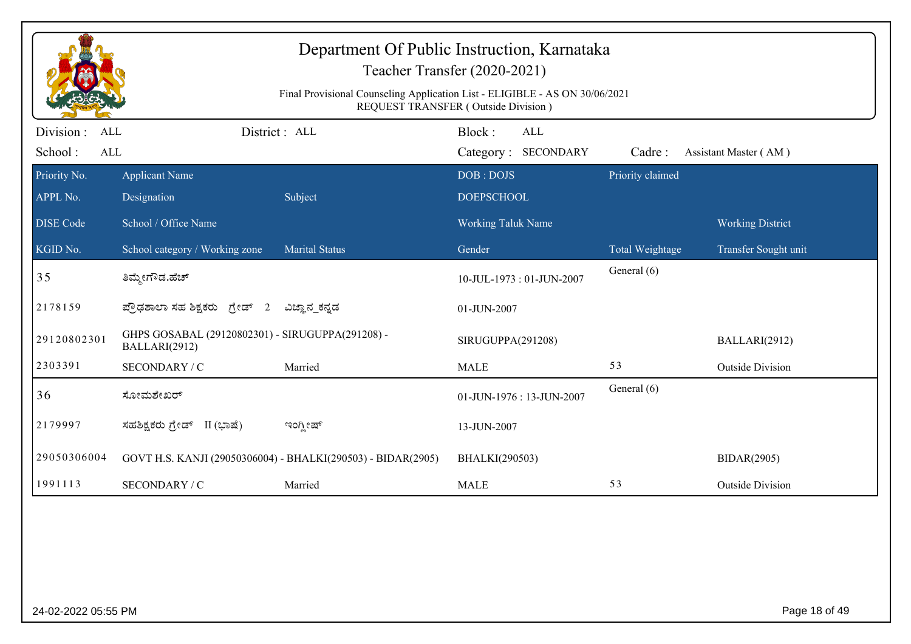|                          |                                                                   | Department Of Public Instruction, Karnataka<br>Final Provisional Counseling Application List - ELIGIBLE - AS ON 30/06/2021 | Teacher Transfer (2020-2021)<br>REQUEST TRANSFER (Outside Division) |                            |                         |
|--------------------------|-------------------------------------------------------------------|----------------------------------------------------------------------------------------------------------------------------|---------------------------------------------------------------------|----------------------------|-------------------------|
| Division :<br><b>ALL</b> |                                                                   | District: ALL                                                                                                              | Block:<br><b>ALL</b>                                                |                            |                         |
| School:<br><b>ALL</b>    |                                                                   |                                                                                                                            | Category: SECONDARY                                                 | Cadre:<br>Priority claimed | Assistant Master (AM)   |
| Priority No.<br>APPL No. | <b>Applicant Name</b><br>Designation                              | Subject                                                                                                                    | DOB: DOJS<br><b>DOEPSCHOOL</b>                                      |                            |                         |
| <b>DISE Code</b>         | School / Office Name                                              |                                                                                                                            | Working Taluk Name                                                  |                            | <b>Working District</b> |
| KGID No.                 | School category / Working zone                                    | <b>Marital Status</b>                                                                                                      | Gender                                                              | <b>Total Weightage</b>     | Transfer Sought unit    |
| 35                       | ತಿಮ್ಮೇಗೌಡ.ಹೆಚ್                                                    |                                                                                                                            | 10-JUL-1973: 01-JUN-2007                                            | General (6)                |                         |
| 2178159                  | ಪ್ರೌಢಶಾಲಾ ಸಹ ಶಿಕ್ಷಕರು ಗ್ರೇಡ್ 2                                    | ವಿಜ್ಞಾನ_ಕನ್ನಡ                                                                                                              | 01-JUN-2007                                                         |                            |                         |
| 29120802301              | GHPS GOSABAL (29120802301) - SIRUGUPPA(291208) -<br>BALLARI(2912) |                                                                                                                            | SIRUGUPPA(291208)                                                   |                            | BALLARI(2912)           |
| 2303391                  | SECONDARY / C                                                     | Married                                                                                                                    | <b>MALE</b>                                                         | 53                         | <b>Outside Division</b> |
| 36                       | ಸೋಮಶೇಖರ್                                                          |                                                                                                                            | 01-JUN-1976: 13-JUN-2007                                            | General (6)                |                         |
| 2179997                  | ಸಹಶಿಕ್ಷಕರು ಗ್ರೇಡ್ II (ಭಾಷೆ)                                       | ಇಂಗ್ಲೀಷ್                                                                                                                   | 13-JUN-2007                                                         |                            |                         |
| 29050306004              |                                                                   | GOVT H.S. KANJI (29050306004) - BHALKI(290503) - BIDAR(2905)                                                               | BHALKI(290503)                                                      |                            | <b>BIDAR(2905)</b>      |
| 1991113                  | SECONDARY / C                                                     | Married                                                                                                                    | <b>MALE</b>                                                         | 53                         | <b>Outside Division</b> |
|                          |                                                                   |                                                                                                                            |                                                                     |                            |                         |
| 24-02-2022 05:55 PM      |                                                                   |                                                                                                                            |                                                                     |                            | Page 18 of 49           |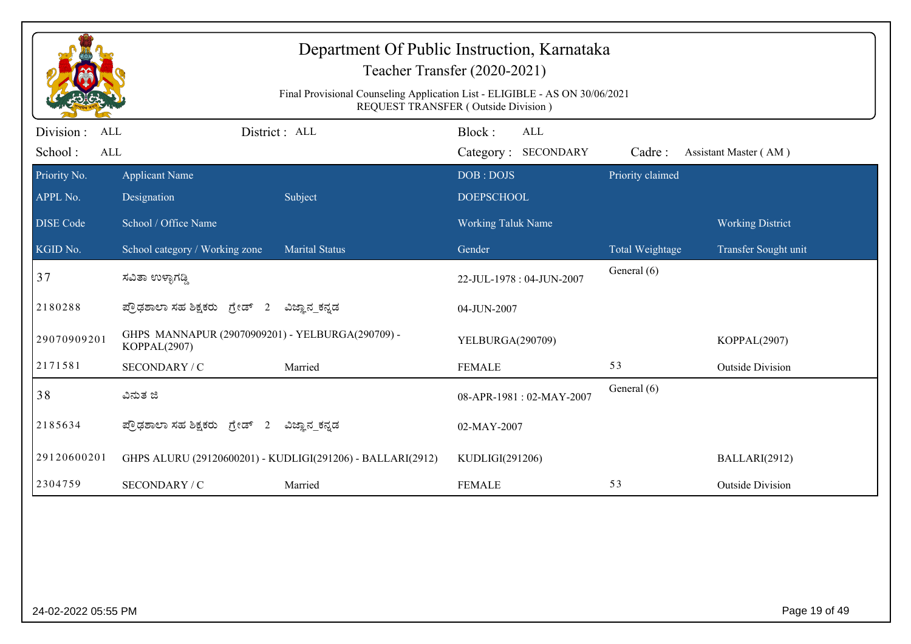|                                                  |                                                                  | Department Of Public Instruction, Karnataka<br>Teacher Transfer (2020-2021)<br>Final Provisional Counseling Application List - ELIGIBLE - AS ON 30/06/2021<br>REQUEST TRANSFER (Outside Division) |                                |                            |                  |                         |
|--------------------------------------------------|------------------------------------------------------------------|---------------------------------------------------------------------------------------------------------------------------------------------------------------------------------------------------|--------------------------------|----------------------------|------------------|-------------------------|
| Division:<br><b>ALL</b><br>School:<br><b>ALL</b> |                                                                  | District: ALL                                                                                                                                                                                     | Block:                         | ALL<br>Category: SECONDARY | Cadre:           | Assistant Master (AM)   |
| Priority No.<br>APPL No.                         | <b>Applicant Name</b><br>Designation                             | Subject                                                                                                                                                                                           | DOB: DOJS<br><b>DOEPSCHOOL</b> |                            | Priority claimed |                         |
| <b>DISE Code</b>                                 | School / Office Name                                             |                                                                                                                                                                                                   | Working Taluk Name             |                            |                  | <b>Working District</b> |
| KGID No.                                         | School category / Working zone                                   | <b>Marital Status</b>                                                                                                                                                                             | Gender                         |                            | Total Weightage  | Transfer Sought unit    |
| 37                                               | ಸವಿತಾ ಉಳ್ಳಾಗಡ್ಡಿ                                                 |                                                                                                                                                                                                   |                                | 22-JUL-1978: 04-JUN-2007   | General (6)      |                         |
| 2180288                                          | ಪ್ರೌಢಶಾಲಾ ಸಹ ಶಿಕ್ಷಕರು ಗ್ರೇಡ್ 2                                   | ವಿಜ್ಞಾನ_ಕನ್ನಡ                                                                                                                                                                                     | 04-JUN-2007                    |                            |                  |                         |
| 29070909201                                      | GHPS MANNAPUR (29070909201) - YELBURGA(290709) -<br>KOPPAL(2907) |                                                                                                                                                                                                   | YELBURGA(290709)               |                            |                  | KOPPAL(2907)            |
| 2171581                                          | SECONDARY / C                                                    | Married                                                                                                                                                                                           | <b>FEMALE</b>                  |                            | 53               | <b>Outside Division</b> |
| 38                                               | ವಿನುತ ಜಿ                                                         |                                                                                                                                                                                                   |                                | 08-APR-1981: 02-MAY-2007   | General (6)      |                         |
| 2185634                                          | ಪ್ರೌಢಶಾಲಾ ಸಹ ಶಿಕ್ಷಕರು ಗ್ರೇಡ್ 2                                   | ವಿಜ್ಞಾನ_ಕನ್ನಡ                                                                                                                                                                                     | 02-MAY-2007                    |                            |                  |                         |
| 29120600201                                      |                                                                  | GHPS ALURU (29120600201) - KUDLIGI(291206) - BALLARI(2912)                                                                                                                                        | KUDLIGI(291206)                |                            |                  | BALLARI(2912)           |
| 2304759                                          | SECONDARY / C                                                    | Married                                                                                                                                                                                           | <b>FEMALE</b>                  |                            | 53               | <b>Outside Division</b> |
|                                                  |                                                                  |                                                                                                                                                                                                   |                                |                            |                  |                         |
| 24-02-2022 05:55 PM                              |                                                                  |                                                                                                                                                                                                   |                                |                            |                  | Page 19 of 49           |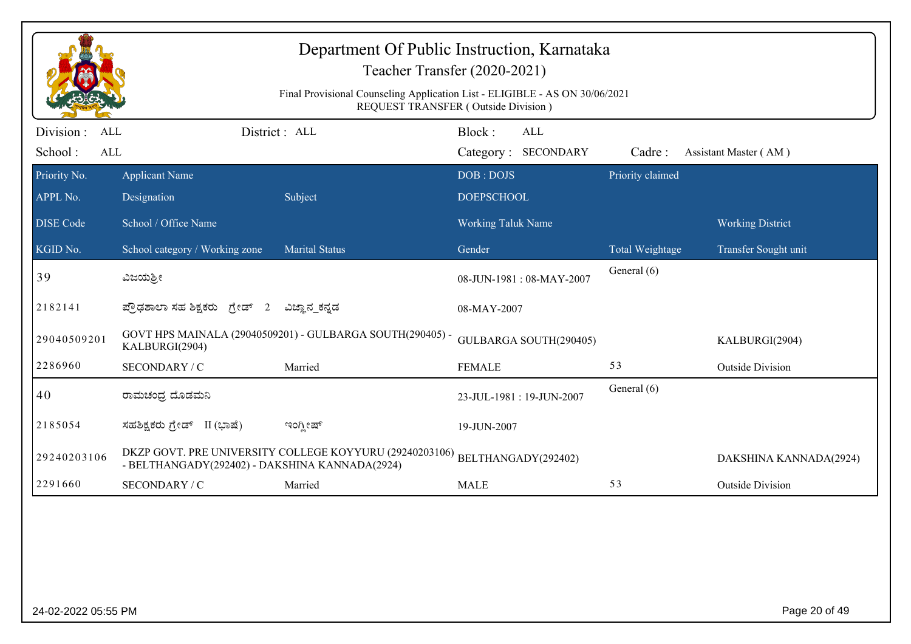|                                            |                                                | Department Of Public Instruction, Karnataka<br>Teacher Transfer (2020-2021)<br>Final Provisional Counseling Application List - ELIGIBLE - AS ON 30/06/2021 |                                |                            |                  |                         |
|--------------------------------------------|------------------------------------------------|------------------------------------------------------------------------------------------------------------------------------------------------------------|--------------------------------|----------------------------|------------------|-------------------------|
| Division :<br><b>ALL</b><br>School:<br>ALL | District: ALL                                  | REQUEST TRANSFER (Outside Division)                                                                                                                        | Block:                         | ALL<br>Category: SECONDARY | Cadre:           | Assistant Master (AM)   |
| Priority No.<br>APPL No.                   | <b>Applicant Name</b><br>Designation           | Subject                                                                                                                                                    | DOB: DOJS<br><b>DOEPSCHOOL</b> |                            | Priority claimed |                         |
| <b>DISE Code</b>                           | School / Office Name                           |                                                                                                                                                            | <b>Working Taluk Name</b>      |                            |                  | <b>Working District</b> |
| KGID No.                                   | School category / Working zone                 | <b>Marital Status</b>                                                                                                                                      | Gender                         |                            | Total Weightage  | Transfer Sought unit    |
| 39                                         | ವಿಜಯಶ್ರೀ                                       |                                                                                                                                                            |                                | 08-JUN-1981: 08-MAY-2007   | General (6)      |                         |
| 2182141                                    | ಪ್ರೌಢಶಾಲಾ ಸಹ ಶಿಕ್ಷಕರು ಗ್ರೇಡ್ 2                 | ವಿಜ್ಞಾನ_ಕನ್ನಡ                                                                                                                                              | 08-MAY-2007                    |                            |                  |                         |
| 29040509201                                | KALBURGI(2904)                                 | GOVT HPS MAINALA (29040509201) - GULBARGA SOUTH(290405) -                                                                                                  |                                | GULBARGA SOUTH(290405)     |                  | KALBURGI(2904)          |
| 2286960                                    | SECONDARY / C                                  | Married                                                                                                                                                    | <b>FEMALE</b>                  |                            | 53               | <b>Outside Division</b> |
| 40                                         | ರಾಮಚಂದ್ರ ದೊಡಮನಿ                                |                                                                                                                                                            | 23-JUL-1981: 19-JUN-2007       |                            | General (6)      |                         |
| 2185054                                    | ಸಹಶಿಕ್ಷಕರು ಗ್ರೇಡ್ II (ಭಾಷೆ)                    | ಇಂಗ್ಲೀಷ್                                                                                                                                                   | 19-JUN-2007                    |                            |                  |                         |
| 29240203106                                | - BELTHANGADY(292402) - DAKSHINA KANNADA(2924) | DKZP GOVT. PRE UNIVERSITY COLLEGE KOYYURU (29240203106)                                                                                                    | BELTHANGADY(292402)            |                            |                  | DAKSHINA KANNADA(2924)  |
| 2291660                                    | SECONDARY / C                                  | Married                                                                                                                                                    | <b>MALE</b>                    |                            | 53               | <b>Outside Division</b> |
|                                            |                                                |                                                                                                                                                            |                                |                            |                  |                         |
| 24-02-2022 05:55 PM                        |                                                |                                                                                                                                                            |                                |                            |                  | Page 20 of 49           |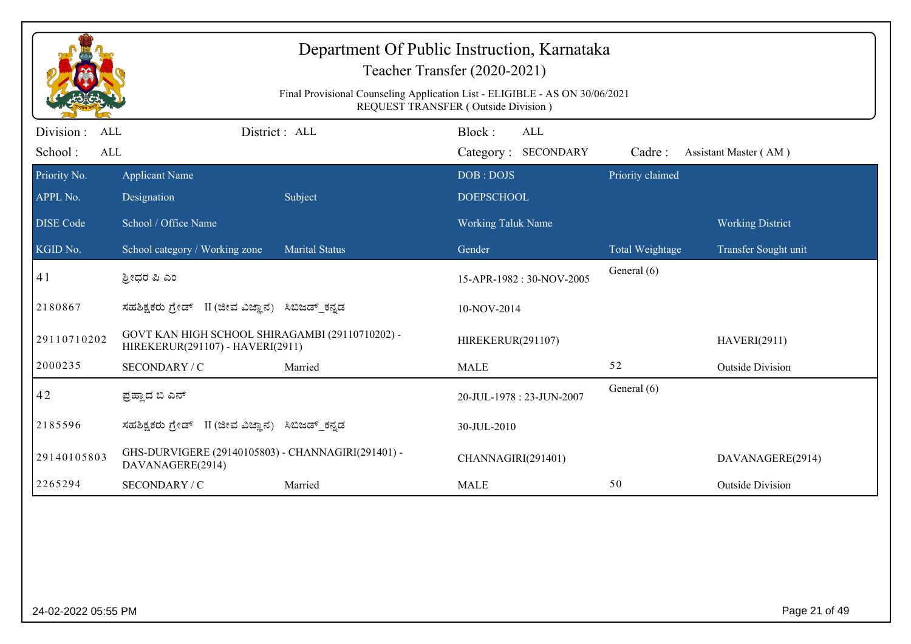|                                     |                                                                                     | Department Of Public Instruction, Karnataka<br>Final Provisional Counseling Application List - ELIGIBLE - AS ON 30/06/2021 | Teacher Transfer (2020-2021)<br><b>REQUEST TRANSFER (Outside Division)</b> |                  |                         |
|-------------------------------------|-------------------------------------------------------------------------------------|----------------------------------------------------------------------------------------------------------------------------|----------------------------------------------------------------------------|------------------|-------------------------|
| Division :<br>ALL<br>School:<br>ALL |                                                                                     | District: ALL                                                                                                              | Block:<br><b>ALL</b><br>Category: SECONDARY                                | Cadre:           | Assistant Master (AM)   |
| Priority No.<br>APPL No.            | <b>Applicant Name</b><br>Designation                                                | Subject                                                                                                                    | DOB: DOJS<br><b>DOEPSCHOOL</b>                                             | Priority claimed |                         |
| <b>DISE Code</b>                    | School / Office Name                                                                |                                                                                                                            | Working Taluk Name                                                         |                  | <b>Working District</b> |
| KGID No.                            | School category / Working zone                                                      | <b>Marital Status</b>                                                                                                      | Gender                                                                     | Total Weightage  | Transfer Sought unit    |
| 41                                  | ಶ್ರೀಧರ ಪಿ ಎಂ                                                                        |                                                                                                                            | 15-APR-1982: 30-NOV-2005                                                   | General (6)      |                         |
| 2180867                             | ಸಹಶಿಕ್ಷಕರು ಗ್ರೇಡ್ II (ಜೀವ ವಿಜ್ಞಾನ) ಸಿಬಿಜಡ್ ಕನ್ನಡ                                    |                                                                                                                            | 10-NOV-2014                                                                |                  |                         |
| 29110710202                         | GOVT KAN HIGH SCHOOL SHIRAGAMBI (29110710202) -<br>HIREKERUR(291107) - HAVERI(2911) |                                                                                                                            | HIREKERUR(291107)                                                          |                  | <b>HAVERI(2911)</b>     |
| 2000235                             | SECONDARY / C                                                                       | Married                                                                                                                    | <b>MALE</b>                                                                | 52               | <b>Outside Division</b> |
| 42                                  | ಪ್ರಹ್ಲಾದ ಬಿ ಎನ್                                                                     |                                                                                                                            | 20-JUL-1978: 23-JUN-2007                                                   | General (6)      |                         |
| 2185596                             | ಸಹಶಿಕ್ಷಕರು ಗ್ರೇಡ್   II (ಜೀವ ವಿಜ್ಞಾನ)                                                | ಸಿಬಿಜಡ್_ಕನ್ನಡ                                                                                                              | 30-JUL-2010                                                                |                  |                         |
| 29140105803                         | GHS-DURVIGERE (29140105803) - CHANNAGIRI(291401) -<br>DAVANAGERE(2914)              |                                                                                                                            | CHANNAGIRI(291401)                                                         |                  | DAVANAGERE(2914)        |
| 2265294                             | SECONDARY / C                                                                       | Married                                                                                                                    | <b>MALE</b>                                                                | 50               | <b>Outside Division</b> |
|                                     |                                                                                     |                                                                                                                            |                                                                            |                  |                         |
| 24-02-2022 05:55 PM                 |                                                                                     |                                                                                                                            |                                                                            |                  | Page 21 of 49           |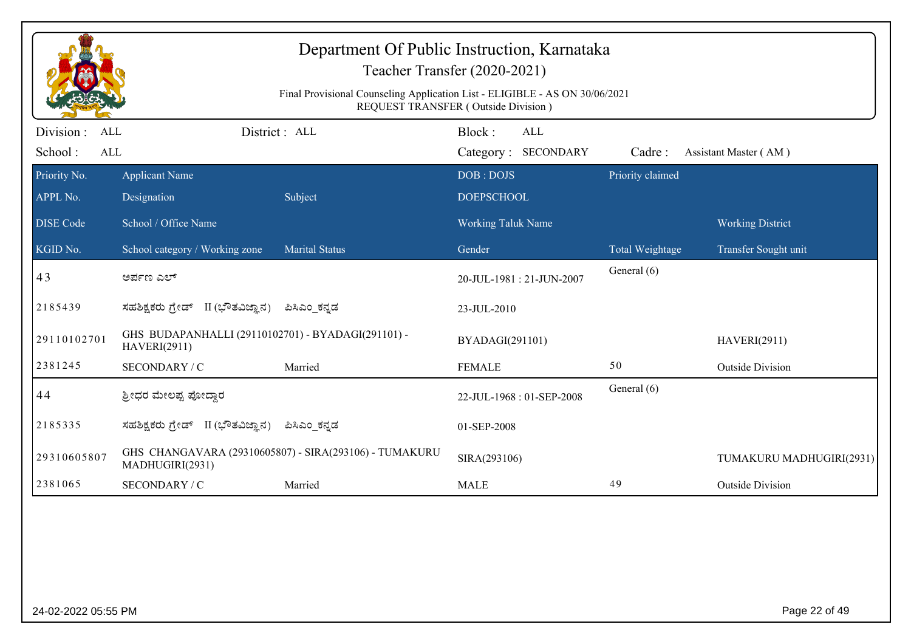|                                           |                                                                           | Department Of Public Instruction, Karnataka<br>Teacher Transfer (2020-2021)<br>Final Provisional Counseling Application List - ELIGIBLE - AS ON 30/06/2021<br><b>REQUEST TRANSFER (Outside Division)</b> |                                |                            |                  |                          |
|-------------------------------------------|---------------------------------------------------------------------------|----------------------------------------------------------------------------------------------------------------------------------------------------------------------------------------------------------|--------------------------------|----------------------------|------------------|--------------------------|
| Division:<br><b>ALL</b><br>School:<br>ALL |                                                                           | District: ALL                                                                                                                                                                                            | Block:                         | ALL<br>Category: SECONDARY | Cadre:           | Assistant Master (AM)    |
| Priority No.<br>APPL No.                  | <b>Applicant Name</b><br>Designation                                      | Subject                                                                                                                                                                                                  | DOB: DOJS<br><b>DOEPSCHOOL</b> |                            | Priority claimed |                          |
| <b>DISE Code</b>                          | School / Office Name                                                      |                                                                                                                                                                                                          | Working Taluk Name             |                            |                  | <b>Working District</b>  |
| KGID No.                                  | School category / Working zone                                            | <b>Marital Status</b>                                                                                                                                                                                    | Gender                         |                            | Total Weightage  | Transfer Sought unit     |
| 43                                        | ಅರ್ಪಣ ಎಲ್                                                                 |                                                                                                                                                                                                          |                                | 20-JUL-1981: 21-JUN-2007   | General (6)      |                          |
| 2185439                                   | ಸಹಶಿಕ್ಷಕರು ಗ್ರೇಡ್ II (ಭೌತವಿಜ್ಞಾನ)                                         | ಪಿಸಿಎಂ_ಕನ್ನಡ                                                                                                                                                                                             | 23-JUL-2010                    |                            |                  |                          |
| 29110102701                               | GHS BUDAPANHALLI (29110102701) - BYADAGI(291101) -<br><b>HAVERI(2911)</b> |                                                                                                                                                                                                          | BYADAGI(291101)                |                            |                  | <b>HAVERI(2911)</b>      |
| 2381245                                   | SECONDARY / C                                                             | Married                                                                                                                                                                                                  | <b>FEMALE</b>                  |                            | 50               | <b>Outside Division</b>  |
| 44                                        | ಶ್ರೀಧರ ಮೇಲಪ್ಪ ಪೋದ್ದಾರ                                                     |                                                                                                                                                                                                          |                                | 22-JUL-1968: 01-SEP-2008   | General (6)      |                          |
| 2185335                                   | ಸಹಶಿಕ್ಷಕರು ಗ್ರೇಡ್ II (ಭೌತವಿಜ್ಞಾನ)                                         | ಪಿಸಿಎಂ ಕನ್ನಡ                                                                                                                                                                                             | 01-SEP-2008                    |                            |                  |                          |
| 29310605807                               | MADHUGIRI(2931)                                                           | GHS CHANGAVARA (29310605807) - SIRA(293106) - TUMAKURU                                                                                                                                                   | SIRA(293106)                   |                            |                  | TUMAKURU MADHUGIRI(2931) |
| 2381065                                   | SECONDARY / C                                                             | Married                                                                                                                                                                                                  | <b>MALE</b>                    |                            | 49               | <b>Outside Division</b>  |
|                                           |                                                                           |                                                                                                                                                                                                          |                                |                            |                  |                          |
| 24-02-2022 05:55 PM                       |                                                                           |                                                                                                                                                                                                          |                                |                            |                  | Page 22 of 49            |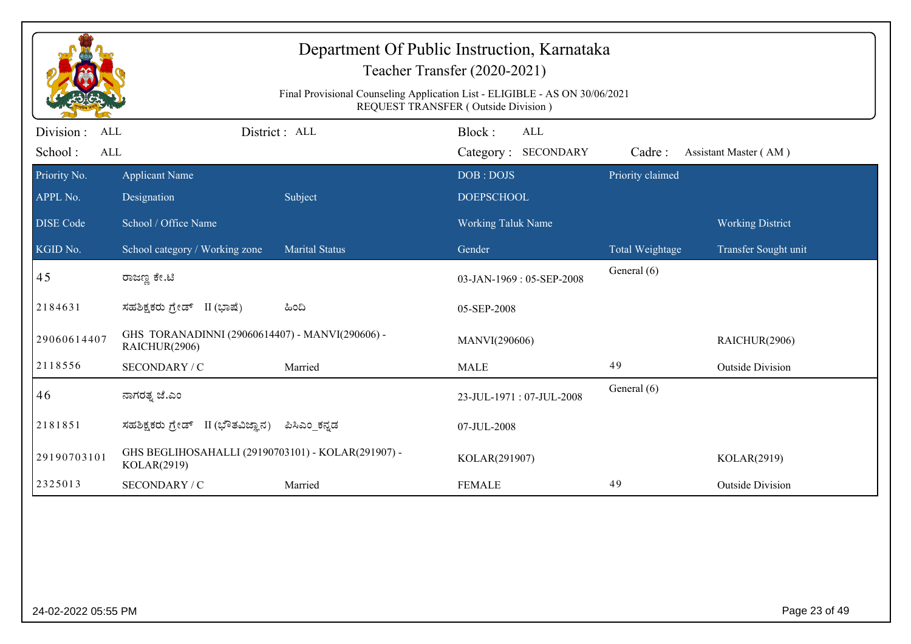|                          |                                                                   | Final Provisional Counseling Application List - ELIGIBLE - AS ON 30/06/2021 | Department Of Public Instruction, Karnataka<br>Teacher Transfer (2020-2021)<br><b>REQUEST TRANSFER (Outside Division)</b> |                  |                         |
|--------------------------|-------------------------------------------------------------------|-----------------------------------------------------------------------------|---------------------------------------------------------------------------------------------------------------------------|------------------|-------------------------|
| Division :<br>ALL        |                                                                   | District: ALL                                                               | Block:<br><b>ALL</b>                                                                                                      |                  |                         |
| School:<br>ALL           |                                                                   |                                                                             | Category: SECONDARY                                                                                                       | Cadre:           | Assistant Master (AM)   |
| Priority No.<br>APPL No. | <b>Applicant Name</b><br>Designation                              | Subject                                                                     | DOB: DOJS<br><b>DOEPSCHOOL</b>                                                                                            | Priority claimed |                         |
| <b>DISE Code</b>         | School / Office Name                                              |                                                                             | <b>Working Taluk Name</b>                                                                                                 |                  | <b>Working District</b> |
| KGID No.                 | School category / Working zone                                    | <b>Marital Status</b>                                                       | Gender                                                                                                                    | Total Weightage  | Transfer Sought unit    |
| 45                       | ರಾಜಣ್ಣ ಕೇ.ಟಿ                                                      |                                                                             | 03-JAN-1969: 05-SEP-2008                                                                                                  | General (6)      |                         |
| 2184631                  | ಸಹಶಿಕ್ಷಕರು ಗ್ರೇಡ್ II (ಭಾಷೆ)                                       | ಹಿಂದಿ                                                                       | 05-SEP-2008                                                                                                               |                  |                         |
| 29060614407              | GHS TORANADINNI (29060614407) - MANVI(290606) -<br>RAICHUR(2906)  |                                                                             | MANVI(290606)                                                                                                             |                  | RAICHUR(2906)           |
| 2118556                  | SECONDARY / C                                                     | Married                                                                     | <b>MALE</b>                                                                                                               | 49               | <b>Outside Division</b> |
| 46                       | ನಾಗರತ್ನ ಜೆ.ಎಂ                                                     |                                                                             | 23-JUL-1971: 07-JUL-2008                                                                                                  | General (6)      |                         |
| 2181851                  | II (ಭೌತವಿಜ್ಞಾನ)<br>ಸಹಶಿಕ್ಷಕರು ಗ್ರೇಡ್                              | ಪಿಸಿಎಂ ಕನ್ನಡ                                                                | 07-JUL-2008                                                                                                               |                  |                         |
| 29190703101              | GHS BEGLIHOSAHALLI (29190703101) - KOLAR(291907) -<br>KOLAR(2919) |                                                                             | KOLAR(291907)                                                                                                             |                  | KOLAR(2919)             |
| 2325013                  | SECONDARY / C                                                     | Married                                                                     | <b>FEMALE</b>                                                                                                             | 49               | <b>Outside Division</b> |
|                          |                                                                   |                                                                             |                                                                                                                           |                  |                         |
| 24-02-2022 05:55 PM      |                                                                   |                                                                             |                                                                                                                           |                  | Page 23 of 49           |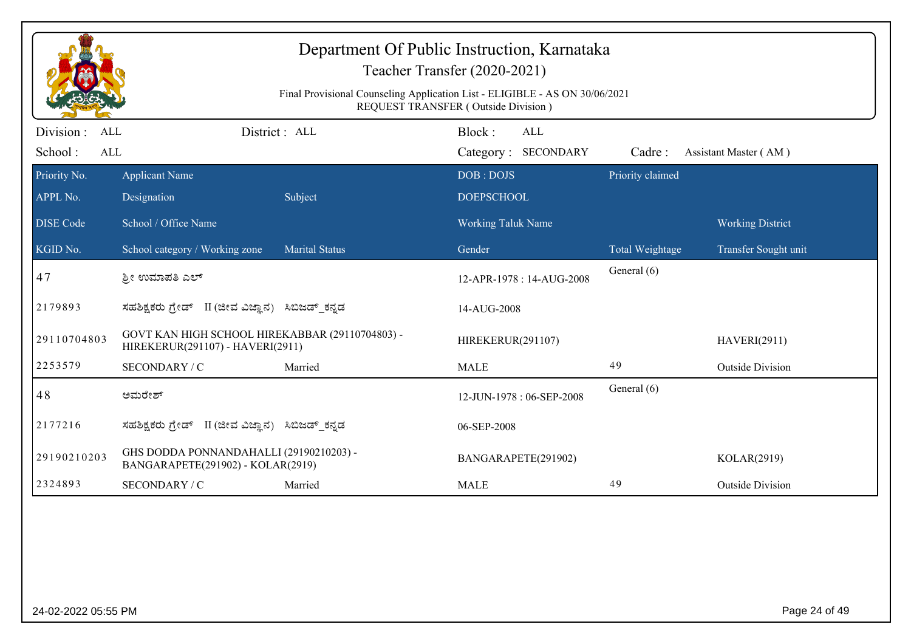|                          |                                                                                     |                       | Teacher Transfer (2020-2021)                                                                                       |                  |                         |
|--------------------------|-------------------------------------------------------------------------------------|-----------------------|--------------------------------------------------------------------------------------------------------------------|------------------|-------------------------|
|                          |                                                                                     |                       | Final Provisional Counseling Application List - ELIGIBLE - AS ON 30/06/2021<br>REQUEST TRANSFER (Outside Division) |                  |                         |
| Division :<br><b>ALL</b> |                                                                                     | District: ALL         | Block:<br>ALL                                                                                                      |                  |                         |
| School:<br>ALL           |                                                                                     |                       | Category: SECONDARY                                                                                                | Cadre:           | Assistant Master (AM)   |
| Priority No.             | <b>Applicant Name</b>                                                               |                       | DOB: DOJS                                                                                                          | Priority claimed |                         |
| APPL No.                 | Designation                                                                         | Subject               | <b>DOEPSCHOOL</b>                                                                                                  |                  |                         |
| <b>DISE Code</b>         | School / Office Name                                                                |                       | <b>Working Taluk Name</b>                                                                                          |                  | <b>Working District</b> |
| KGID No.                 | School category / Working zone                                                      | <b>Marital Status</b> | Gender                                                                                                             | Total Weightage  | Transfer Sought unit    |
| 47                       | ಶ್ರೀ ಉಮಾಪತಿ ಎಲ್                                                                     |                       | 12-APR-1978 : 14-AUG-2008                                                                                          | General (6)      |                         |
| 2179893                  | ಸಹಶಿಕ್ಷಕರು ಗ್ರೇಡ್ II (ಜೀವ ವಿಜ್ಞಾನ)                                                  | ಸಿಬಿಜಡ್ ಕನ್ನಡ         | 14-AUG-2008                                                                                                        |                  |                         |
| 29110704803              | GOVT KAN HIGH SCHOOL HIREKABBAR (29110704803) -<br>HIREKERUR(291107) - HAVERI(2911) |                       | HIREKERUR(291107)                                                                                                  |                  | <b>HAVERI(2911)</b>     |
| 2253579                  | SECONDARY / C                                                                       | Married               | <b>MALE</b>                                                                                                        | 49               | <b>Outside Division</b> |
| 48                       | ಅಮರೇಶ್                                                                              |                       | 12-JUN-1978: 06-SEP-2008                                                                                           | General (6)      |                         |
| 2177216                  | ಸಹಶಿಕ್ಷಕರು ಗ್ರೇಡ್ II (ಜೀವ ವಿಜ್ಞಾನ) ಸಿಬಿಜಡ್ ಕನ್ನಡ                                    |                       | 06-SEP-2008                                                                                                        |                  |                         |
| 29190210203              | GHS DODDA PONNANDAHALLI (29190210203) -<br>BANGARAPETE(291902) - KOLAR(2919)        |                       | BANGARAPETE(291902)                                                                                                |                  | KOLAR(2919)             |
| 2324893                  | SECONDARY / C                                                                       | Married               | <b>MALE</b>                                                                                                        | 49               | <b>Outside Division</b> |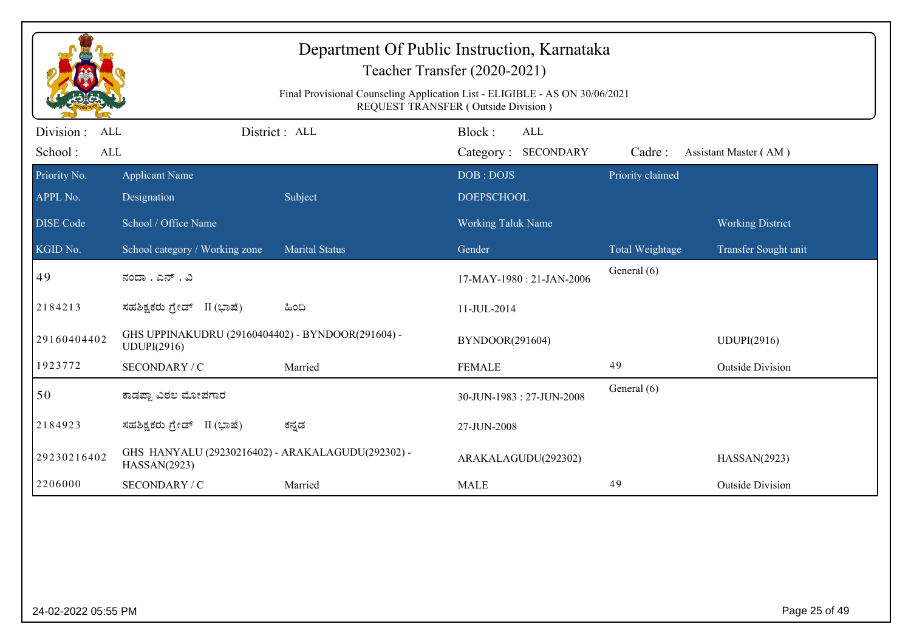|                          |                                                                   | Final Provisional Counseling Application List - ELIGIBLE - AS ON 30/06/2021 | Department Of Public Instruction, Karnataka<br>Teacher Transfer (2020-2021)<br><b>REQUEST TRANSFER (Outside Division)</b> |                  |                         |
|--------------------------|-------------------------------------------------------------------|-----------------------------------------------------------------------------|---------------------------------------------------------------------------------------------------------------------------|------------------|-------------------------|
| Division :<br>ALL        |                                                                   | District: ALL                                                               | Block:<br><b>ALL</b>                                                                                                      |                  |                         |
| School:<br>ALL           |                                                                   |                                                                             | Category: SECONDARY                                                                                                       | Cadre:           | Assistant Master (AM)   |
| Priority No.<br>APPL No. | <b>Applicant Name</b><br>Designation                              | Subject                                                                     | DOB: DOJS<br><b>DOEPSCHOOL</b>                                                                                            | Priority claimed |                         |
| <b>DISE</b> Code         | School / Office Name                                              |                                                                             | <b>Working Taluk Name</b>                                                                                                 |                  | <b>Working District</b> |
| KGID No.                 | School category / Working zone                                    | <b>Marital Status</b>                                                       | Gender                                                                                                                    | Total Weightage  | Transfer Sought unit    |
| 49                       | ನಂದಾ . ಎನ್ . ವಿ                                                   |                                                                             | 17-MAY-1980: 21-JAN-2006                                                                                                  | General (6)      |                         |
| 2184213                  | ಸಹಶಿಕ್ಷಕರು ಗ್ರೇಡ್ II (ಭಾಷೆ)                                       | ಹಿಂದಿ                                                                       | 11-JUL-2014                                                                                                               |                  |                         |
| 29160404402              | GHS UPPINAKUDRU (29160404402) - BYNDOOR(291604) -<br>UDUPI(2916)  |                                                                             | BYNDOOR(291604)                                                                                                           |                  | <b>UDUPI(2916)</b>      |
| 1923772                  | SECONDARY / C                                                     | Married                                                                     | <b>FEMALE</b>                                                                                                             | 49               | <b>Outside Division</b> |
| 50                       | ಕಾಡಪ್ಪಾ ವಿಠಲ ಮೋಪಗಾರ                                               |                                                                             | 30-JUN-1983: 27-JUN-2008                                                                                                  | General (6)      |                         |
| 2184923                  | ಸಹಶಿಕ್ಷಕರು ಗ್ರೇಡ್ II (ಭಾಷೆ)                                       | ಕನ್ನಡ                                                                       | 27-JUN-2008                                                                                                               |                  |                         |
| 29230216402              | GHS HANYALU (29230216402) - ARAKALAGUDU(292302) -<br>HASSAN(2923) |                                                                             | ARAKALAGUDU(292302)                                                                                                       |                  | HASSAN(2923)            |
| 2206000                  | SECONDARY / C                                                     | Married                                                                     | <b>MALE</b>                                                                                                               | 49               | <b>Outside Division</b> |
|                          |                                                                   |                                                                             |                                                                                                                           |                  |                         |
| 24-02-2022 05:55 PM      |                                                                   |                                                                             |                                                                                                                           |                  | Page 25 of 49           |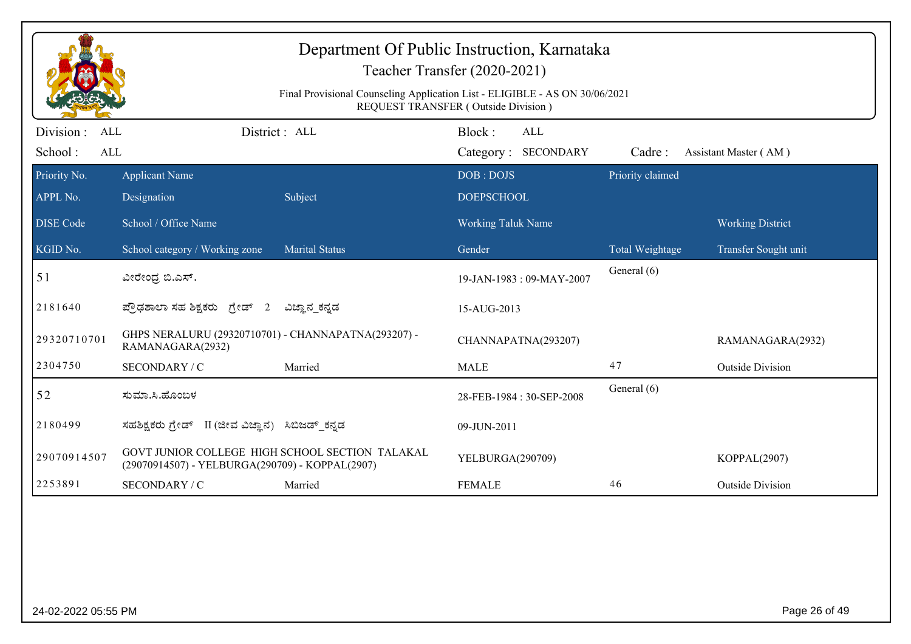|                                                   |                                                                                                    | Department Of Public Instruction, Karnataka<br>Final Provisional Counseling Application List - ELIGIBLE - AS ON 30/06/2021 | Teacher Transfer (2020-2021)<br>REQUEST TRANSFER (Outside Division) |                  |                         |
|---------------------------------------------------|----------------------------------------------------------------------------------------------------|----------------------------------------------------------------------------------------------------------------------------|---------------------------------------------------------------------|------------------|-------------------------|
| Division :<br><b>ALL</b><br>School:<br><b>ALL</b> |                                                                                                    | District : ALL                                                                                                             | Block:<br><b>ALL</b><br>Category: SECONDARY                         | Cadre:           | Assistant Master (AM)   |
| Priority No.<br>APPL No.                          | <b>Applicant Name</b><br>Designation                                                               | Subject                                                                                                                    | DOB: DOJS<br><b>DOEPSCHOOL</b>                                      | Priority claimed |                         |
| <b>DISE Code</b>                                  | School / Office Name                                                                               |                                                                                                                            | Working Taluk Name                                                  |                  | <b>Working District</b> |
| KGID No.                                          | School category / Working zone                                                                     | Marital Status                                                                                                             | Gender                                                              | Total Weightage  | Transfer Sought unit    |
| 51                                                | ವೀರೇಂದ್ರ ಬಿ.ಎಸ್.                                                                                   |                                                                                                                            | 19-JAN-1983: 09-MAY-2007                                            | General (6)      |                         |
| 2181640                                           | ಪ್ರೌಢಶಾಲಾ ಸಹ ಶಿಕ್ಷಕರು ಗ್ರೇಡ್ 2                                                                     | ವಿಜ್ಞಾನ ಕನ್ನಡ                                                                                                              | 15-AUG-2013                                                         |                  |                         |
| 29320710701                                       | GHPS NERALURU (29320710701) - CHANNAPATNA(293207) -<br>RAMANAGARA(2932)                            |                                                                                                                            | CHANNAPATNA(293207)                                                 |                  | RAMANAGARA(2932)        |
| 2304750                                           | SECONDARY / C                                                                                      | Married                                                                                                                    | <b>MALE</b>                                                         | 47               | <b>Outside Division</b> |
| 52                                                | ಸುಮಾ.ಸಿ.ಹೊಂಬಳ                                                                                      |                                                                                                                            | 28-FEB-1984: 30-SEP-2008                                            | General (6)      |                         |
| 2180499                                           | ಸಹಶಿಕ್ಷಕರು ಗ್ರೇಡ್ II (ಜೀವ ವಿಜ್ಞಾನ) ಸಿಬಿಜಡ್_ಕನ್ನಡ                                                   |                                                                                                                            | 09-JUN-2011                                                         |                  |                         |
| 29070914507                                       | GOVT JUNIOR COLLEGE HIGH SCHOOL SECTION TALAKAL<br>(29070914507) - YELBURGA(290709) - KOPPAL(2907) |                                                                                                                            | YELBURGA(290709)                                                    |                  | KOPPAL(2907)            |
| 2253891                                           | SECONDARY / C                                                                                      | Married                                                                                                                    | <b>FEMALE</b>                                                       | 46               | <b>Outside Division</b> |
|                                                   |                                                                                                    |                                                                                                                            |                                                                     |                  |                         |
| 24-02-2022 05:55 PM                               |                                                                                                    |                                                                                                                            |                                                                     |                  | Page 26 of 49           |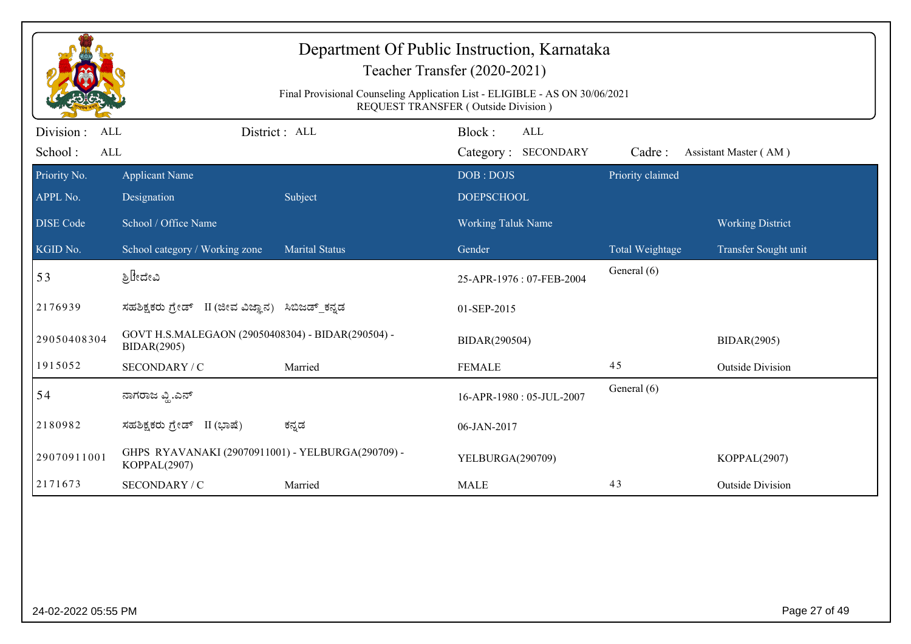|                          |                                                                         | Department Of Public Instruction, Karnataka<br>Final Provisional Counseling Application List - ELIGIBLE - AS ON 30/06/2021 | Teacher Transfer (2020-2021)<br>REQUEST TRANSFER (Outside Division) |                        |                         |
|--------------------------|-------------------------------------------------------------------------|----------------------------------------------------------------------------------------------------------------------------|---------------------------------------------------------------------|------------------------|-------------------------|
| Division :<br><b>ALL</b> |                                                                         | District: ALL                                                                                                              | Block:<br><b>ALL</b>                                                |                        |                         |
| School:<br>ALL           |                                                                         |                                                                                                                            | Category: SECONDARY                                                 | Cadre:                 | Assistant Master (AM)   |
| Priority No.             | <b>Applicant Name</b>                                                   |                                                                                                                            | DOB: DOJS                                                           | Priority claimed       |                         |
| APPL No.                 | Designation                                                             | Subject                                                                                                                    | <b>DOEPSCHOOL</b>                                                   |                        |                         |
| <b>DISE Code</b>         | School / Office Name                                                    |                                                                                                                            | Working Taluk Name                                                  |                        | <b>Working District</b> |
| KGID No.                 | School category / Working zone                                          | <b>Marital Status</b>                                                                                                      | Gender                                                              | <b>Total Weightage</b> | Transfer Sought unit    |
| 53                       | ಶ್ರಿ‼ೇದೇವಿ                                                              |                                                                                                                            | 25-APR-1976: 07-FEB-2004                                            | General (6)            |                         |
| 2176939                  | ಸಹಶಿಕ್ಷಕರು ಗ್ರೇಡ್ II (ಜೀವ ವಿಜ್ಞಾನ) ಸಿಬಿಜಡ್ ಕನ್ನಡ                        |                                                                                                                            | 01-SEP-2015                                                         |                        |                         |
| 29050408304              | GOVT H.S.MALEGAON (29050408304) - BIDAR(290504) -<br><b>BIDAR(2905)</b> |                                                                                                                            | BIDAR(290504)                                                       |                        | <b>BIDAR(2905)</b>      |
| 1915052                  | SECONDARY / C                                                           | Married                                                                                                                    | <b>FEMALE</b>                                                       | 45                     | <b>Outside Division</b> |
| 54                       | ನಾಗರಾಜ ವ್ಲಿ.ಎನ್                                                         |                                                                                                                            | 16-APR-1980: 05-JUL-2007                                            | General (6)            |                         |
| 2180982                  | ಸಹಶಿಕ್ಷಕರು ಗ್ರೇಡ್ II (ಭಾಷೆ)                                             | ಕನ್ನಡ                                                                                                                      | 06-JAN-2017                                                         |                        |                         |
| 29070911001              | GHPS RYAVANAKI (29070911001) - YELBURGA(290709) -<br>KOPPAL(2907)       |                                                                                                                            | YELBURGA(290709)                                                    |                        | KOPPAL(2907)            |
| 2171673                  | SECONDARY / C                                                           | Married                                                                                                                    | <b>MALE</b>                                                         | 43                     | <b>Outside Division</b> |
|                          |                                                                         |                                                                                                                            |                                                                     |                        |                         |
| 24-02-2022 05:55 PM      |                                                                         |                                                                                                                            |                                                                     |                        | Page 27 of 49           |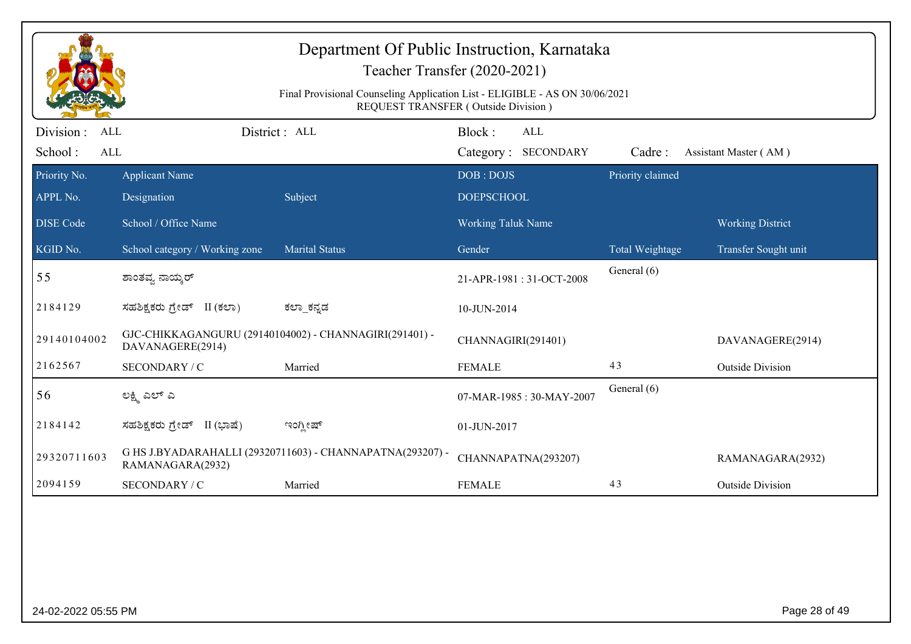|                                            |                                | Department Of Public Instruction, Karnataka<br>Final Provisional Counseling Application List - ELIGIBLE - AS ON 30/06/2021 | Teacher Transfer (2020-2021)<br>REQUEST TRANSFER (Outside Division) |                  |                         |
|--------------------------------------------|--------------------------------|----------------------------------------------------------------------------------------------------------------------------|---------------------------------------------------------------------|------------------|-------------------------|
| Division :<br><b>ALL</b><br>School:<br>ALL |                                | District: ALL                                                                                                              | Block:<br><b>ALL</b><br>Category: SECONDARY                         | Cadre:           | Assistant Master (AM)   |
| Priority No.                               | <b>Applicant Name</b>          |                                                                                                                            | DOB: DOJS                                                           | Priority claimed |                         |
| APPL No.                                   | Designation                    | Subject                                                                                                                    | <b>DOEPSCHOOL</b>                                                   |                  |                         |
| <b>DISE Code</b>                           | School / Office Name           |                                                                                                                            | <b>Working Taluk Name</b>                                           |                  | <b>Working District</b> |
| KGID No.                                   | School category / Working zone | <b>Marital Status</b>                                                                                                      | Gender                                                              | Total Weightage  | Transfer Sought unit    |
| 55                                         | ಶಾಂತವ್ಯ ನಾಯ್ಕರ್                |                                                                                                                            | 21-APR-1981: 31-OCT-2008                                            | General (6)      |                         |
| 2184129                                    | ಸಹಶಿಕ್ಷಕರು ಗ್ರೇಡ್ II (ಕಲಾ)     | ಕಲ್_ಕನ್ನಡ                                                                                                                  | 10-JUN-2014                                                         |                  |                         |
| 29140104002                                | DAVANAGERE(2914)               | GJC-CHIKKAGANGURU (29140104002) - CHANNAGIRI(291401) -                                                                     | CHANNAGIRI(291401)                                                  |                  | DAVANAGERE(2914)        |
| 2162567                                    | SECONDARY / C                  | Married                                                                                                                    | <b>FEMALE</b>                                                       | 43               | <b>Outside Division</b> |
| 56                                         | ಲಕ್ಷ್ಮಿ ಎಲ್ ಎ                  |                                                                                                                            | 07-MAR-1985: 30-MAY-2007                                            | General (6)      |                         |
| 2184142                                    | ಸಹಶಿಕ್ಷಕರು ಗ್ರೇಡ್ II (ಭಾಷೆ)    | ಇಂಗ್ಲೀಷ್                                                                                                                   | 01-JUN-2017                                                         |                  |                         |
| 29320711603                                | RAMANAGARA(2932)               | G HS J.BYADARAHALLI (29320711603) - CHANNAPATNA(293207) -                                                                  | CHANNAPATNA(293207)                                                 |                  | RAMANAGARA(2932)        |
| 2094159                                    | SECONDARY / C                  | Married                                                                                                                    | <b>FEMALE</b>                                                       | 43               | <b>Outside Division</b> |
|                                            |                                |                                                                                                                            |                                                                     |                  |                         |
| 24-02-2022 05:55 PM                        |                                |                                                                                                                            |                                                                     |                  | Page 28 of 49           |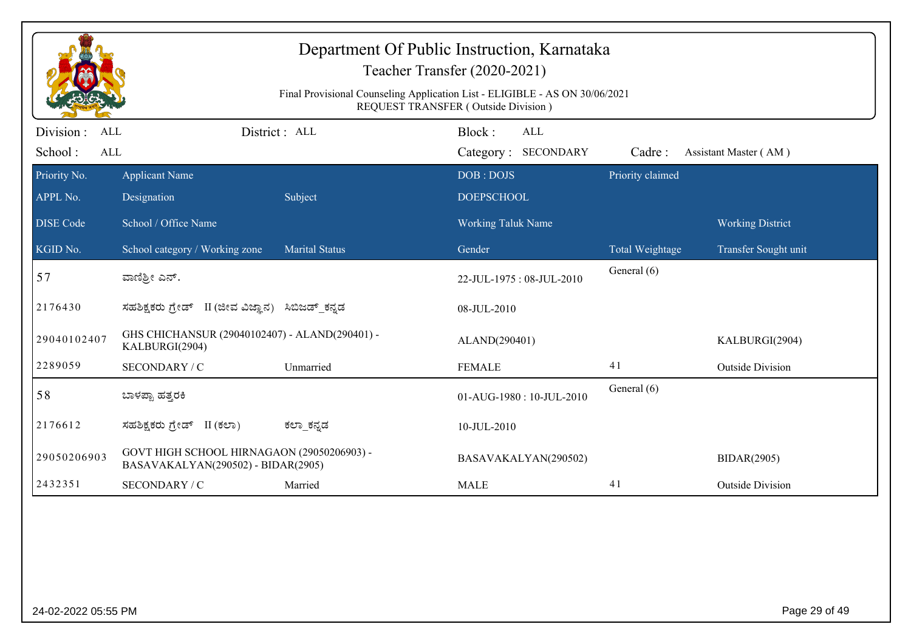|                         |                                                                                  | Department Of Public Instruction, Karnataka<br>Final Provisional Counseling Application List - ELIGIBLE - AS ON 30/06/2021 | Teacher Transfer (2020-2021)<br>REQUEST TRANSFER (Outside Division) |                  |                         |
|-------------------------|----------------------------------------------------------------------------------|----------------------------------------------------------------------------------------------------------------------------|---------------------------------------------------------------------|------------------|-------------------------|
| Division:<br><b>ALL</b> |                                                                                  | District: ALL                                                                                                              | Block:<br>ALL                                                       |                  |                         |
| School:<br><b>ALL</b>   |                                                                                  |                                                                                                                            | Category: SECONDARY                                                 | Cadre:           | Assistant Master (AM)   |
| Priority No.            | <b>Applicant Name</b>                                                            |                                                                                                                            | DOB: DOJS                                                           | Priority claimed |                         |
| APPL No.                | Designation                                                                      | Subject                                                                                                                    | <b>DOEPSCHOOL</b>                                                   |                  |                         |
| <b>DISE Code</b>        | School / Office Name                                                             |                                                                                                                            | Working Taluk Name                                                  |                  | <b>Working District</b> |
| KGID No.                | School category / Working zone                                                   | <b>Marital Status</b>                                                                                                      | Gender                                                              | Total Weightage  | Transfer Sought unit    |
| 57                      | ವಾಣಿಶ್ರೀ ಎನ್.                                                                    |                                                                                                                            | 22-JUL-1975: 08-JUL-2010                                            | General (6)      |                         |
| 2176430                 | ಸಹಶಿಕ್ಷಕರು ಗ್ರೇಡ್ II (ಜೀವ ವಿಜ್ಞಾನ) ಸಿಬಿಜಡ್ ಕನ್ನಡ                                 |                                                                                                                            | 08-JUL-2010                                                         |                  |                         |
| 29040102407             | GHS CHICHANSUR (29040102407) - ALAND(290401) -<br>KALBURGI(2904)                 |                                                                                                                            | ALAND(290401)                                                       |                  | KALBURGI(2904)          |
| 2289059                 | SECONDARY / C                                                                    | Unmarried                                                                                                                  | <b>FEMALE</b>                                                       | 41               | <b>Outside Division</b> |
| 58                      | ಬಾಳಪ್ಪಾ ಹತ್ತರಕಿ                                                                  |                                                                                                                            | 01-AUG-1980: 10-JUL-2010                                            | General (6)      |                         |
| 2176612                 | ಸಹಶಿಕ್ಷಕರು ಗ್ರೇಡ್ II (ಕಲಾ)                                                       | ಕಲ್_ಕನ್ನಡ                                                                                                                  | 10-JUL-2010                                                         |                  |                         |
| 29050206903             | GOVT HIGH SCHOOL HIRNAGAON (29050206903) -<br>BASAVAKALYAN(290502) - BIDAR(2905) |                                                                                                                            | BASAVAKALYAN(290502)                                                |                  | <b>BIDAR(2905)</b>      |
| 2432351                 | SECONDARY / C                                                                    | Married                                                                                                                    | <b>MALE</b>                                                         | 41               | <b>Outside Division</b> |
|                         |                                                                                  |                                                                                                                            |                                                                     |                  |                         |

24-02-2022 05:55 PM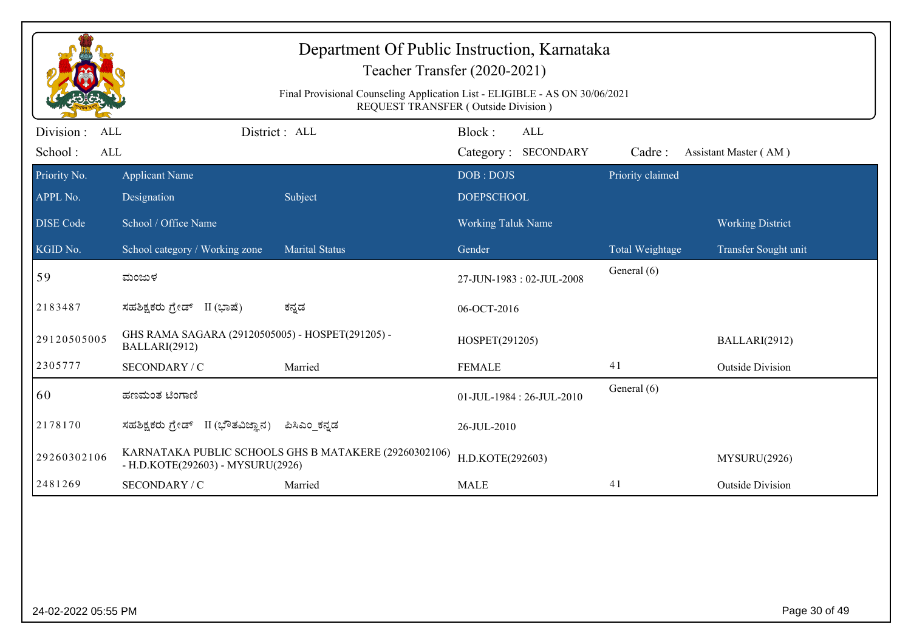|                          |                                                                   | Department Of Public Instruction, Karnataka<br>Teacher Transfer (2020-2021)<br>Final Provisional Counseling Application List - ELIGIBLE - AS ON 30/06/2021<br>REQUEST TRANSFER (Outside Division) |                                |                     |                  |                         |
|--------------------------|-------------------------------------------------------------------|---------------------------------------------------------------------------------------------------------------------------------------------------------------------------------------------------|--------------------------------|---------------------|------------------|-------------------------|
| Division :<br><b>ALL</b> | District: ALL                                                     |                                                                                                                                                                                                   | Block:                         | <b>ALL</b>          |                  |                         |
| School:<br>ALL           |                                                                   |                                                                                                                                                                                                   |                                | Category: SECONDARY | Cadre:           | Assistant Master (AM)   |
| Priority No.<br>APPL No. | <b>Applicant Name</b>                                             | Subject                                                                                                                                                                                           | DOB: DOJS<br><b>DOEPSCHOOL</b> |                     | Priority claimed |                         |
|                          | Designation                                                       |                                                                                                                                                                                                   |                                |                     |                  |                         |
| <b>DISE Code</b>         | School / Office Name                                              |                                                                                                                                                                                                   | <b>Working Taluk Name</b>      |                     |                  | <b>Working District</b> |
| KGID No.                 | School category / Working zone                                    | <b>Marital Status</b>                                                                                                                                                                             | Gender                         |                     | Total Weightage  | Transfer Sought unit    |
| 59                       | ಮಂಜುಳ                                                             |                                                                                                                                                                                                   | 27-JUN-1983: 02-JUL-2008       |                     | General (6)      |                         |
| 2183487                  | ಸಹಶಿಕ್ಷಕರು ಗ್ರೇಡ್ II (ಭಾಷೆ)                                       | ಕನ್ನಡ                                                                                                                                                                                             | 06-OCT-2016                    |                     |                  |                         |
| 29120505005              | GHS RAMA SAGARA (29120505005) - HOSPET(291205) -<br>BALLARI(2912) |                                                                                                                                                                                                   | HOSPET(291205)                 |                     |                  | BALLARI(2912)           |
| 2305777                  | SECONDARY / C                                                     | Married                                                                                                                                                                                           | <b>FEMALE</b>                  |                     | 41               | <b>Outside Division</b> |
| 60                       | ಹಣಮಂತ ಟಿಂಗಾಣಿ                                                     |                                                                                                                                                                                                   | 01-JUL-1984: 26-JUL-2010       |                     | General (6)      |                         |
| 2178170                  | ಸಹಶಿಕ್ಷಕರು ಗ್ರೇಡ್ II (ಭೌತವಿಜ್ಞಾನ)                                 | ಪಿಸಿಎಂ ಕನ್ನಡ                                                                                                                                                                                      | 26-JUL-2010                    |                     |                  |                         |
| 29260302106              | - H.D.KOTE(292603) - MYSURU(2926)                                 | KARNATAKA PUBLIC SCHOOLS GHS B MATAKERE (29260302106)                                                                                                                                             | H.D.KOTE(292603)               |                     |                  | MYSURU(2926)            |
| 2481269                  | SECONDARY / C                                                     | Married                                                                                                                                                                                           | <b>MALE</b>                    |                     | 41               | <b>Outside Division</b> |
|                          |                                                                   |                                                                                                                                                                                                   |                                |                     |                  |                         |
| 24-02-2022 05:55 PM      |                                                                   |                                                                                                                                                                                                   |                                |                     |                  | Page 30 of 49           |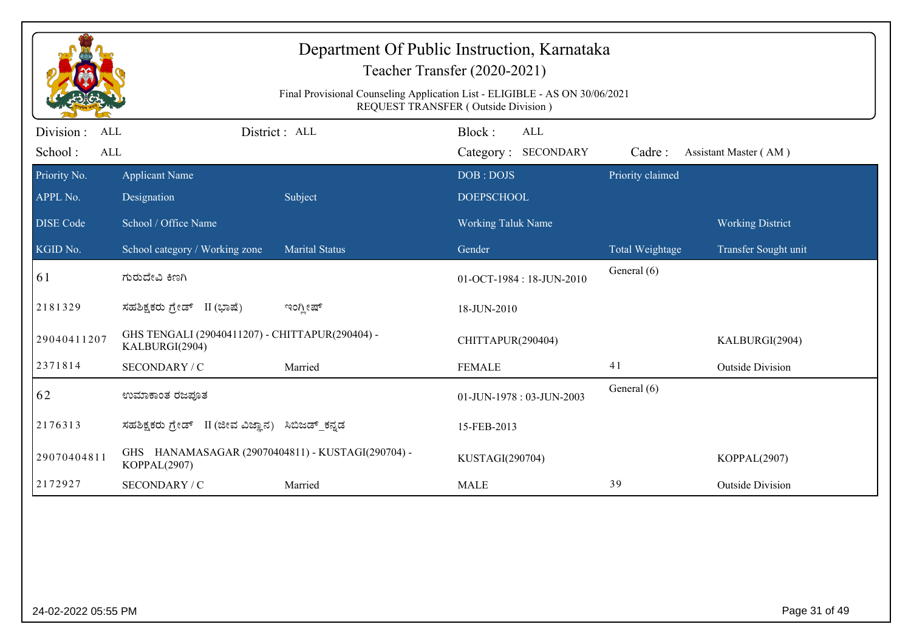|                          |                                                                   | Department Of Public Instruction, Karnataka<br>Teacher Transfer (2020-2021)<br>Final Provisional Counseling Application List - ELIGIBLE - AS ON 30/06/2021<br>REQUEST TRANSFER (Outside Division) |                           |                     |                  |                         |
|--------------------------|-------------------------------------------------------------------|---------------------------------------------------------------------------------------------------------------------------------------------------------------------------------------------------|---------------------------|---------------------|------------------|-------------------------|
| Division :<br><b>ALL</b> |                                                                   | District: ALL                                                                                                                                                                                     | Block:                    | <b>ALL</b>          |                  |                         |
| School:<br>ALL           |                                                                   |                                                                                                                                                                                                   |                           | Category: SECONDARY | Cadre:           | Assistant Master (AM)   |
| Priority No.             | <b>Applicant Name</b>                                             |                                                                                                                                                                                                   | DOB: DOJS                 |                     | Priority claimed |                         |
| APPL No.                 | Designation                                                       | Subject                                                                                                                                                                                           | <b>DOEPSCHOOL</b>         |                     |                  |                         |
| <b>DISE Code</b>         | School / Office Name                                              |                                                                                                                                                                                                   | Working Taluk Name        |                     |                  | <b>Working District</b> |
| KGID No.                 | School category / Working zone                                    | <b>Marital Status</b>                                                                                                                                                                             | Gender                    |                     | Total Weightage  | Transfer Sought unit    |
| 61                       | ಗುರುದೇವಿ ಕಿಣಗಿ                                                    |                                                                                                                                                                                                   | 01-OCT-1984 : 18-JUN-2010 |                     | General (6)      |                         |
| 2181329                  | ಸಹಶಿಕ್ಷಕರು ಗ್ರೇಡ್ II (ಭಾಷೆ)                                       | ಇಂಗ್ಲೀಷ್                                                                                                                                                                                          | 18-JUN-2010               |                     |                  |                         |
| 29040411207              | GHS TENGALI (29040411207) - CHITTAPUR(290404) -<br>KALBURGI(2904) |                                                                                                                                                                                                   | CHITTAPUR(290404)         |                     |                  | KALBURGI(2904)          |
| 2371814                  | SECONDARY / C                                                     | Married                                                                                                                                                                                           | <b>FEMALE</b>             |                     | 41               | <b>Outside Division</b> |
| 62                       | ಉಮಾಕಾಂತ ರಜಪೂತ                                                     |                                                                                                                                                                                                   | 01-JUN-1978: 03-JUN-2003  |                     | General (6)      |                         |
| 2176313                  | ಸಹಶಿಕ್ಷಕರು ಗ್ರೇಡ್   II (ಜೀವ ವಿಜ್ಞಾನ)                              | ಸಿಬಿಜಡ್_ಕನ್ನಡ                                                                                                                                                                                     | 15-FEB-2013               |                     |                  |                         |
| 29070404811              | GHS HANAMASAGAR (29070404811) - KUSTAGI(290704) -<br>KOPPAL(2907) |                                                                                                                                                                                                   | KUSTAGI(290704)           |                     |                  | KOPPAL(2907)            |
| 2172927                  | SECONDARY / C                                                     | Married                                                                                                                                                                                           | <b>MALE</b>               |                     | 39               | <b>Outside Division</b> |
|                          |                                                                   |                                                                                                                                                                                                   |                           |                     |                  |                         |
| 24-02-2022 05:55 PM      |                                                                   |                                                                                                                                                                                                   |                           |                     |                  | Page 31 of 49           |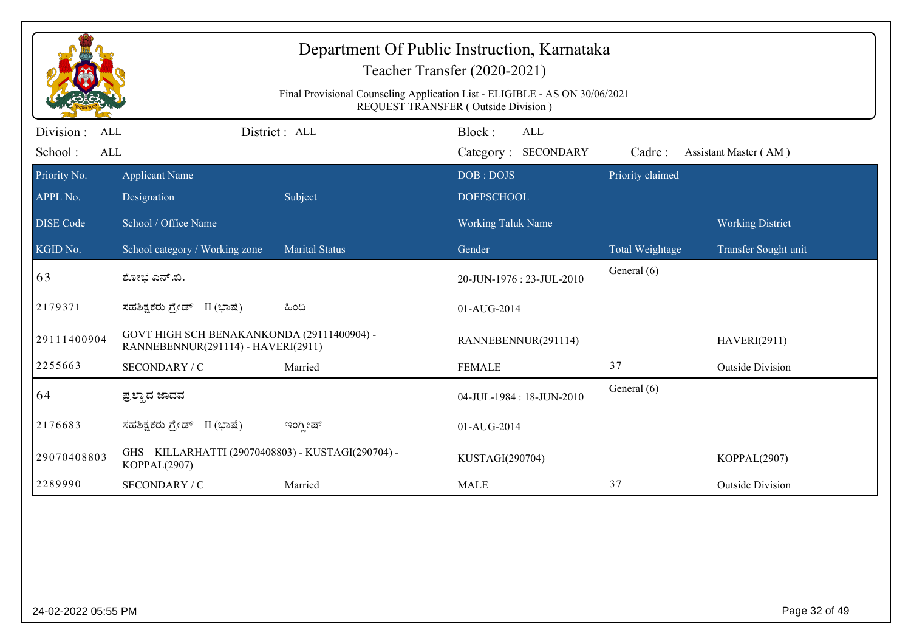|                          |                                                                                  | Final Provisional Counseling Application List - ELIGIBLE - AS ON 30/06/2021 | Department Of Public Instruction, Karnataka<br>Teacher Transfer (2020-2021)<br>REQUEST TRANSFER (Outside Division) |                  |                         |
|--------------------------|----------------------------------------------------------------------------------|-----------------------------------------------------------------------------|--------------------------------------------------------------------------------------------------------------------|------------------|-------------------------|
| Division :<br>ALL        |                                                                                  | District: ALL                                                               | Block:<br><b>ALL</b>                                                                                               |                  |                         |
| School:<br>ALL           |                                                                                  |                                                                             | Category: SECONDARY                                                                                                | Cadre:           | Assistant Master (AM)   |
| Priority No.<br>APPL No. | <b>Applicant Name</b><br>Designation                                             | Subject                                                                     | DOB: DOJS<br><b>DOEPSCHOOL</b>                                                                                     | Priority claimed |                         |
| <b>DISE Code</b>         | School / Office Name                                                             |                                                                             | <b>Working Taluk Name</b>                                                                                          |                  | <b>Working District</b> |
| KGID No.                 | School category / Working zone                                                   | <b>Marital Status</b>                                                       | Gender                                                                                                             | Total Weightage  | Transfer Sought unit    |
| 63                       | ಶೋಭ ಎನ್.ಬಿ.                                                                      |                                                                             | 20-JUN-1976 : 23-JUL-2010                                                                                          | General (6)      |                         |
| 2179371                  | ಸಹಶಿಕ್ಷಕರು ಗ್ರೇಡ್ II (ಭಾಷೆ)                                                      | ಹಿಂದಿ                                                                       | 01-AUG-2014                                                                                                        |                  |                         |
| 29111400904              | GOVT HIGH SCH BENAKANKONDA (29111400904) -<br>RANNEBENNUR(291114) - HAVERI(2911) |                                                                             | RANNEBENNUR(291114)                                                                                                |                  | <b>HAVERI(2911)</b>     |
| 2255663                  | SECONDARY / C                                                                    | Married                                                                     | <b>FEMALE</b>                                                                                                      | 37               | <b>Outside Division</b> |
| 64                       | ಪ್ರಲ್ಲಾದ ಜಾದವ                                                                    |                                                                             | 04-JUL-1984: 18-JUN-2010                                                                                           | General (6)      |                         |
| 2176683                  | ಸಹಶಿಕ್ಷಕರು ಗ್ರೇಡ್ II (ಭಾಷೆ)                                                      | ಇಂಗ್ಲೀಷ್                                                                    | 01-AUG-2014                                                                                                        |                  |                         |
| 29070408803              | GHS KILLARHATTI (29070408803) - KUSTAGI(290704) -<br>KOPPAL(2907)                |                                                                             | KUSTAGI(290704)                                                                                                    |                  | KOPPAL(2907)            |
| 2289990                  | SECONDARY / C                                                                    | Married                                                                     | <b>MALE</b>                                                                                                        | 37               | <b>Outside Division</b> |
|                          |                                                                                  |                                                                             |                                                                                                                    |                  |                         |
| 24-02-2022 05:55 PM      |                                                                                  |                                                                             |                                                                                                                    |                  | Page 32 of 49           |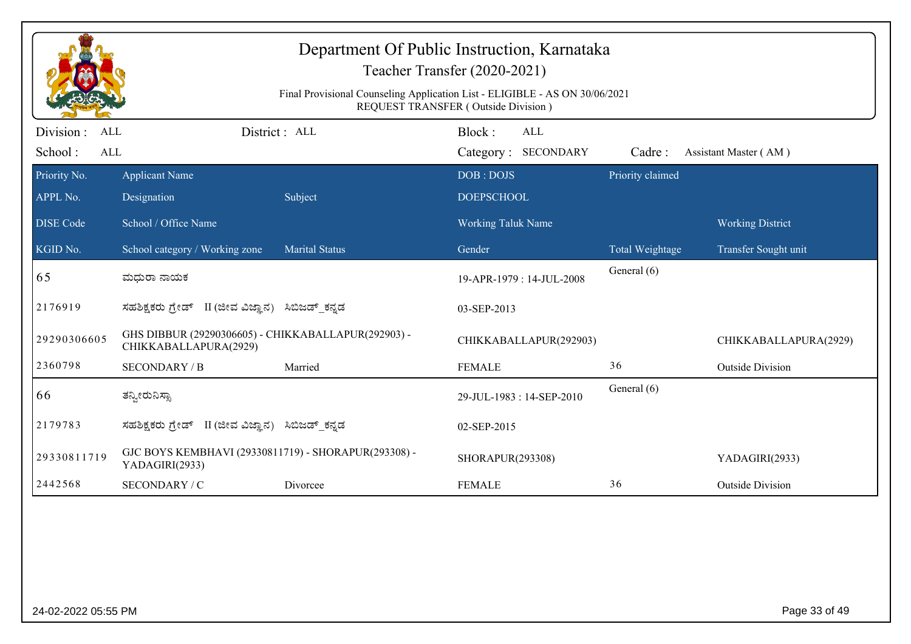|                                            |                                                                              | Department Of Public Instruction, Karnataka<br>Final Provisional Counseling Application List - ELIGIBLE - AS ON 30/06/2021 | Teacher Transfer (2020-2021)<br>REQUEST TRANSFER (Outside Division) |                  |                         |
|--------------------------------------------|------------------------------------------------------------------------------|----------------------------------------------------------------------------------------------------------------------------|---------------------------------------------------------------------|------------------|-------------------------|
| Division :<br><b>ALL</b><br>School:<br>ALL |                                                                              | District: ALL                                                                                                              | Block:<br><b>ALL</b><br>Category: SECONDARY                         | Cadre:           | Assistant Master (AM)   |
| Priority No.                               | <b>Applicant Name</b>                                                        |                                                                                                                            | DOB: DOJS                                                           | Priority claimed |                         |
| APPL No.                                   | Designation                                                                  | Subject                                                                                                                    | <b>DOEPSCHOOL</b>                                                   |                  |                         |
| <b>DISE Code</b>                           | School / Office Name                                                         |                                                                                                                            | <b>Working Taluk Name</b>                                           |                  | <b>Working District</b> |
| KGID No.                                   | School category / Working zone                                               | <b>Marital Status</b>                                                                                                      | Gender                                                              | Total Weightage  | Transfer Sought unit    |
| 65                                         | ಮಧುರಾ ನಾಯಕ                                                                   |                                                                                                                            | 19-APR-1979: 14-JUL-2008                                            | General (6)      |                         |
| 2176919                                    | ಸಹಶಿಕ್ಷಕರು ಗ್ರೇಡ್ II (ಜೀವ ವಿಜ್ಞಾನ) ಸಿಬಿಜಡ್ ಕನ್ನಡ                             |                                                                                                                            | 03-SEP-2013                                                         |                  |                         |
| 29290306605                                | GHS DIBBUR (29290306605) - CHIKKABALLAPUR(292903) -<br>CHIKKABALLAPURA(2929) |                                                                                                                            | CHIKKABALLAPUR(292903)                                              |                  | CHIKKABALLAPURA(2929)   |
| 2360798                                    | <b>SECONDARY / B</b>                                                         | Married                                                                                                                    | <b>FEMALE</b>                                                       | 36               | <b>Outside Division</b> |
| 66                                         | ತನ್ನೀರುನಿಸ್ಟಾ                                                                |                                                                                                                            | 29-JUL-1983: 14-SEP-2010                                            | General (6)      |                         |
| 2179783                                    | ಸಹಶಿಕ್ಷಕರು ಗ್ರೇಡ್ II (ಜೀವ ವಿಜ್ಞಾನ)                                           | ಸಿಬಿಜಡ್_ಕನ್ನಡ                                                                                                              | 02-SEP-2015                                                         |                  |                         |
| 29330811719                                | GJC BOYS KEMBHAVI (29330811719) - SHORAPUR(293308) -<br>YADAGIRI(2933)       |                                                                                                                            | SHORAPUR(293308)                                                    |                  | YADAGIRI(2933)          |
| 2442568                                    | SECONDARY / C                                                                | Divorcee                                                                                                                   | <b>FEMALE</b>                                                       | 36               | <b>Outside Division</b> |
|                                            |                                                                              |                                                                                                                            |                                                                     |                  |                         |
| 24-02-2022 05:55 PM                        |                                                                              |                                                                                                                            |                                                                     |                  | Page 33 of 49           |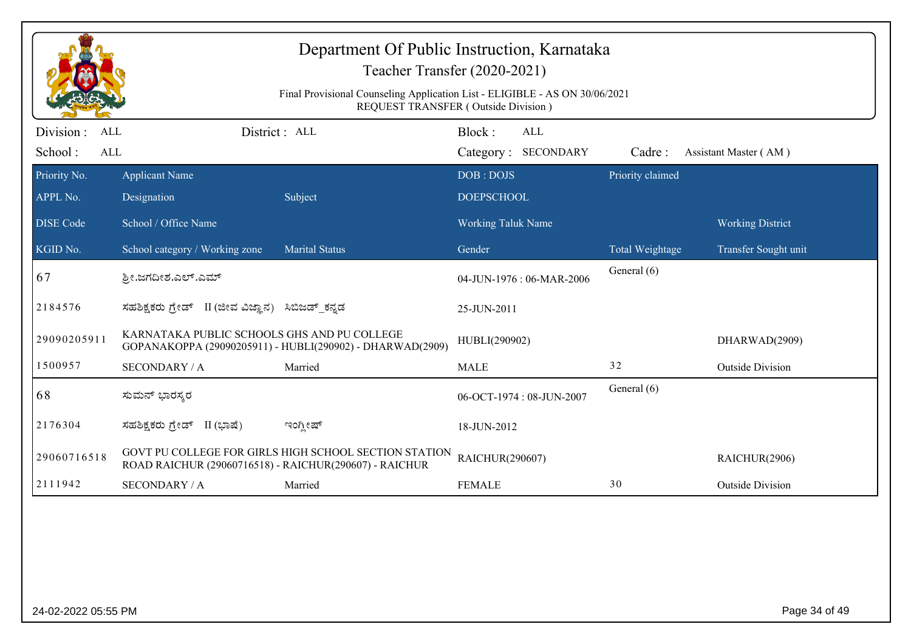|                                                  |                                                        | Department Of Public Instruction, Karnataka<br>Teacher Transfer (2020-2021)<br>Final Provisional Counseling Application List - ELIGIBLE - AS ON 30/06/2021<br><b>REQUEST TRANSFER (Outside Division)</b> |                           |                            |                  |                         |
|--------------------------------------------------|--------------------------------------------------------|----------------------------------------------------------------------------------------------------------------------------------------------------------------------------------------------------------|---------------------------|----------------------------|------------------|-------------------------|
| Division:<br><b>ALL</b><br>School:<br><b>ALL</b> | District: ALL                                          |                                                                                                                                                                                                          | Block:                    | ALL<br>Category: SECONDARY | Cadre:           | Assistant Master (AM)   |
| Priority No.                                     | <b>Applicant Name</b>                                  |                                                                                                                                                                                                          | DOB: DOJS                 |                            | Priority claimed |                         |
| APPL No.                                         | Designation                                            | Subject                                                                                                                                                                                                  | <b>DOEPSCHOOL</b>         |                            |                  |                         |
| <b>DISE Code</b>                                 | School / Office Name                                   |                                                                                                                                                                                                          | <b>Working Taluk Name</b> |                            |                  | <b>Working District</b> |
| KGID No.                                         | School category / Working zone                         | <b>Marital Status</b>                                                                                                                                                                                    | Gender                    |                            | Total Weightage  | Transfer Sought unit    |
| 67                                               | ಶ್ರೀ.ಜಗದೀಶ.ಎಲ್.ಎಮ್                                     |                                                                                                                                                                                                          |                           | 04-JUN-1976: 06-MAR-2006   | General (6)      |                         |
| 2184576                                          | ಸಹಶಿಕ್ಷಕರು ಗ್ರೇಡ್ II (ಜೀವ ವಿಜ್ಞಾನ) ಸಿಬಿಜಡ್ ಕನ್ನಡ       |                                                                                                                                                                                                          | 25-JUN-2011               |                            |                  |                         |
| 29090205911                                      | KARNATAKA PUBLIC SCHOOLS GHS AND PU COLLEGE            | GOPANAKOPPA (29090205911) - HUBLI(290902) - DHARWAD(2909)                                                                                                                                                | HUBLI(290902)             |                            |                  | DHARWAD(2909)           |
| 1500957                                          | <b>SECONDARY / A</b>                                   | Married                                                                                                                                                                                                  | <b>MALE</b>               |                            | 32               | <b>Outside Division</b> |
| 68                                               | ಸುಮನ್ ಭಾರಸ್ಕರ                                          |                                                                                                                                                                                                          |                           | 06-OCT-1974: 08-JUN-2007   | General (6)      |                         |
| 2176304                                          | ಸಹಶಿಕ್ಷಕರು ಗ್ರೇಡ್ II (ಭಾಷೆ)                            | ಇಂಗ್ಲೀಷ್                                                                                                                                                                                                 | 18-JUN-2012               |                            |                  |                         |
| 29060716518                                      | ROAD RAICHUR (29060716518) - RAICHUR(290607) - RAICHUR | GOVT PU COLLEGE FOR GIRLS HIGH SCHOOL SECTION STATION                                                                                                                                                    | RAICHUR(290607)           |                            |                  | RAICHUR(2906)           |
| 2111942                                          | <b>SECONDARY / A</b>                                   | Married                                                                                                                                                                                                  | <b>FEMALE</b>             |                            | 30               | <b>Outside Division</b> |
|                                                  |                                                        |                                                                                                                                                                                                          |                           |                            |                  |                         |
| 24-02-2022 05:55 PM                              |                                                        |                                                                                                                                                                                                          |                           |                            |                  | Page 34 of 49           |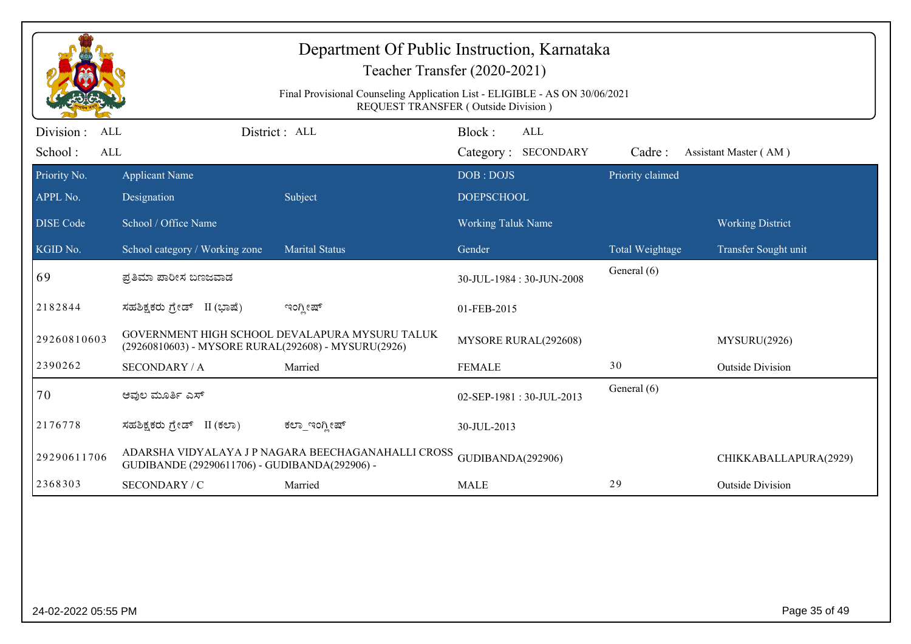|                                            |                                                     | Department Of Public Instruction, Karnataka<br>Teacher Transfer (2020-2021)<br>Final Provisional Counseling Application List - ELIGIBLE - AS ON 30/06/2021<br>REQUEST TRANSFER (Outside Division) |                           |                                   |                  |                         |
|--------------------------------------------|-----------------------------------------------------|---------------------------------------------------------------------------------------------------------------------------------------------------------------------------------------------------|---------------------------|-----------------------------------|------------------|-------------------------|
| Division :<br><b>ALL</b><br>School:<br>ALL |                                                     | District: ALL                                                                                                                                                                                     | Block:                    | <b>ALL</b><br>Category: SECONDARY | Cadre:           | Assistant Master (AM)   |
| Priority No.                               | <b>Applicant Name</b>                               |                                                                                                                                                                                                   | DOB: DOJS                 |                                   | Priority claimed |                         |
| APPL No.                                   | Designation                                         | Subject                                                                                                                                                                                           | <b>DOEPSCHOOL</b>         |                                   |                  |                         |
| <b>DISE Code</b>                           | School / Office Name                                |                                                                                                                                                                                                   | <b>Working Taluk Name</b> |                                   |                  | <b>Working District</b> |
| KGID No.                                   | School category / Working zone                      | <b>Marital Status</b>                                                                                                                                                                             | Gender                    |                                   | Total Weightage  | Transfer Sought unit    |
| 69                                         | ಪ್ರತಿಮಾ ಪಾರೀಸ ಬಣಜವಾಡ                                |                                                                                                                                                                                                   |                           | 30-JUL-1984: 30-JUN-2008          | General (6)      |                         |
| 2182844                                    | ಸಹಶಿಕ್ಷಕರು ಗ್ರೇಡ್ II (ಭಾಷೆ)                         | ಇಂಗ್ಲೀಷ್                                                                                                                                                                                          | 01-FEB-2015               |                                   |                  |                         |
| 29260810603                                | (29260810603) - MYSORE RURAL(292608) - MYSURU(2926) | GOVERNMENT HIGH SCHOOL DEVALAPURA MYSURU TALUK                                                                                                                                                    |                           | MYSORE RURAL(292608)              |                  | MYSURU(2926)            |
| 2390262                                    | <b>SECONDARY / A</b>                                | Married                                                                                                                                                                                           | <b>FEMALE</b>             |                                   | 30               | <b>Outside Division</b> |
| 70                                         | ಆವುಲ ಮೂರ್ತಿ ಎಸ್                                     |                                                                                                                                                                                                   |                           | 02-SEP-1981: 30-JUL-2013          | General (6)      |                         |
| 2176778                                    | ಸಹಶಿಕ್ಷಕರು ಗ್ರೇಡ್ II (ಕಲಾ)                          | ಕಲ್_ಇಂಗ್ಲೀಷ್                                                                                                                                                                                      | 30-JUL-2013               |                                   |                  |                         |
| 29290611706                                | GUDIBANDE (29290611706) - GUDIBANDA(292906) -       | ADARSHA VIDYALAYA JP NAGARA BEECHAGANAHALLI CROSS                                                                                                                                                 | GUDIBANDA(292906)         |                                   |                  | CHIKKABALLAPURA(2929)   |
| 2368303                                    | SECONDARY / C                                       | Married                                                                                                                                                                                           | <b>MALE</b>               |                                   | 29               | <b>Outside Division</b> |
|                                            |                                                     |                                                                                                                                                                                                   |                           |                                   |                  |                         |
| 24-02-2022 05:55 PM                        |                                                     |                                                                                                                                                                                                   |                           |                                   |                  | Page 35 of 49           |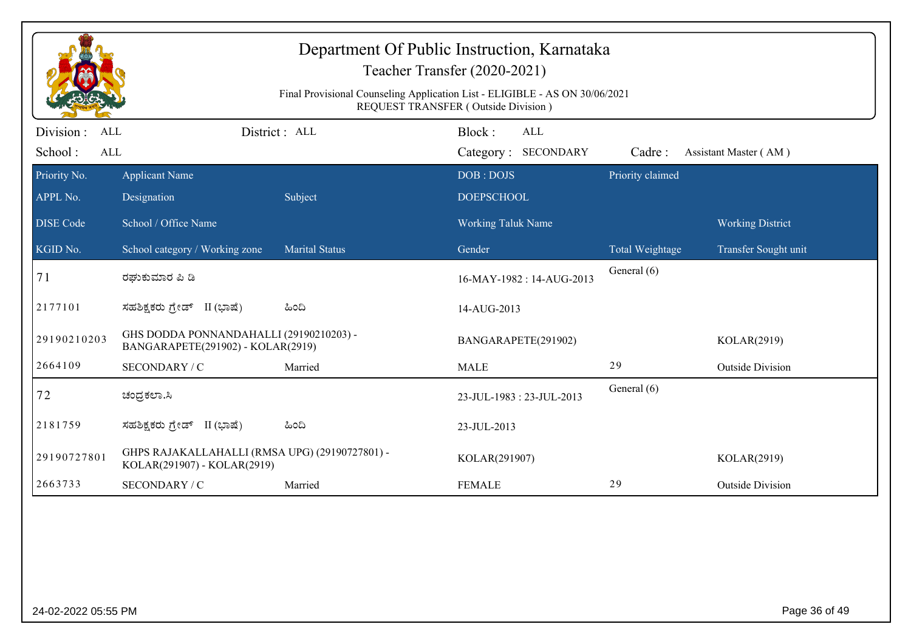| District: ALL<br>Block:<br>Division :<br>ALL<br><b>ALL</b><br>School:<br><b>ALL</b><br>Category: SECONDARY<br>Cadre:<br>Assistant Master (AM)<br>Priority claimed<br>Priority No.<br>DOB: DOJS<br><b>Applicant Name</b><br>APPL No.<br>Subject<br><b>DOEPSCHOOL</b><br>Designation<br><b>DISE Code</b><br>School / Office Name<br>Working Taluk Name<br><b>Working District</b><br>KGID No.<br>School category / Working zone<br><b>Marital Status</b><br>Gender<br>Total Weightage<br>Transfer Sought unit<br>General (6)<br>71<br>ರಘುಕುಮಾರ ಪಿ ಡಿ<br>16-MAY-1982: 14-AUG-2013<br>2177101<br>ಸಹಶಿಕ್ಷಕರು ಗ್ರೇಡ್ II (ಭಾಷೆ)<br>ಹಿಂದಿ<br>14-AUG-2013<br>GHS DODDA PONNANDAHALLI (29190210203) -<br>29190210203<br>BANGARAPETE(291902)<br>KOLAR(2919)<br>BANGARAPETE(291902) - KOLAR(2919)<br>29<br>2664109<br>SECONDARY / C<br><b>MALE</b><br><b>Outside Division</b><br>Married<br>General (6)<br>72<br>ಚಂದ್ರಕಲಾ.ಸಿ<br>23-JUL-1983: 23-JUL-2013<br>2181759<br>ಸಹಶಿಕ್ಷಕರು ಗ್ರೇಡ್ II (ಭಾಷೆ)<br>ಹಿಂದಿ<br>23-JUL-2013<br>GHPS RAJAKALLAHALLI (RMSA UPG) (29190727801) - |  | Department Of Public Instruction, Karnataka<br>Teacher Transfer (2020-2021)<br>Final Provisional Counseling Application List - ELIGIBLE - AS ON 30/06/2021<br><b>REQUEST TRANSFER (Outside Division)</b> |             |
|------------------------------------------------------------------------------------------------------------------------------------------------------------------------------------------------------------------------------------------------------------------------------------------------------------------------------------------------------------------------------------------------------------------------------------------------------------------------------------------------------------------------------------------------------------------------------------------------------------------------------------------------------------------------------------------------------------------------------------------------------------------------------------------------------------------------------------------------------------------------------------------------------------------------------------------------------------------------------------------------------------------------------------------------------------------|--|----------------------------------------------------------------------------------------------------------------------------------------------------------------------------------------------------------|-------------|
|                                                                                                                                                                                                                                                                                                                                                                                                                                                                                                                                                                                                                                                                                                                                                                                                                                                                                                                                                                                                                                                                  |  |                                                                                                                                                                                                          |             |
|                                                                                                                                                                                                                                                                                                                                                                                                                                                                                                                                                                                                                                                                                                                                                                                                                                                                                                                                                                                                                                                                  |  |                                                                                                                                                                                                          |             |
|                                                                                                                                                                                                                                                                                                                                                                                                                                                                                                                                                                                                                                                                                                                                                                                                                                                                                                                                                                                                                                                                  |  |                                                                                                                                                                                                          |             |
|                                                                                                                                                                                                                                                                                                                                                                                                                                                                                                                                                                                                                                                                                                                                                                                                                                                                                                                                                                                                                                                                  |  |                                                                                                                                                                                                          |             |
|                                                                                                                                                                                                                                                                                                                                                                                                                                                                                                                                                                                                                                                                                                                                                                                                                                                                                                                                                                                                                                                                  |  |                                                                                                                                                                                                          |             |
|                                                                                                                                                                                                                                                                                                                                                                                                                                                                                                                                                                                                                                                                                                                                                                                                                                                                                                                                                                                                                                                                  |  |                                                                                                                                                                                                          |             |
|                                                                                                                                                                                                                                                                                                                                                                                                                                                                                                                                                                                                                                                                                                                                                                                                                                                                                                                                                                                                                                                                  |  |                                                                                                                                                                                                          |             |
|                                                                                                                                                                                                                                                                                                                                                                                                                                                                                                                                                                                                                                                                                                                                                                                                                                                                                                                                                                                                                                                                  |  |                                                                                                                                                                                                          |             |
|                                                                                                                                                                                                                                                                                                                                                                                                                                                                                                                                                                                                                                                                                                                                                                                                                                                                                                                                                                                                                                                                  |  |                                                                                                                                                                                                          |             |
|                                                                                                                                                                                                                                                                                                                                                                                                                                                                                                                                                                                                                                                                                                                                                                                                                                                                                                                                                                                                                                                                  |  |                                                                                                                                                                                                          |             |
|                                                                                                                                                                                                                                                                                                                                                                                                                                                                                                                                                                                                                                                                                                                                                                                                                                                                                                                                                                                                                                                                  |  |                                                                                                                                                                                                          |             |
| 29190727801<br>KOLAR(291907) - KOLAR(2919)                                                                                                                                                                                                                                                                                                                                                                                                                                                                                                                                                                                                                                                                                                                                                                                                                                                                                                                                                                                                                       |  | KOLAR(291907)                                                                                                                                                                                            | KOLAR(2919) |
| 2663733<br>29<br>SECONDARY / C<br>Married<br><b>FEMALE</b><br><b>Outside Division</b>                                                                                                                                                                                                                                                                                                                                                                                                                                                                                                                                                                                                                                                                                                                                                                                                                                                                                                                                                                            |  |                                                                                                                                                                                                          |             |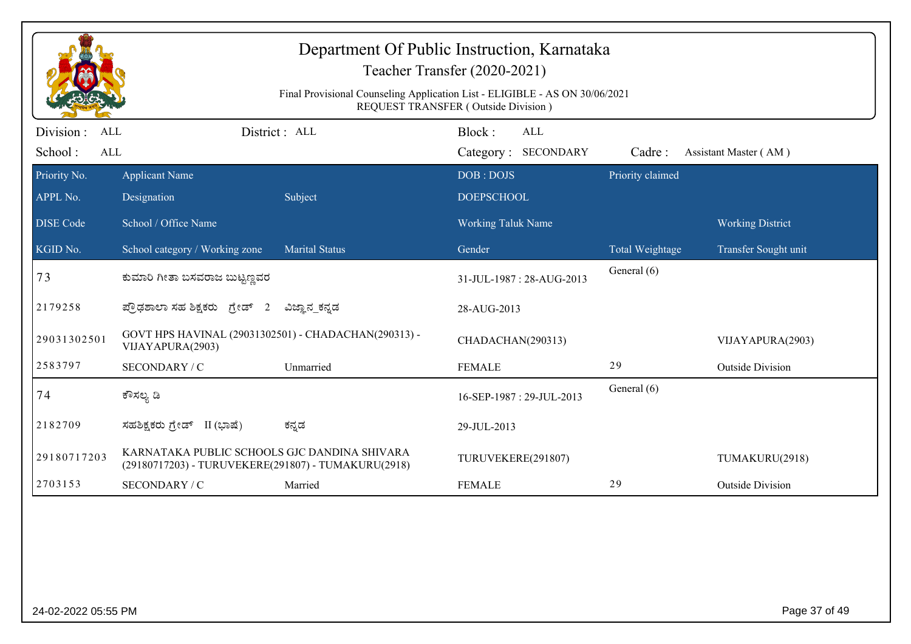| Department Of Public Instruction, Karnataka<br>Teacher Transfer (2020-2021)<br>Final Provisional Counseling Application List - ELIGIBLE - AS ON 30/06/2021<br>REQUEST TRANSFER (Outside Division) |                                                                                                     |                       |                                      |                  |                         |  |
|---------------------------------------------------------------------------------------------------------------------------------------------------------------------------------------------------|-----------------------------------------------------------------------------------------------------|-----------------------|--------------------------------------|------------------|-------------------------|--|
| Division:<br><b>ALL</b><br>School:<br><b>ALL</b>                                                                                                                                                  |                                                                                                     | District : ALL        | Block:<br>ALL<br>Category: SECONDARY | Cadre:           | Assistant Master (AM)   |  |
| Priority No.<br>APPL No.                                                                                                                                                                          | <b>Applicant Name</b><br>Designation                                                                | Subject               | DOB: DOJS<br><b>DOEPSCHOOL</b>       | Priority claimed |                         |  |
| <b>DISE</b> Code                                                                                                                                                                                  | School / Office Name                                                                                |                       | <b>Working Taluk Name</b>            |                  | <b>Working District</b> |  |
| KGID No.                                                                                                                                                                                          | School category / Working zone                                                                      | <b>Marital Status</b> | Gender                               | Total Weightage  | Transfer Sought unit    |  |
| 73                                                                                                                                                                                                | ಕುಮಾರಿ ಗೀತಾ ಬಸವರಾಜ ಬುಟ್ಟಣ್ಣವರ                                                                       |                       | 31-JUL-1987: 28-AUG-2013             | General (6)      |                         |  |
| 2179258                                                                                                                                                                                           | ಪ್ರೌಢಶಾಲಾ ಸಹ ಶಿಕ್ಷಕರು ಗ್ರೇಡ್ 2                                                                      | ವಿಜ್ಞಾನ ಕನ್ನಡ         | 28-AUG-2013                          |                  |                         |  |
| 29031302501                                                                                                                                                                                       | GOVT HPS HAVINAL (29031302501) - CHADACHAN(290313) -<br>VIJAYAPURA(2903)                            |                       | CHADACHAN(290313)                    |                  | VIJAYAPURA(2903)        |  |
| 2583797                                                                                                                                                                                           | SECONDARY / C                                                                                       | Unmarried             | <b>FEMALE</b>                        | 29               | <b>Outside Division</b> |  |
| 74                                                                                                                                                                                                | ಕೌಸಲ್ಯ ಡಿ                                                                                           |                       | 16-SEP-1987: 29-JUL-2013             | General (6)      |                         |  |
| 2182709                                                                                                                                                                                           | ಸಹಶಿಕ್ಷಕರು ಗ್ರೇಡ್ II (ಭಾಷೆ)                                                                         | ಕನ್ನಡ                 | 29-JUL-2013                          |                  |                         |  |
| 29180717203                                                                                                                                                                                       | KARNATAKA PUBLIC SCHOOLS GJC DANDINA SHIVARA<br>(29180717203) - TURUVEKERE(291807) - TUMAKURU(2918) |                       | TURUVEKERE(291807)                   |                  | TUMAKURU(2918)          |  |
| 2703153                                                                                                                                                                                           | SECONDARY / C                                                                                       | Married               | <b>FEMALE</b>                        | 29               | <b>Outside Division</b> |  |
|                                                                                                                                                                                                   |                                                                                                     |                       |                                      |                  |                         |  |
| 24-02-2022 05:55 PM                                                                                                                                                                               |                                                                                                     |                       |                                      |                  | Page 37 of 49           |  |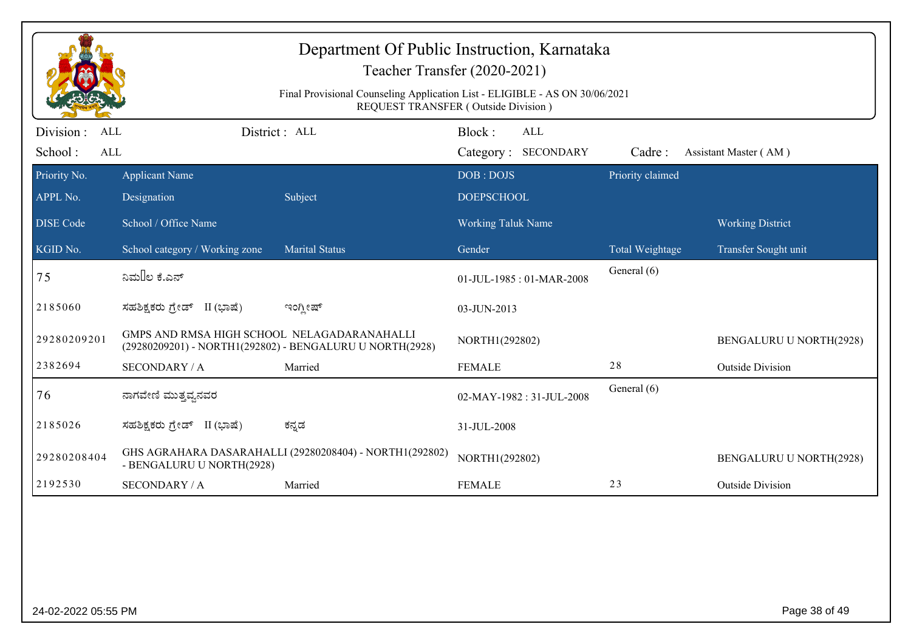|                                                  | Department Of Public Instruction, Karnataka<br>Teacher Transfer (2020-2021)                                        |                                                         |                               |     |                  |                         |  |
|--------------------------------------------------|--------------------------------------------------------------------------------------------------------------------|---------------------------------------------------------|-------------------------------|-----|------------------|-------------------------|--|
|                                                  | Final Provisional Counseling Application List - ELIGIBLE - AS ON 30/06/2021<br>REQUEST TRANSFER (Outside Division) |                                                         |                               |     |                  |                         |  |
| Division:<br><b>ALL</b><br>School:<br><b>ALL</b> | District : ALL                                                                                                     |                                                         | Block:<br>Category: SECONDARY | ALL | Cadre:           | Assistant Master (AM)   |  |
| Priority No.                                     | <b>Applicant Name</b>                                                                                              |                                                         | DOB: DOJS                     |     | Priority claimed |                         |  |
| APPL No.                                         | Designation                                                                                                        | Subject                                                 | <b>DOEPSCHOOL</b>             |     |                  |                         |  |
| <b>DISE Code</b>                                 | School / Office Name                                                                                               |                                                         | <b>Working Taluk Name</b>     |     |                  | <b>Working District</b> |  |
| KGID No.                                         | School category / Working zone                                                                                     | <b>Marital Status</b>                                   | Gender                        |     | Total Weightage  | Transfer Sought unit    |  |
| 75                                               | ನಿಮ‼ಲ ಕೆ.ಎನ್                                                                                                       |                                                         | 01-JUL-1985: 01-MAR-2008      |     | General (6)      |                         |  |
| 2185060                                          | ಸಹಶಿಕ್ಷಕರು ಗ್ರೇಡ್ II (ಭಾಷೆ)                                                                                        | ಇಂಗ್ಲೀಷ್                                                | 03-JUN-2013                   |     |                  |                         |  |
| 29280209201                                      | GMPS AND RMSA HIGH SCHOOL NELAGADARANAHALLI<br>(29280209201) - NORTH1(292802) - BENGALURU U NORTH(2928)            |                                                         | NORTH1(292802)                |     |                  | BENGALURU U NORTH(2928) |  |
| 2382694                                          | <b>SECONDARY / A</b>                                                                                               | Married                                                 | <b>FEMALE</b>                 |     | 28               | <b>Outside Division</b> |  |
| 76                                               | ನಾಗವೇಣಿ ಮುತ್ತವ್ವನವರ                                                                                                |                                                         | 02-MAY-1982: 31-JUL-2008      |     | General (6)      |                         |  |
| 2185026                                          | ಸಹಶಿಕ್ಷಕರು ಗ್ರೇಡ್ II (ಭಾಷೆ)                                                                                        | ಕನ್ನಡ                                                   | 31-JUL-2008                   |     |                  |                         |  |
| 29280208404                                      | - BENGALURU U NORTH(2928)                                                                                          | GHS AGRAHARA DASARAHALLI (29280208404) - NORTH1(292802) | NORTH1(292802)                |     |                  | BENGALURU U NORTH(2928) |  |
| 2192530                                          | <b>SECONDARY / A</b>                                                                                               | Married                                                 | <b>FEMALE</b>                 |     | 23               | <b>Outside Division</b> |  |
|                                                  |                                                                                                                    |                                                         |                               |     |                  |                         |  |
| 24-02-2022 05:55 PM                              |                                                                                                                    |                                                         |                               |     |                  | Page 38 of 49           |  |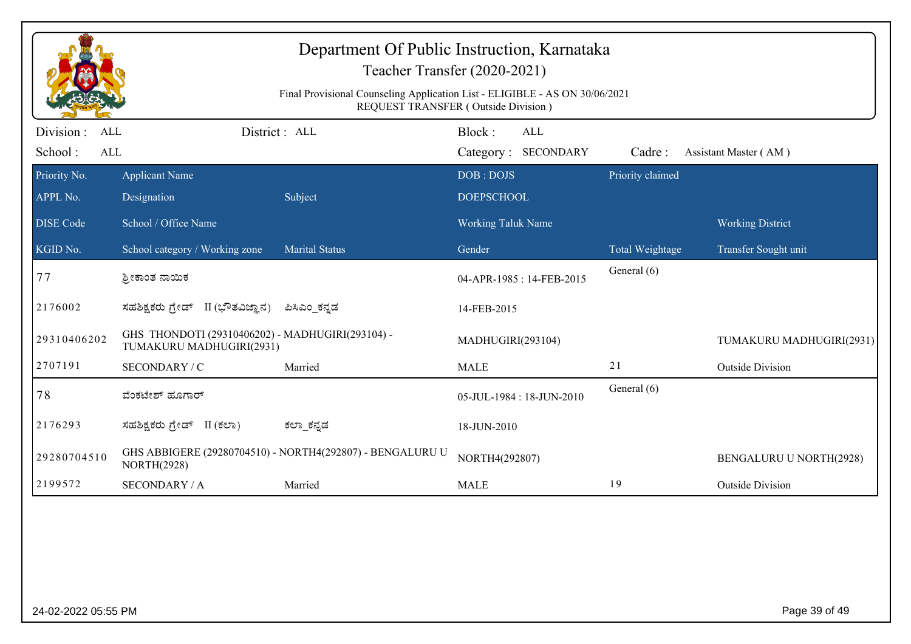|                                 |                                                                              | Department Of Public Instruction, Karnataka<br>Teacher Transfer (2020-2021)<br>Final Provisional Counseling Application List - ELIGIBLE - AS ON 30/06/2021<br><b>REQUEST TRANSFER (Outside Division)</b> |                                |                          |                  |                                |
|---------------------------------|------------------------------------------------------------------------------|----------------------------------------------------------------------------------------------------------------------------------------------------------------------------------------------------------|--------------------------------|--------------------------|------------------|--------------------------------|
| Division :<br><b>ALL</b><br>ALL |                                                                              | District: ALL                                                                                                                                                                                            | Block:                         | ALL                      |                  |                                |
| School:                         |                                                                              |                                                                                                                                                                                                          |                                | Category: SECONDARY      | Cadre:           | Assistant Master (AM)          |
| Priority No.<br>APPL No.        | <b>Applicant Name</b><br>Designation                                         | Subject                                                                                                                                                                                                  | DOB: DOJS<br><b>DOEPSCHOOL</b> |                          | Priority claimed |                                |
| <b>DISE Code</b>                | School / Office Name                                                         |                                                                                                                                                                                                          | Working Taluk Name             |                          |                  | <b>Working District</b>        |
| KGID No.                        | School category / Working zone                                               | <b>Marital Status</b>                                                                                                                                                                                    | Gender                         |                          | Total Weightage  | Transfer Sought unit           |
| 77                              | ಶ್ರೀಕಾಂತ ನಾಯಿಕ                                                               |                                                                                                                                                                                                          |                                | 04-APR-1985: 14-FEB-2015 | General (6)      |                                |
| 2176002                         | ಸಹಶಿಕ್ಷಕರು ಗ್ರೇಡ್ II (ಭೌತವಿಜ್ಞಾನ)                                            | ಪಿಸಿಎಂ_ಕನ್ನಡ                                                                                                                                                                                             | 14-FEB-2015                    |                          |                  |                                |
| 29310406202                     | GHS THONDOTI (29310406202) - MADHUGIRI(293104) -<br>TUMAKURU MADHUGIRI(2931) |                                                                                                                                                                                                          | MADHUGIRI(293104)              |                          |                  | TUMAKURU MADHUGIRI(2931)       |
| 2707191                         | SECONDARY / C                                                                | Married                                                                                                                                                                                                  | <b>MALE</b>                    |                          | 21               | <b>Outside Division</b>        |
| 78                              | ವೆಂಕಟೇಶ್ ಹೂಗಾರ್                                                              |                                                                                                                                                                                                          |                                | 05-JUL-1984: 18-JUN-2010 | General (6)      |                                |
| 2176293                         | ಸಹಶಿಕ್ಷಕರು ಗ್ರೇಡ್ II (ಕಲಾ)                                                   | ಕಲ್_ಾಕನ್ನಡ                                                                                                                                                                                               | 18-JUN-2010                    |                          |                  |                                |
| 29280704510                     | <b>NORTH(2928)</b>                                                           | GHS ABBIGERE (29280704510) - NORTH4(292807) - BENGALURU U                                                                                                                                                | NORTH4(292807)                 |                          |                  | <b>BENGALURU U NORTH(2928)</b> |
| 2199572                         | <b>SECONDARY / A</b>                                                         | Married                                                                                                                                                                                                  | <b>MALE</b>                    |                          | 19               | <b>Outside Division</b>        |
|                                 |                                                                              |                                                                                                                                                                                                          |                                |                          |                  |                                |
| 24-02-2022 05:55 PM             |                                                                              |                                                                                                                                                                                                          |                                |                          |                  | Page 39 of 49                  |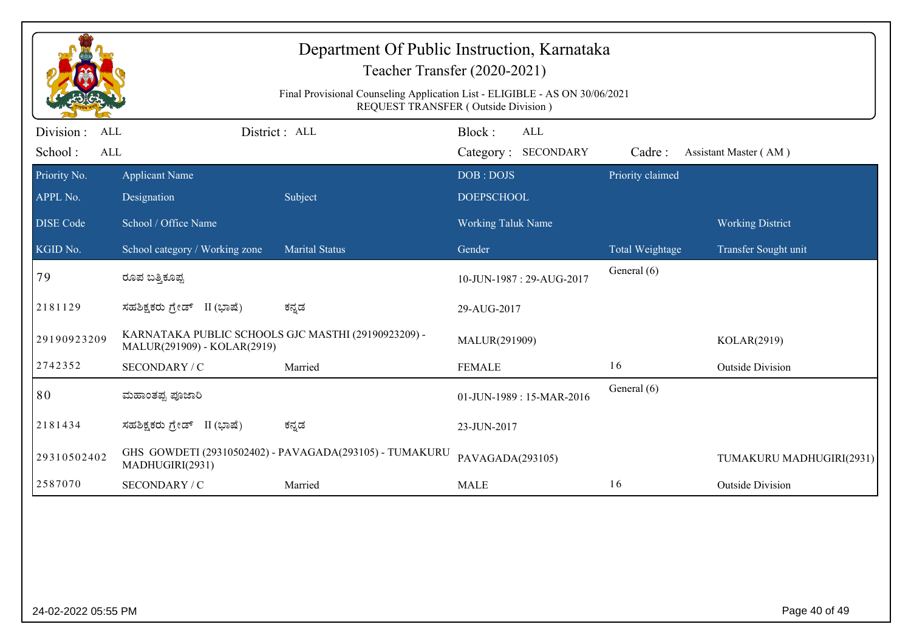|                                                  |                                                                                    | Department Of Public Instruction, Karnataka<br>Teacher Transfer (2020-2021)<br>Final Provisional Counseling Application List - ELIGIBLE - AS ON 30/06/2021<br><b>REQUEST TRANSFER (Outside Division)</b> |                           |                                   |                  |                          |
|--------------------------------------------------|------------------------------------------------------------------------------------|----------------------------------------------------------------------------------------------------------------------------------------------------------------------------------------------------------|---------------------------|-----------------------------------|------------------|--------------------------|
| Division:<br><b>ALL</b><br>School:<br><b>ALL</b> |                                                                                    | District: ALL                                                                                                                                                                                            | Block:                    | <b>ALL</b><br>Category: SECONDARY | Cadre:           | Assistant Master (AM)    |
| Priority No.                                     | <b>Applicant Name</b>                                                              |                                                                                                                                                                                                          | DOB: DOJS                 |                                   | Priority claimed |                          |
| APPL No.                                         | Designation                                                                        | Subject                                                                                                                                                                                                  | <b>DOEPSCHOOL</b>         |                                   |                  |                          |
| <b>DISE Code</b>                                 | School / Office Name                                                               |                                                                                                                                                                                                          | <b>Working Taluk Name</b> |                                   |                  | <b>Working District</b>  |
| KGID No.                                         | School category / Working zone                                                     | Marital Status                                                                                                                                                                                           | Gender                    |                                   | Total Weightage  | Transfer Sought unit     |
| 79                                               | ರೂಪ ಬತ್ತಿಕೂಪ್ಪ                                                                     |                                                                                                                                                                                                          |                           | 10-JUN-1987: 29-AUG-2017          | General (6)      |                          |
| 2181129                                          | ಸಹಶಿಕ್ಷಕರು ಗ್ರೇಡ್ II (ಭಾಷೆ)                                                        | ಕನ್ನಡ                                                                                                                                                                                                    | 29-AUG-2017               |                                   |                  |                          |
| 29190923209                                      | KARNATAKA PUBLIC SCHOOLS GJC MASTHI (29190923209) -<br>MALUR(291909) - KOLAR(2919) |                                                                                                                                                                                                          | MALUR(291909)             |                                   |                  | KOLAR(2919)              |
| 2742352                                          | SECONDARY / C                                                                      | Married                                                                                                                                                                                                  | <b>FEMALE</b>             |                                   | 16               | <b>Outside Division</b>  |
| 80                                               | ಮಹಾಂತಪ್ಪ ಪೂಜಾರಿ                                                                    |                                                                                                                                                                                                          |                           | 01-JUN-1989: 15-MAR-2016          | General (6)      |                          |
| 2181434                                          | ಸಹಶಿಕ್ಷಕರು ಗ್ರೇಡ್ II (ಭಾಷೆ)                                                        | ಕನ್ನಡ                                                                                                                                                                                                    | 23-JUN-2017               |                                   |                  |                          |
| 29310502402                                      | MADHUGIRI(2931)                                                                    | GHS GOWDETI (29310502402) - PAVAGADA(293105) - TUMAKURU                                                                                                                                                  | PAVAGADA(293105)          |                                   |                  | TUMAKURU MADHUGIRI(2931) |
| 2587070                                          | SECONDARY / C                                                                      | Married                                                                                                                                                                                                  | <b>MALE</b>               |                                   | 16               | <b>Outside Division</b>  |
|                                                  |                                                                                    |                                                                                                                                                                                                          |                           |                                   |                  |                          |
| 24-02-2022 05:55 PM                              |                                                                                    |                                                                                                                                                                                                          |                           |                                   |                  | Page 40 of 49            |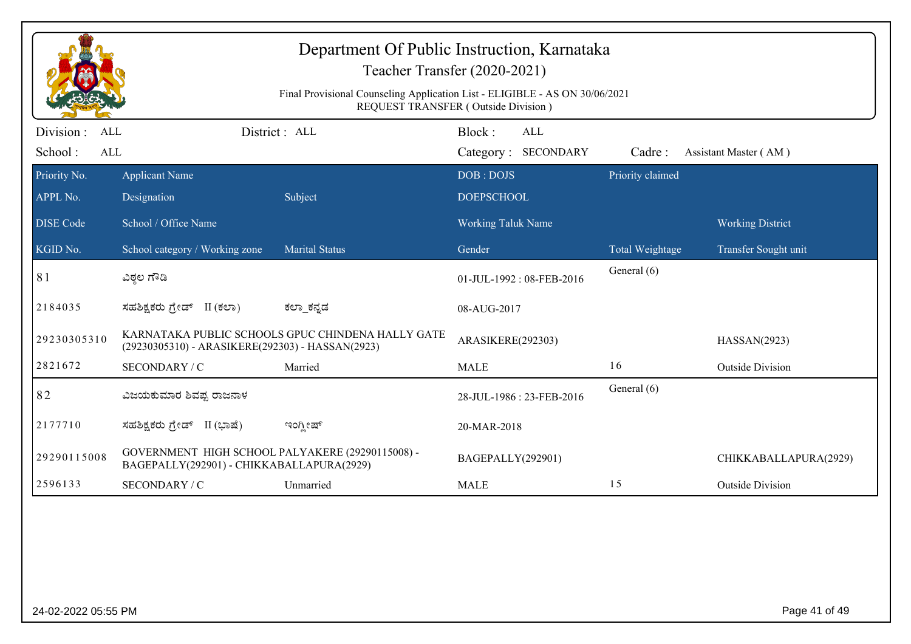| Department Of Public Instruction, Karnataka<br>Teacher Transfer (2020-2021)<br>Final Provisional Counseling Application List - ELIGIBLE - AS ON 30/06/2021<br><b>REQUEST TRANSFER (Outside Division)</b> |                                                                                               |                                                   |                                      |                  |                         |  |
|----------------------------------------------------------------------------------------------------------------------------------------------------------------------------------------------------------|-----------------------------------------------------------------------------------------------|---------------------------------------------------|--------------------------------------|------------------|-------------------------|--|
| Division:<br><b>ALL</b><br>School:<br><b>ALL</b>                                                                                                                                                         |                                                                                               | District : ALL                                    | Block:<br>ALL<br>Category: SECONDARY | Cadre:           | Assistant Master (AM)   |  |
| Priority No.<br>APPL No.                                                                                                                                                                                 | <b>Applicant Name</b><br>Designation                                                          | Subject                                           | DOB: DOJS<br><b>DOEPSCHOOL</b>       | Priority claimed |                         |  |
| <b>DISE Code</b>                                                                                                                                                                                         | School / Office Name                                                                          |                                                   | <b>Working Taluk Name</b>            |                  | <b>Working District</b> |  |
| KGID No.                                                                                                                                                                                                 | School category / Working zone                                                                | <b>Marital Status</b>                             | Gender                               | Total Weightage  | Transfer Sought unit    |  |
| 81                                                                                                                                                                                                       | ವಿಠ್ಠಲ ಗೌಡಿ                                                                                   |                                                   | 01-JUL-1992: 08-FEB-2016             | General (6)      |                         |  |
| 2184035                                                                                                                                                                                                  | ಸಹಶಿಕ್ಷಕರು ಗ್ರೇಡ್ II (ಕಲಾ)                                                                    | ಕಲ್_ಕನ್ನಡ                                         | 08-AUG-2017                          |                  |                         |  |
| 29230305310                                                                                                                                                                                              | (29230305310) - ARASIKERE(292303) - HASSAN(2923)                                              | KARNATAKA PUBLIC SCHOOLS GPUC CHINDENA HALLY GATE | ARASIKERE(292303)                    |                  | HASSAN(2923)            |  |
| 2821672                                                                                                                                                                                                  | SECONDARY / C                                                                                 | Married                                           | <b>MALE</b>                          | 16               | <b>Outside Division</b> |  |
| 82                                                                                                                                                                                                       | ವಿಜಯಕುಮಾರ ಶಿವಪ್ಪ ರಾಜನಾಳ                                                                       |                                                   | 28-JUL-1986 : 23-FEB-2016            | General (6)      |                         |  |
| 2177710                                                                                                                                                                                                  | ಸಹಶಿಕ್ಷಕರು ಗ್ರೇಡ್ II (ಭಾಷೆ)                                                                   | ಇಂಗ್ಲೀಷ್                                          | 20-MAR-2018                          |                  |                         |  |
| 29290115008                                                                                                                                                                                              | GOVERNMENT HIGH SCHOOL PALYAKERE (29290115008) -<br>BAGEPALLY(292901) - CHIKKABALLAPURA(2929) |                                                   | BAGEPALLY(292901)                    |                  | CHIKKABALLAPURA(2929)   |  |
| 2596133                                                                                                                                                                                                  | SECONDARY / C                                                                                 | Unmarried                                         | <b>MALE</b>                          | 15               | <b>Outside Division</b> |  |
|                                                                                                                                                                                                          |                                                                                               |                                                   |                                      |                  |                         |  |
| 24-02-2022 05:55 PM                                                                                                                                                                                      |                                                                                               |                                                   |                                      |                  | Page 41 of 49           |  |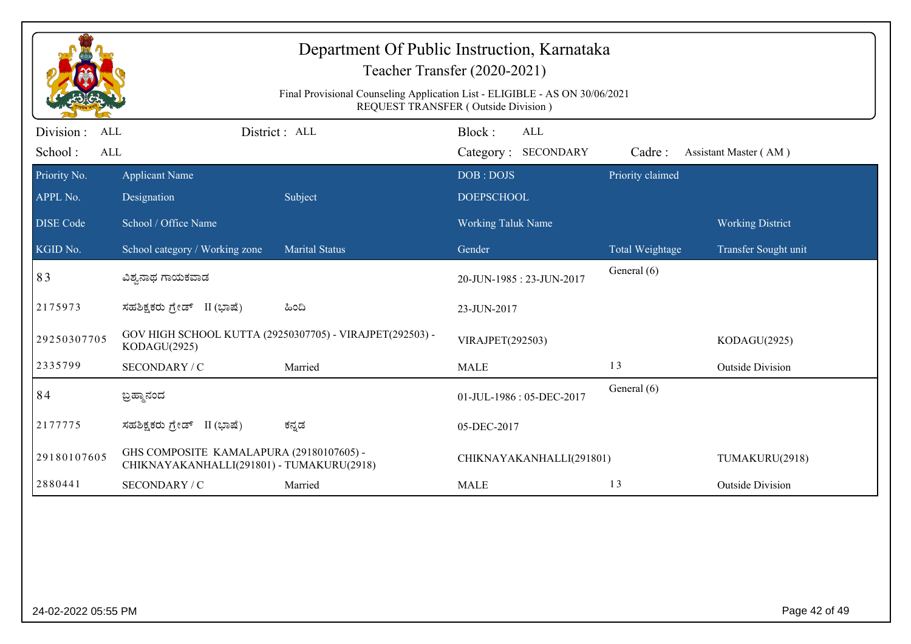| Department Of Public Instruction, Karnataka<br>Teacher Transfer (2020-2021)<br>Final Provisional Counseling Application List - ELIGIBLE - AS ON 30/06/2021<br>REQUEST TRANSFER (Outside Division) |                                                                                       |                                                          |                                      |                  |                         |  |
|---------------------------------------------------------------------------------------------------------------------------------------------------------------------------------------------------|---------------------------------------------------------------------------------------|----------------------------------------------------------|--------------------------------------|------------------|-------------------------|--|
| Division :<br><b>ALL</b><br>School:<br><b>ALL</b>                                                                                                                                                 |                                                                                       | District: ALL                                            | Block:<br>ALL<br>Category: SECONDARY | Cadre:           | Assistant Master (AM)   |  |
| Priority No.<br>APPL No.                                                                                                                                                                          | <b>Applicant Name</b><br>Designation                                                  | Subject                                                  | DOB: DOJS<br><b>DOEPSCHOOL</b>       | Priority claimed |                         |  |
| <b>DISE Code</b>                                                                                                                                                                                  | School / Office Name                                                                  |                                                          | Working Taluk Name                   |                  | <b>Working District</b> |  |
| KGID No.                                                                                                                                                                                          | School category / Working zone                                                        | <b>Marital Status</b>                                    | Gender                               | Total Weightage  | Transfer Sought unit    |  |
| 83                                                                                                                                                                                                | ವಿಶ್ವನಾಥ ಗಾಯಕವಾಡ                                                                      |                                                          | 20-JUN-1985: 23-JUN-2017             | General (6)      |                         |  |
| 2175973                                                                                                                                                                                           | ಸಹಶಿಕ್ಷಕರು ಗ್ರೇಡ್ II (ಭಾಷೆ)                                                           | ಹಿಂದಿ                                                    | 23-JUN-2017                          |                  |                         |  |
| 29250307705                                                                                                                                                                                       | KODAGU(2925)                                                                          | GOV HIGH SCHOOL KUTTA (29250307705) - VIRAJPET(292503) - | VIRAJPET(292503)                     |                  | KODAGU(2925)            |  |
| 2335799                                                                                                                                                                                           | SECONDARY / C                                                                         | Married                                                  | <b>MALE</b>                          | 13               | <b>Outside Division</b> |  |
| 84                                                                                                                                                                                                | ಬ್ರಹ್ಮಾನಂದ                                                                            |                                                          | 01-JUL-1986: 05-DEC-2017             | General (6)      |                         |  |
| 2177775                                                                                                                                                                                           | ಸಹಶಿಕ್ಷಕರು ಗ್ರೇಡ್ II (ಭಾಷೆ)                                                           | ಕನ್ನಡ                                                    | 05-DEC-2017                          |                  |                         |  |
| 29180107605                                                                                                                                                                                       | GHS COMPOSITE KAMALAPURA (29180107605) -<br>CHIKNAYAKANHALLI(291801) - TUMAKURU(2918) |                                                          | CHIKNAYAKANHALLI(291801)             |                  | TUMAKURU(2918)          |  |
| 2880441                                                                                                                                                                                           | SECONDARY / C                                                                         | Married                                                  | <b>MALE</b>                          | 13               | <b>Outside Division</b> |  |
|                                                                                                                                                                                                   |                                                                                       |                                                          |                                      |                  |                         |  |
| 24-02-2022 05:55 PM                                                                                                                                                                               |                                                                                       |                                                          |                                      |                  | Page 42 of 49           |  |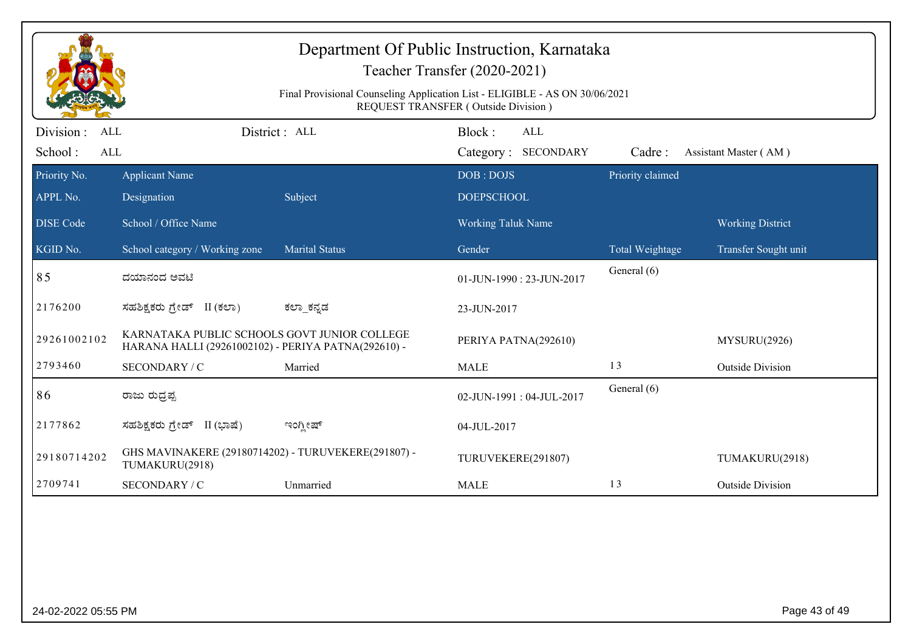| Department Of Public Instruction, Karnataka<br>Teacher Transfer (2020-2021)<br>Final Provisional Counseling Application List - ELIGIBLE - AS ON 30/06/2021<br>REQUEST TRANSFER (Outside Division) |                                                                                                     |                       |                                |                  |                         |  |
|---------------------------------------------------------------------------------------------------------------------------------------------------------------------------------------------------|-----------------------------------------------------------------------------------------------------|-----------------------|--------------------------------|------------------|-------------------------|--|
| Division:<br><b>ALL</b>                                                                                                                                                                           |                                                                                                     | District: ALL         | Block:<br><b>ALL</b>           |                  |                         |  |
| School:<br><b>ALL</b>                                                                                                                                                                             |                                                                                                     |                       | Category: SECONDARY            | Cadre:           | Assistant Master (AM)   |  |
| Priority No.<br>APPL No.                                                                                                                                                                          | <b>Applicant Name</b><br>Designation                                                                | Subject               | DOB: DOJS<br><b>DOEPSCHOOL</b> | Priority claimed |                         |  |
| <b>DISE Code</b>                                                                                                                                                                                  | School / Office Name                                                                                |                       | <b>Working Taluk Name</b>      |                  | <b>Working District</b> |  |
| KGID No.                                                                                                                                                                                          | School category / Working zone                                                                      | <b>Marital Status</b> | Gender                         | Total Weightage  | Transfer Sought unit    |  |
| 85                                                                                                                                                                                                | ದಯಾನಂದ ಅವಟಿ                                                                                         |                       | 01-JUN-1990: 23-JUN-2017       | General (6)      |                         |  |
| 2176200                                                                                                                                                                                           | ಸಹಶಿಕ್ಷಕರು ಗ್ರೇಡ್ II (ಕಲಾ)                                                                          | ಕಲ್_ಕನ್ನಡ             | 23-JUN-2017                    |                  |                         |  |
| 29261002102                                                                                                                                                                                       | KARNATAKA PUBLIC SCHOOLS GOVT JUNIOR COLLEGE<br>HARANA HALLI (29261002102) - PERIYA PATNA(292610) - |                       | PERIYA PATNA(292610)           |                  | MYSURU(2926)            |  |
| 2793460                                                                                                                                                                                           | SECONDARY / C                                                                                       | Married               | <b>MALE</b>                    | 13               | <b>Outside Division</b> |  |
| 86                                                                                                                                                                                                | ರಾಜು ರುದ್ರಪ್ಪ                                                                                       |                       | 02-JUN-1991: 04-JUL-2017       | General (6)      |                         |  |
| 2177862                                                                                                                                                                                           | ಸಹಶಿಕ್ಷಕರು ಗ್ರೇಡ್ II (ಭಾಷೆ)                                                                         | ಇಂಗ್ಲೀಷ್              | 04-JUL-2017                    |                  |                         |  |
| 29180714202                                                                                                                                                                                       | GHS MAVINAKERE (29180714202) - TURUVEKERE(291807) -<br>TUMAKURU(2918)                               |                       | TURUVEKERE(291807)             |                  | TUMAKURU(2918)          |  |
| 2709741                                                                                                                                                                                           | SECONDARY / C                                                                                       | Unmarried             | <b>MALE</b>                    | 13               | <b>Outside Division</b> |  |
|                                                                                                                                                                                                   |                                                                                                     |                       |                                |                  |                         |  |
| 24-02-2022 05:55 PM                                                                                                                                                                               |                                                                                                     |                       |                                |                  | Page 43 of 49           |  |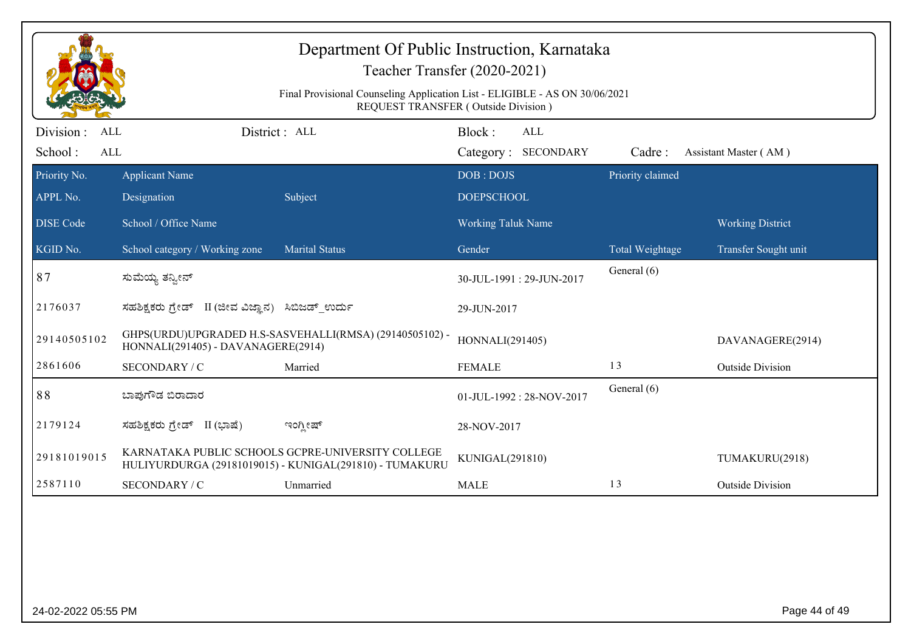| Department Of Public Instruction, Karnataka<br>Teacher Transfer (2020-2021)<br>Final Provisional Counseling Application List - ELIGIBLE - AS ON 30/06/2021<br><b>REQUEST TRANSFER (Outside Division)</b> |                                                  |                                                                                                              |                                |                            |                  |                         |
|----------------------------------------------------------------------------------------------------------------------------------------------------------------------------------------------------------|--------------------------------------------------|--------------------------------------------------------------------------------------------------------------|--------------------------------|----------------------------|------------------|-------------------------|
| Division:<br><b>ALL</b><br>School:<br><b>ALL</b>                                                                                                                                                         | District: ALL                                    |                                                                                                              | Block:                         | ALL<br>Category: SECONDARY | Cadre:           | Assistant Master (AM)   |
| Priority No.<br>APPL No.                                                                                                                                                                                 | <b>Applicant Name</b><br>Designation             | Subject                                                                                                      | DOB: DOJS<br><b>DOEPSCHOOL</b> |                            | Priority claimed |                         |
| <b>DISE Code</b>                                                                                                                                                                                         | School / Office Name                             |                                                                                                              | <b>Working Taluk Name</b>      |                            |                  | <b>Working District</b> |
| KGID No.                                                                                                                                                                                                 | School category / Working zone                   | <b>Marital Status</b>                                                                                        | Gender                         |                            | Total Weightage  | Transfer Sought unit    |
| 87                                                                                                                                                                                                       | ಸುಮೆಯ್ಯ ತನ್ಯೀನ್                                  |                                                                                                              |                                | 30-JUL-1991: 29-JUN-2017   | General (6)      |                         |
| 2176037                                                                                                                                                                                                  | ಸಹಶಿಕ್ಷಕರು ಗ್ರೇಡ್ II (ಜೀವ ವಿಜ್ಞಾನ) ಸಿಬಿಜಡ್ ಉರ್ದು |                                                                                                              | 29-JUN-2017                    |                            |                  |                         |
| 29140505102                                                                                                                                                                                              | HONNALI(291405) - DAVANAGERE(2914)               | GHPS(URDU)UPGRADED H.S-SASVEHALLI(RMSA) (29140505102) -                                                      | HONNALI(291405)                |                            |                  | DAVANAGERE(2914)        |
| 2861606                                                                                                                                                                                                  | SECONDARY / C                                    | Married                                                                                                      | <b>FEMALE</b>                  |                            | 13               | <b>Outside Division</b> |
| 88                                                                                                                                                                                                       | ಬಾಪುಗೌಡ ಬಿರಾದಾರ                                  |                                                                                                              |                                | 01-JUL-1992: 28-NOV-2017   | General (6)      |                         |
| 2179124                                                                                                                                                                                                  | ಸಹಶಿಕ್ಷಕರು ಗ್ರೇಡ್ II (ಭಾಷೆ)                      | ಇಂಗ್ಲೀಷ್                                                                                                     | 28-NOV-2017                    |                            |                  |                         |
| 29181019015                                                                                                                                                                                              |                                                  | KARNATAKA PUBLIC SCHOOLS GCPRE-UNIVERSITY COLLEGE<br>HULIYURDURGA (29181019015) - KUNIGAL(291810) - TUMAKURU | KUNIGAL(291810)                |                            |                  | TUMAKURU(2918)          |
| 2587110                                                                                                                                                                                                  | SECONDARY / C                                    | Unmarried                                                                                                    | <b>MALE</b>                    |                            | 13               | <b>Outside Division</b> |
|                                                                                                                                                                                                          |                                                  |                                                                                                              |                                |                            |                  |                         |
| 24-02-2022 05:55 PM                                                                                                                                                                                      |                                                  |                                                                                                              |                                |                            |                  | Page 44 of 49           |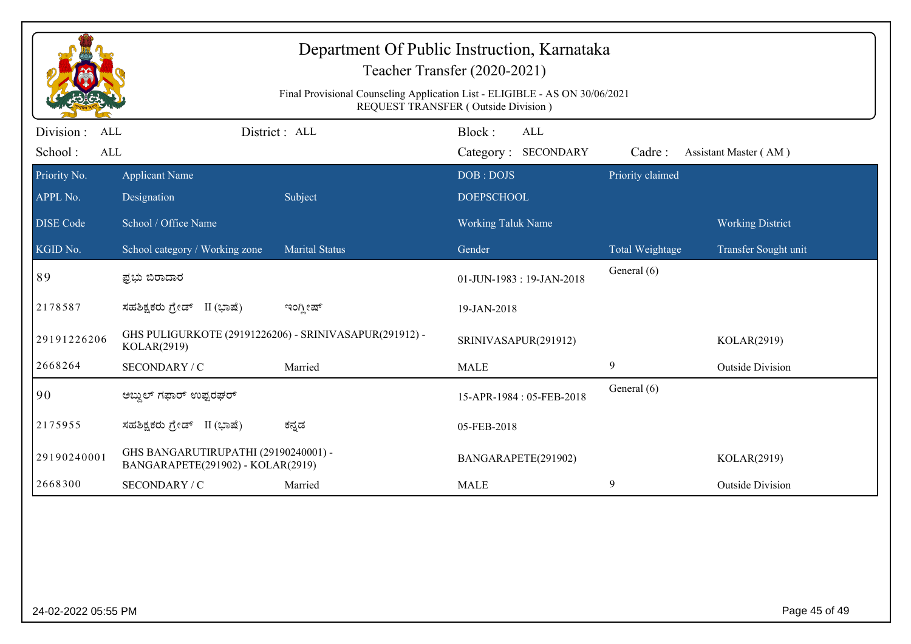|                         |                                                                           | Final Provisional Counseling Application List - ELIGIBLE - AS ON 30/06/2021 | REQUEST TRANSFER (Outside Division) |                  |                         |
|-------------------------|---------------------------------------------------------------------------|-----------------------------------------------------------------------------|-------------------------------------|------------------|-------------------------|
| Division :<br>ALL       |                                                                           | District: ALL                                                               | Block:<br><b>ALL</b>                |                  |                         |
| School:<br>$\mbox{ALL}$ |                                                                           |                                                                             | Category: SECONDARY                 | Cadre:           | Assistant Master (AM)   |
| Priority No.            | <b>Applicant Name</b>                                                     |                                                                             | DOB: DOJS                           | Priority claimed |                         |
| APPL No.                | Designation                                                               | Subject                                                                     | <b>DOEPSCHOOL</b>                   |                  |                         |
| <b>DISE</b> Code        | School / Office Name                                                      |                                                                             | Working Taluk Name                  |                  | <b>Working District</b> |
| KGID No.                | School category / Working zone                                            | <b>Marital Status</b>                                                       | Gender                              | Total Weightage  | Transfer Sought unit    |
| 89                      | ಫ಼ಭು ಬಿರಾದಾರ                                                              |                                                                             | 01-JUN-1983: 19-JAN-2018            | General (6)      |                         |
| 2178587                 | ಸಹಶಿಕ್ಷಕರು ಗ್ರೇಡ್ II (ಭಾಷೆ)                                               | ಇಂಗ್ಲೀಷ್                                                                    | 19-JAN-2018                         |                  |                         |
| 29191226206             | GHS PULIGURKOTE (29191226206) - SRINIVASAPUR(291912) -<br>KOLAR(2919)     |                                                                             | SRINIVASAPUR(291912)                |                  | KOLAR(2919)             |
| 2668264                 | SECONDARY / C                                                             | Married                                                                     | <b>MALE</b>                         | 9                | <b>Outside Division</b> |
| 90                      | ಅಬ್ದುಲ್ ಗಫಾರ್ ಉಫ್ಪರಘರ್                                                    |                                                                             | 15-APR-1984: 05-FEB-2018            | General (6)      |                         |
| 2175955                 | ಸಹಶಿಕ್ಷಕರು ಗ್ರೇಡ್ II (ಭಾಷೆ)                                               | ಕನ್ನಡ                                                                       | 05-FEB-2018                         |                  |                         |
| 29190240001             | GHS BANGARUTIRUPATHI (29190240001) -<br>BANGARAPETE(291902) - KOLAR(2919) |                                                                             | BANGARAPETE(291902)                 |                  | KOLAR(2919)             |
| 2668300                 | SECONDARY / C                                                             | Married                                                                     | <b>MALE</b>                         | 9                | <b>Outside Division</b> |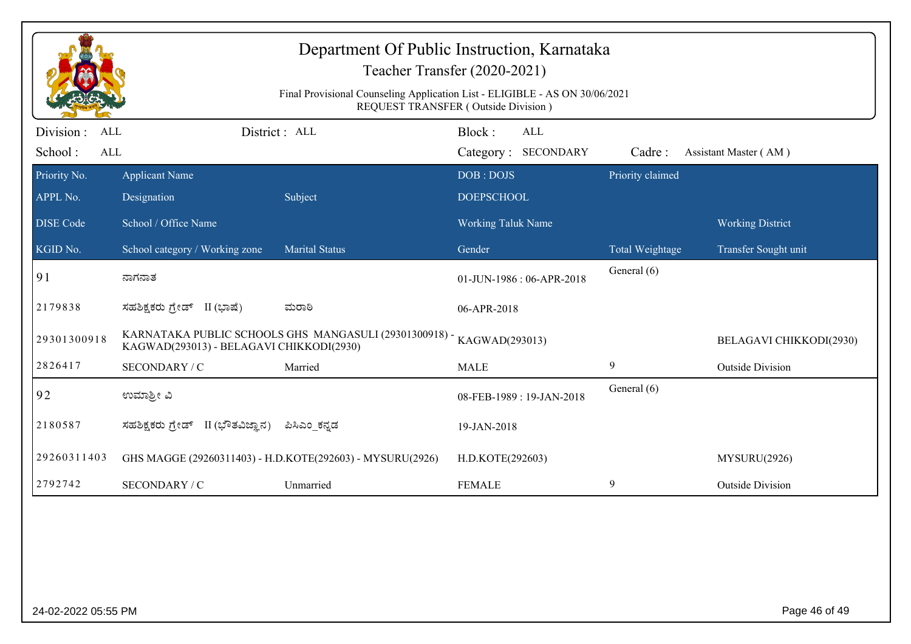| Department Of Public Instruction, Karnataka<br>Teacher Transfer (2020-2021)<br>Final Provisional Counseling Application List - ELIGIBLE - AS ON 30/06/2021<br>REQUEST TRANSFER (Outside Division) |                                          |                                                           |                                      |                  |                         |  |
|---------------------------------------------------------------------------------------------------------------------------------------------------------------------------------------------------|------------------------------------------|-----------------------------------------------------------|--------------------------------------|------------------|-------------------------|--|
| Division :<br><b>ALL</b><br>School:<br>ALL                                                                                                                                                        |                                          | District: ALL                                             | Block:<br>ALL<br>Category: SECONDARY | Cadre:           | Assistant Master (AM)   |  |
| Priority No.<br>APPL No.                                                                                                                                                                          | <b>Applicant Name</b><br>Designation     | Subject                                                   | DOB: DOJS<br><b>DOEPSCHOOL</b>       | Priority claimed |                         |  |
| <b>DISE Code</b>                                                                                                                                                                                  | School / Office Name                     |                                                           | <b>Working Taluk Name</b>            |                  | <b>Working District</b> |  |
| KGID No.                                                                                                                                                                                          | School category / Working zone           | <b>Marital Status</b>                                     | Gender                               | Total Weightage  | Transfer Sought unit    |  |
| 91                                                                                                                                                                                                | ನಾಗನಾತ                                   |                                                           | 01-JUN-1986: 06-APR-2018             | General (6)      |                         |  |
| 2179838                                                                                                                                                                                           | ಸಹಶಿಕ್ಷಕರು ಗ್ರೇಡ್ II (ಭಾಷೆ)              | ಮರಾಠಿ                                                     | 06-APR-2018                          |                  |                         |  |
| 29301300918                                                                                                                                                                                       | KAGWAD(293013) - BELAGAVI CHIKKODI(2930) | KARNATAKA PUBLIC SCHOOLS GHS MANGASULI (29301300918) -    | KAGWAD(293013)                       |                  | BELAGAVI CHIKKODI(2930) |  |
| 2826417                                                                                                                                                                                           | SECONDARY / C                            | Married                                                   | <b>MALE</b>                          | 9                | <b>Outside Division</b> |  |
| 92                                                                                                                                                                                                | ಉಮಾಶ್ರೀ ವಿ                               |                                                           | 08-FEB-1989: 19-JAN-2018             | General (6)      |                         |  |
| 2180587                                                                                                                                                                                           | ಸಹಶಿಕ್ಷಕರು ಗ್ರೇಡ್ II (ಭೌತವಿಜ್ಞಾನ)        | ಪಿಸಿಎಂ ಕನ್ನಡ                                              | 19-JAN-2018                          |                  |                         |  |
| 29260311403                                                                                                                                                                                       |                                          | GHS MAGGE (29260311403) - H.D.KOTE(292603) - MYSURU(2926) | H.D.KOTE(292603)                     |                  | MYSURU(2926)            |  |
| 2792742                                                                                                                                                                                           | SECONDARY / C                            | Unmarried                                                 | <b>FEMALE</b>                        | 9                | <b>Outside Division</b> |  |
|                                                                                                                                                                                                   |                                          |                                                           |                                      |                  |                         |  |
| 24-02-2022 05:55 PM                                                                                                                                                                               |                                          |                                                           |                                      |                  | Page 46 of 49           |  |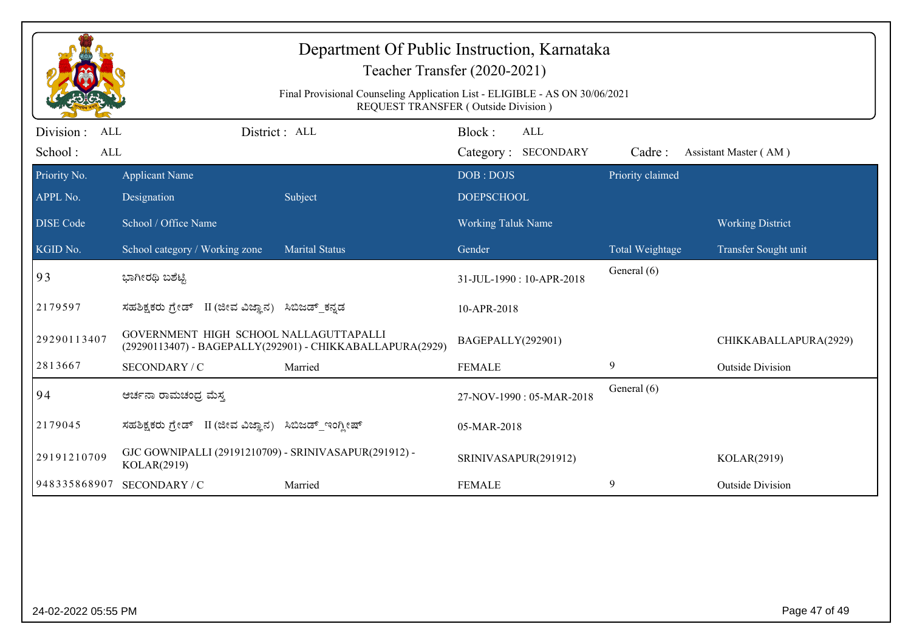| Department Of Public Instruction, Karnataka<br>Teacher Transfer (2020-2021)<br>Final Provisional Counseling Application List - ELIGIBLE - AS ON 30/06/2021<br>REQUEST TRANSFER (Outside Division) |                                                                      |                                                           |                                             |                  |                         |  |
|---------------------------------------------------------------------------------------------------------------------------------------------------------------------------------------------------|----------------------------------------------------------------------|-----------------------------------------------------------|---------------------------------------------|------------------|-------------------------|--|
| Division :<br>ALL<br>School:<br>ALL                                                                                                                                                               |                                                                      | District: ALL                                             | Block:<br><b>ALL</b><br>Category: SECONDARY | Cadre:           | Assistant Master (AM)   |  |
| Priority No.                                                                                                                                                                                      | <b>Applicant Name</b>                                                |                                                           | DOB: DOJS                                   | Priority claimed |                         |  |
| APPL No.                                                                                                                                                                                          | Designation                                                          | Subject                                                   | <b>DOEPSCHOOL</b>                           |                  |                         |  |
| <b>DISE Code</b>                                                                                                                                                                                  | School / Office Name                                                 |                                                           | <b>Working Taluk Name</b>                   |                  | <b>Working District</b> |  |
| KGID No.                                                                                                                                                                                          | School category / Working zone                                       | <b>Marital Status</b>                                     | Gender                                      | Total Weightage  | Transfer Sought unit    |  |
| 93                                                                                                                                                                                                | ಭಾಗೀರಥಿ ಬಶೆಟ್ಟಿ                                                      |                                                           | 31-JUL-1990: 10-APR-2018                    | General (6)      |                         |  |
| 2179597                                                                                                                                                                                           | ಸಹಶಿಕ್ಷಕರು ಗ್ರೇಡ್ II (ಜೀವ ವಿಜ್ಞಾನ) ಸಿಬಿಜಡ್ ಕನ್ನಡ                     |                                                           | 10-APR-2018                                 |                  |                         |  |
| 29290113407                                                                                                                                                                                       | GOVERNMENT HIGH SCHOOL NALLAGUTTAPALLI                               | (29290113407) - BAGEPALLY(292901) - CHIKKABALLAPURA(2929) | BAGEPALLY(292901)                           |                  | CHIKKABALLAPURA(2929)   |  |
| 2813667                                                                                                                                                                                           | SECONDARY / C                                                        | Married                                                   | <b>FEMALE</b>                               | 9                | <b>Outside Division</b> |  |
| 94                                                                                                                                                                                                | ಆರ್ಚನಾ ರಾಮಚಂದ್ರ ಮೆಸ್ತ                                                |                                                           | 27-NOV-1990: 05-MAR-2018                    | General (6)      |                         |  |
| 2179045                                                                                                                                                                                           | ಸಹಶಿಕ್ಷಕರು ಗ್ರೇಡ್   II (ಜೀವ ವಿಜ್ಞಾನ)                                 | ಸಿಬಿಜಡ್_ಇಂಗ್ಲೀಷ್                                          | 05-MAR-2018                                 |                  |                         |  |
| 29191210709                                                                                                                                                                                       | GJC GOWNIPALLI (29191210709) - SRINIVASAPUR(291912) -<br>KOLAR(2919) |                                                           | SRINIVASAPUR(291912)                        |                  | KOLAR(2919)             |  |
| 948335868907                                                                                                                                                                                      | SECONDARY / C                                                        | Married                                                   | <b>FEMALE</b>                               | 9                | <b>Outside Division</b> |  |
|                                                                                                                                                                                                   |                                                                      |                                                           |                                             |                  |                         |  |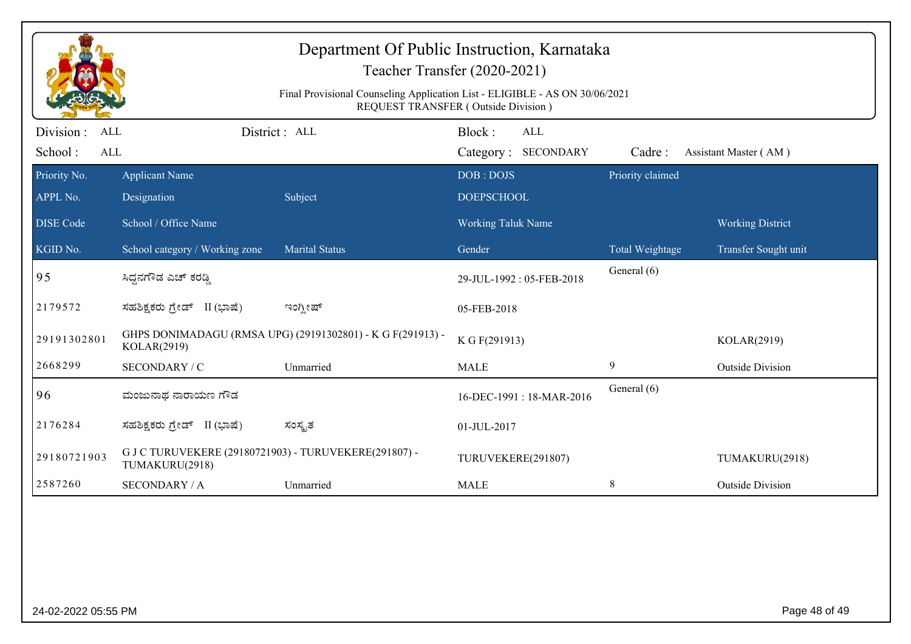|                                              |                                                                                                                           | Department Of Public Instruction, Karnataka                | Teacher Transfer (2020-2021)                |                  |                         |  |  |
|----------------------------------------------|---------------------------------------------------------------------------------------------------------------------------|------------------------------------------------------------|---------------------------------------------|------------------|-------------------------|--|--|
|                                              | Final Provisional Counseling Application List - ELIGIBLE - AS ON 30/06/2021<br><b>REQUEST TRANSFER (Outside Division)</b> |                                                            |                                             |                  |                         |  |  |
| Division :<br>ALL<br>School:<br>$\mbox{ALL}$ |                                                                                                                           | District : ALL                                             | Block:<br><b>ALL</b><br>Category: SECONDARY | Cadre:           | Assistant Master (AM)   |  |  |
| Priority No.<br>APPL No.                     | <b>Applicant Name</b><br>Designation                                                                                      | Subject                                                    | DOB: DOJS<br><b>DOEPSCHOOL</b>              | Priority claimed |                         |  |  |
| <b>DISE</b> Code                             | School / Office Name                                                                                                      |                                                            | Working Taluk Name                          |                  | <b>Working District</b> |  |  |
| KGID No.                                     | School category / Working zone                                                                                            | <b>Marital Status</b>                                      | Gender                                      | Total Weightage  | Transfer Sought unit    |  |  |
| 95                                           | ಸಿದ್ದನಗೌಡ ಎಚ್ ಕರಡ್ಡಿ                                                                                                      |                                                            | 29-JUL-1992: 05-FEB-2018                    | General (6)      |                         |  |  |
| 2179572                                      | ಸಹಶಿಕ್ಷಕರು ಗ್ರೇಡ್ II (ಭಾಷೆ)                                                                                               | ಇಂಗ್ಲೀಷ್                                                   | 05-FEB-2018                                 |                  |                         |  |  |
| 29191302801                                  | KOLAR(2919)                                                                                                               | GHPS DONIMADAGU (RMSA UPG) (29191302801) - K G F(291913) - | K G F(291913)                               |                  | KOLAR(2919)             |  |  |
| 2668299                                      | SECONDARY / C                                                                                                             | Unmarried                                                  | <b>MALE</b>                                 | 9                | <b>Outside Division</b> |  |  |
| 96                                           | ಮಂಜುನಾಥ ನಾರಾಯಣ ಗೌಡ                                                                                                        |                                                            | 16-DEC-1991: 18-MAR-2016                    | General (6)      |                         |  |  |
| 2176284                                      | ಸಹಶಿಕ್ಷಕರು ಗ್ರೇಡ್ II (ಭಾಷೆ)                                                                                               | ಸಂಸ್ಪೃತ                                                    | 01-JUL-2017                                 |                  |                         |  |  |
| 29180721903                                  | G J C TURUVEKERE (29180721903) - TURUVEKERE(291807) -<br>TUMAKURU(2918)                                                   |                                                            | TURUVEKERE(291807)                          |                  | TUMAKURU(2918)          |  |  |
| 2587260                                      | <b>SECONDARY / A</b>                                                                                                      | Unmarried                                                  | <b>MALE</b>                                 | $\,8\,$          | <b>Outside Division</b> |  |  |
|                                              |                                                                                                                           |                                                            |                                             |                  |                         |  |  |
| 24-02-2022 05:55 PM                          |                                                                                                                           |                                                            |                                             |                  | Page 48 of 49           |  |  |